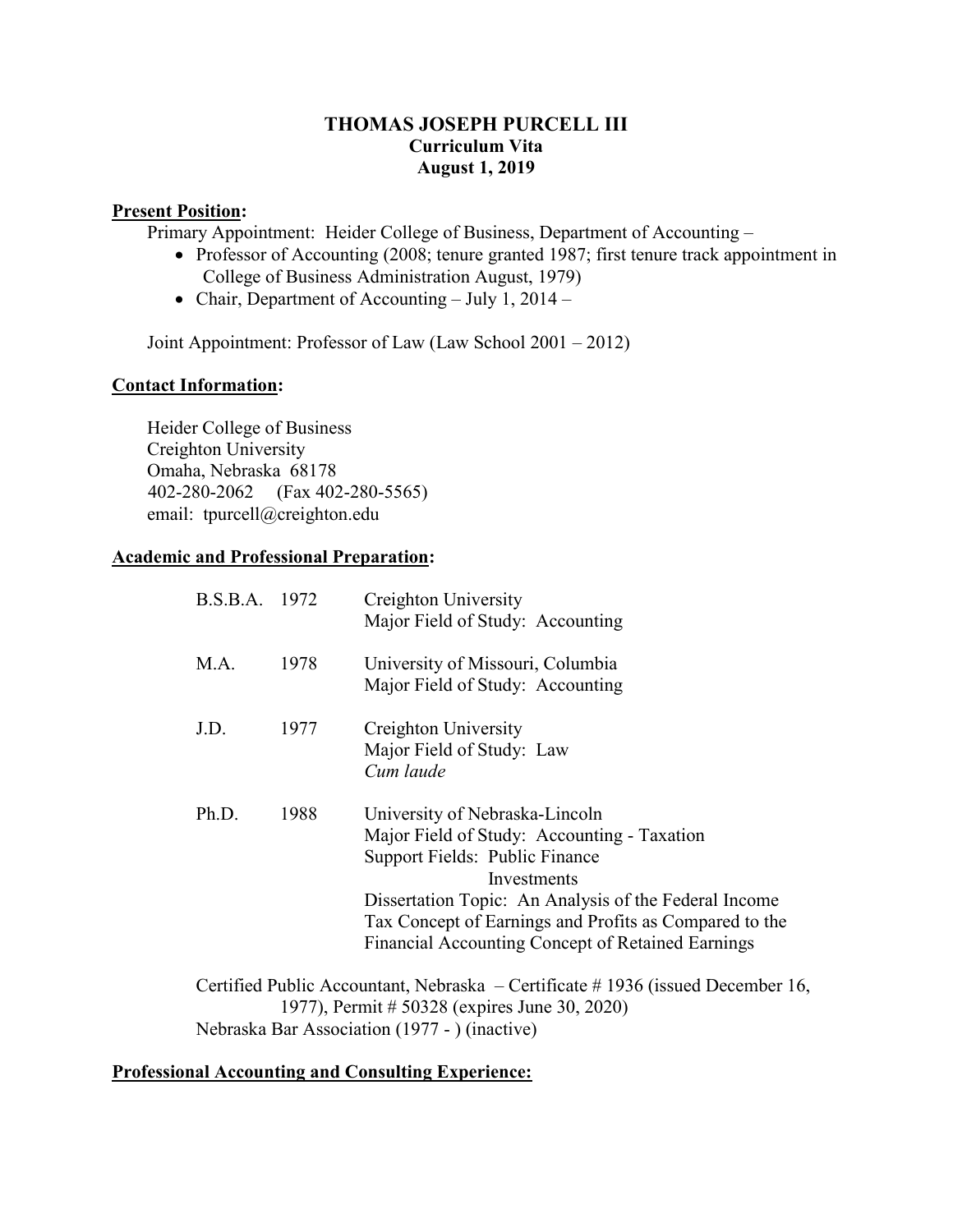## **THOMAS JOSEPH PURCELL III Curriculum Vita August 1, 2019**

### **Present Position:**

Primary Appointment: Heider College of Business, Department of Accounting –

- Professor of Accounting (2008; tenure granted 1987; first tenure track appointment in College of Business Administration August, 1979)
- Chair, Department of Accounting July 1, 2014 –

Joint Appointment: Professor of Law (Law School 2001 – 2012)

### **Contact Information:**

Heider College of Business Creighton University Omaha, Nebraska 68178 402-280-2062 (Fax 402-280-5565) email: tpurcell@creighton.edu

### **Academic and Professional Preparation:**

| B.S.B.A. 1972                                                                                                                   |      | Creighton University<br>Major Field of Study: Accounting                                                                                                                                                                                                                                               |  |  |
|---------------------------------------------------------------------------------------------------------------------------------|------|--------------------------------------------------------------------------------------------------------------------------------------------------------------------------------------------------------------------------------------------------------------------------------------------------------|--|--|
| M.A.                                                                                                                            | 1978 | University of Missouri, Columbia<br>Major Field of Study: Accounting                                                                                                                                                                                                                                   |  |  |
| J.D.                                                                                                                            | 1977 | Creighton University<br>Major Field of Study: Law<br>Cum laude                                                                                                                                                                                                                                         |  |  |
| Ph.D.                                                                                                                           | 1988 | University of Nebraska-Lincoln<br>Major Field of Study: Accounting - Taxation<br>Support Fields: Public Finance<br>Investments<br>Dissertation Topic: An Analysis of the Federal Income<br>Tax Concept of Earnings and Profits as Compared to the<br>Financial Accounting Concept of Retained Earnings |  |  |
| Certified Public Accountant, Nebraska – Certificate #1936 (issued December 16,<br>1977), Permit # 50328 (expires June 30, 2020) |      |                                                                                                                                                                                                                                                                                                        |  |  |
| Nebraska Bar Association (1977 - ) (inactive)                                                                                   |      |                                                                                                                                                                                                                                                                                                        |  |  |

### **Professional Accounting and Consulting Experience:**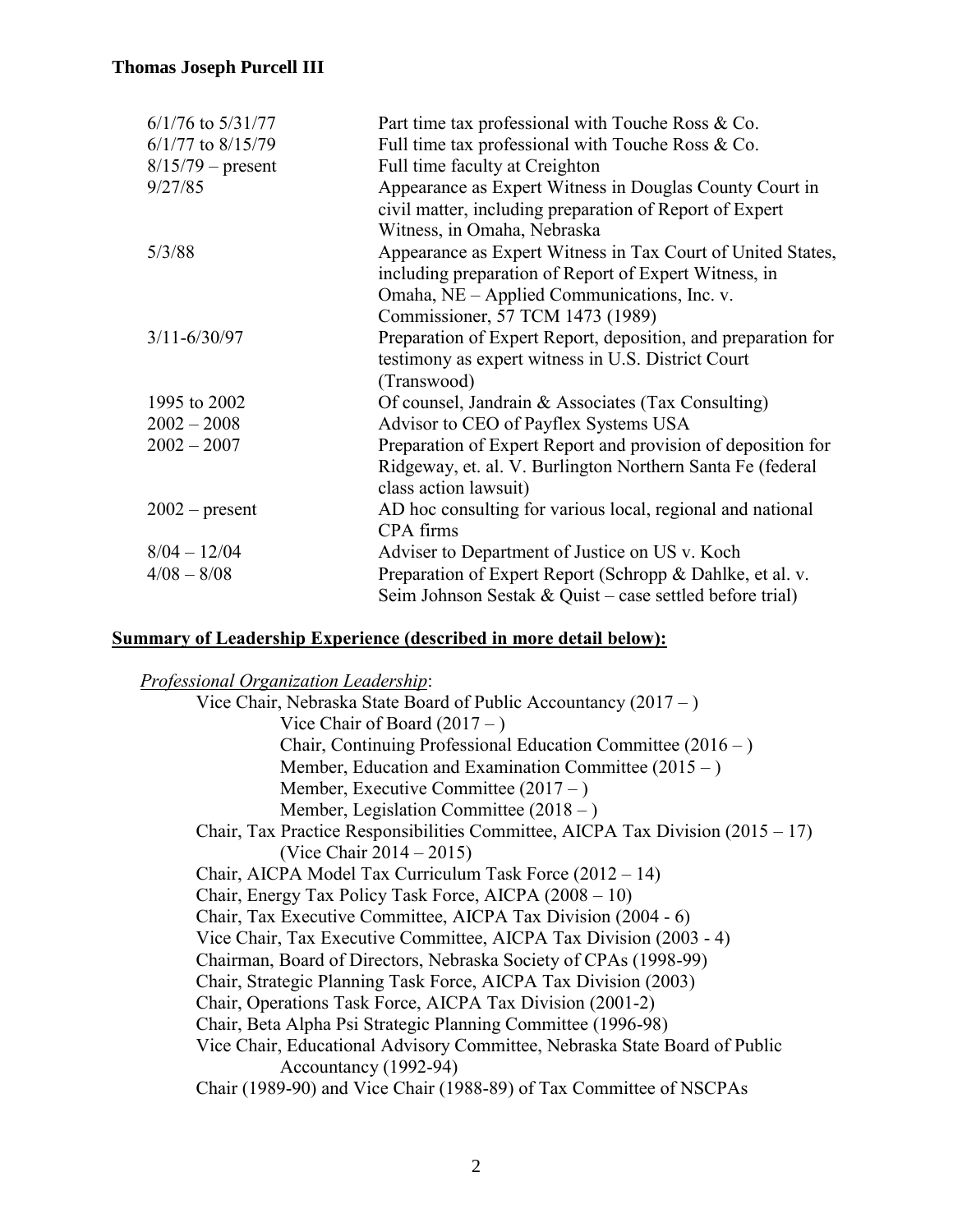| $6/1/76$ to $5/31/77$ | Part time tax professional with Touche Ross & Co.             |
|-----------------------|---------------------------------------------------------------|
| $6/1/77$ to $8/15/79$ | Full time tax professional with Touche Ross & Co.             |
| $8/15/79$ – present   | Full time faculty at Creighton                                |
| 9/27/85               | Appearance as Expert Witness in Douglas County Court in       |
|                       | civil matter, including preparation of Report of Expert       |
|                       | Witness, in Omaha, Nebraska                                   |
| 5/3/88                | Appearance as Expert Witness in Tax Court of United States,   |
|                       | including preparation of Report of Expert Witness, in         |
|                       | Omaha, NE – Applied Communications, Inc. v.                   |
|                       | Commissioner, 57 TCM 1473 (1989)                              |
| $3/11 - 6/30/97$      | Preparation of Expert Report, deposition, and preparation for |
|                       | testimony as expert witness in U.S. District Court            |
|                       | (Transwood)                                                   |
| 1995 to 2002          | Of counsel, Jandrain & Associates (Tax Consulting)            |
| $2002 - 2008$         | Advisor to CEO of Payflex Systems USA                         |
| $2002 - 2007$         | Preparation of Expert Report and provision of deposition for  |
|                       | Ridgeway, et. al. V. Burlington Northern Santa Fe (federal    |
|                       | class action lawsuit)                                         |
| $2002$ – present      | AD hoc consulting for various local, regional and national    |
|                       | CPA firms                                                     |
| $8/04 - 12/04$        | Adviser to Department of Justice on US v. Koch                |
| $4/08 - 8/08$         | Preparation of Expert Report (Schropp & Dahlke, et al. v.     |
|                       | Seim Johnson Sestak & Quist – case settled before trial)      |

### **Summary of Leadership Experience (described in more detail below):**

*Professional Organization Leadership*:

Vice Chair, Nebraska State Board of Public Accountancy (2017 – ) Vice Chair of Board  $(2017 - )$ Chair, Continuing Professional Education Committee (2016 – ) Member, Education and Examination Committee  $(2015 - )$ Member, Executive Committee (2017 – ) Member, Legislation Committee (2018 – ) Chair, Tax Practice Responsibilities Committee, AICPA Tax Division  $(2015 - 17)$ (Vice Chair 2014 – 2015) Chair, AICPA Model Tax Curriculum Task Force (2012 – 14) Chair, Energy Tax Policy Task Force, AICPA (2008 – 10) Chair, Tax Executive Committee, AICPA Tax Division (2004 - 6) Vice Chair, Tax Executive Committee, AICPA Tax Division (2003 - 4) Chairman, Board of Directors, Nebraska Society of CPAs (1998-99) Chair, Strategic Planning Task Force, AICPA Tax Division (2003) Chair, Operations Task Force, AICPA Tax Division (2001-2) Chair, Beta Alpha Psi Strategic Planning Committee (1996-98) Vice Chair, Educational Advisory Committee, Nebraska State Board of Public Accountancy (1992-94) Chair (1989-90) and Vice Chair (1988-89) of Tax Committee of NSCPAs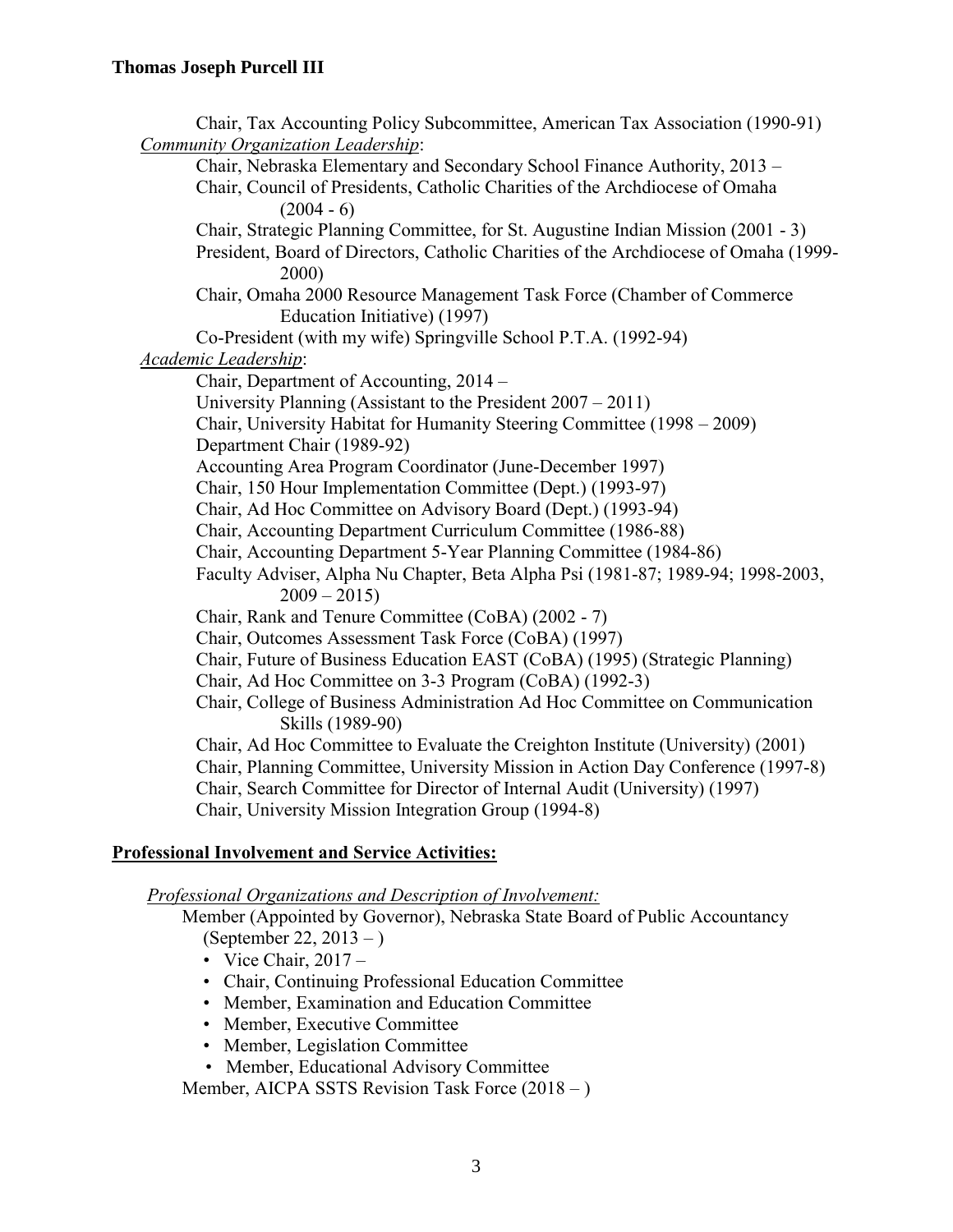Chair, Tax Accounting Policy Subcommittee, American Tax Association (1990-91) *Community Organization Leadership*: Chair, Nebraska Elementary and Secondary School Finance Authority, 2013 – Chair, Council of Presidents, Catholic Charities of the Archdiocese of Omaha  $(2004 - 6)$ Chair, Strategic Planning Committee, for St. Augustine Indian Mission (2001 - 3) President, Board of Directors, Catholic Charities of the Archdiocese of Omaha (1999- 2000) Chair, Omaha 2000 Resource Management Task Force (Chamber of Commerce Education Initiative) (1997) Co-President (with my wife) Springville School P.T.A. (1992-94) *Academic Leadership*: Chair, Department of Accounting, 2014 – University Planning (Assistant to the President 2007 – 2011) Chair, University Habitat for Humanity Steering Committee (1998 – 2009) Department Chair (1989-92) Accounting Area Program Coordinator (June-December 1997) Chair, 150 Hour Implementation Committee (Dept.) (1993-97) Chair, Ad Hoc Committee on Advisory Board (Dept.) (1993-94) Chair, Accounting Department Curriculum Committee (1986-88) Chair, Accounting Department 5-Year Planning Committee (1984-86) Faculty Adviser, Alpha Nu Chapter, Beta Alpha Psi (1981-87; 1989-94; 1998-2003,  $2009 - 2015$ Chair, Rank and Tenure Committee (CoBA) (2002 - 7) Chair, Outcomes Assessment Task Force (CoBA) (1997) Chair, Future of Business Education EAST (CoBA) (1995) (Strategic Planning) Chair, Ad Hoc Committee on 3-3 Program (CoBA) (1992-3) Chair, College of Business Administration Ad Hoc Committee on Communication Skills (1989-90) Chair, Ad Hoc Committee to Evaluate the Creighton Institute (University) (2001) Chair, Planning Committee, University Mission in Action Day Conference (1997-8) Chair, Search Committee for Director of Internal Audit (University) (1997) Chair, University Mission Integration Group (1994-8)

# **Professional Involvement and Service Activities:**

*Professional Organizations and Description of Involvement:*

Member (Appointed by Governor), Nebraska State Board of Public Accountancy (September 22, 2013 – )

- Vice Chair,  $2017 -$
- Chair, Continuing Professional Education Committee
- Member, Examination and Education Committee
- Member, Executive Committee
- Member, Legislation Committee
- Member, Educational Advisory Committee

Member, AICPA SSTS Revision Task Force (2018 – )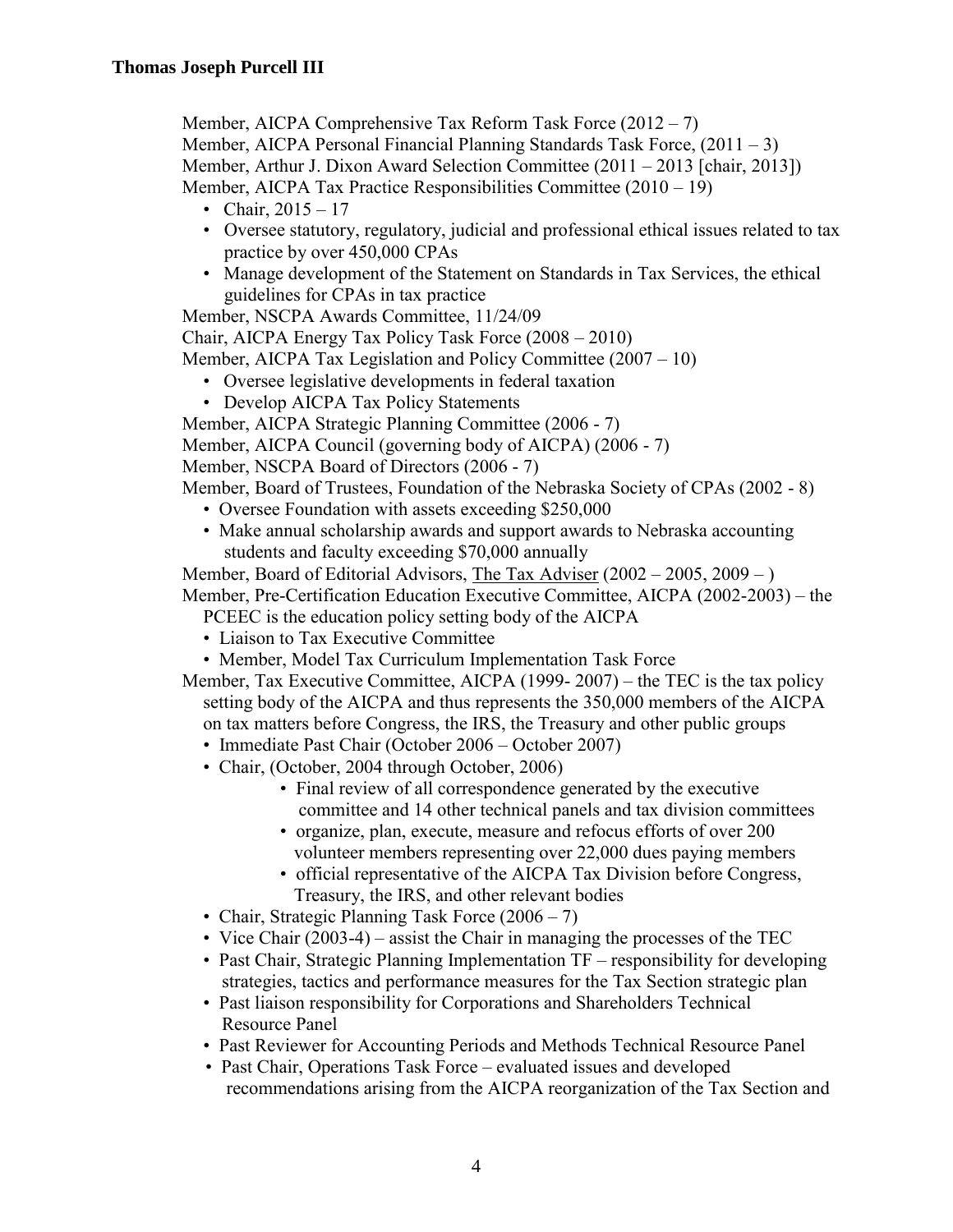Member, AICPA Comprehensive Tax Reform Task Force (2012 – 7) Member, AICPA Personal Financial Planning Standards Task Force, (2011 – 3) Member, Arthur J. Dixon Award Selection Committee (2011 – 2013 [chair, 2013]) Member, AICPA Tax Practice Responsibilities Committee (2010 – 19)

- Chair,  $2015 17$
- Oversee statutory, regulatory, judicial and professional ethical issues related to tax practice by over 450,000 CPAs
- Manage development of the Statement on Standards in Tax Services, the ethical guidelines for CPAs in tax practice

Member, NSCPA Awards Committee, 11/24/09

Chair, AICPA Energy Tax Policy Task Force (2008 – 2010)

Member, AICPA Tax Legislation and Policy Committee (2007 – 10)

- Oversee legislative developments in federal taxation
- Develop AICPA Tax Policy Statements

Member, AICPA Strategic Planning Committee (2006 - 7)

Member, AICPA Council (governing body of AICPA) (2006 - 7)

Member, NSCPA Board of Directors (2006 - 7)

Member, Board of Trustees, Foundation of the Nebraska Society of CPAs (2002 - 8)

- Oversee Foundation with assets exceeding \$250,000
- Make annual scholarship awards and support awards to Nebraska accounting students and faculty exceeding \$70,000 annually

Member, Board of Editorial Advisors, The Tax Adviser (2002 – 2005, 2009 – ) Member, Pre-Certification Education Executive Committee, AICPA (2002-2003) – the

- PCEEC is the education policy setting body of the AICPA
- Liaison to Tax Executive Committee
- Member, Model Tax Curriculum Implementation Task Force
- Member, Tax Executive Committee, AICPA (1999- 2007) the TEC is the tax policy setting body of the AICPA and thus represents the 350,000 members of the AICPA on tax matters before Congress, the IRS, the Treasury and other public groups
	- Immediate Past Chair (October 2006 October 2007)
	- Chair, (October, 2004 through October, 2006)
		- Final review of all correspondence generated by the executive committee and 14 other technical panels and tax division committees
		- organize, plan, execute, measure and refocus efforts of over 200 volunteer members representing over 22,000 dues paying members
		- official representative of the AICPA Tax Division before Congress, Treasury, the IRS, and other relevant bodies
	- Chair, Strategic Planning Task Force (2006 7)
	- Vice Chair (2003-4) assist the Chair in managing the processes of the TEC
	- Past Chair, Strategic Planning Implementation TF responsibility for developing strategies, tactics and performance measures for the Tax Section strategic plan
	- Past liaison responsibility for Corporations and Shareholders Technical Resource Panel
	- Past Reviewer for Accounting Periods and Methods Technical Resource Panel
	- Past Chair, Operations Task Force evaluated issues and developed recommendations arising from the AICPA reorganization of the Tax Section and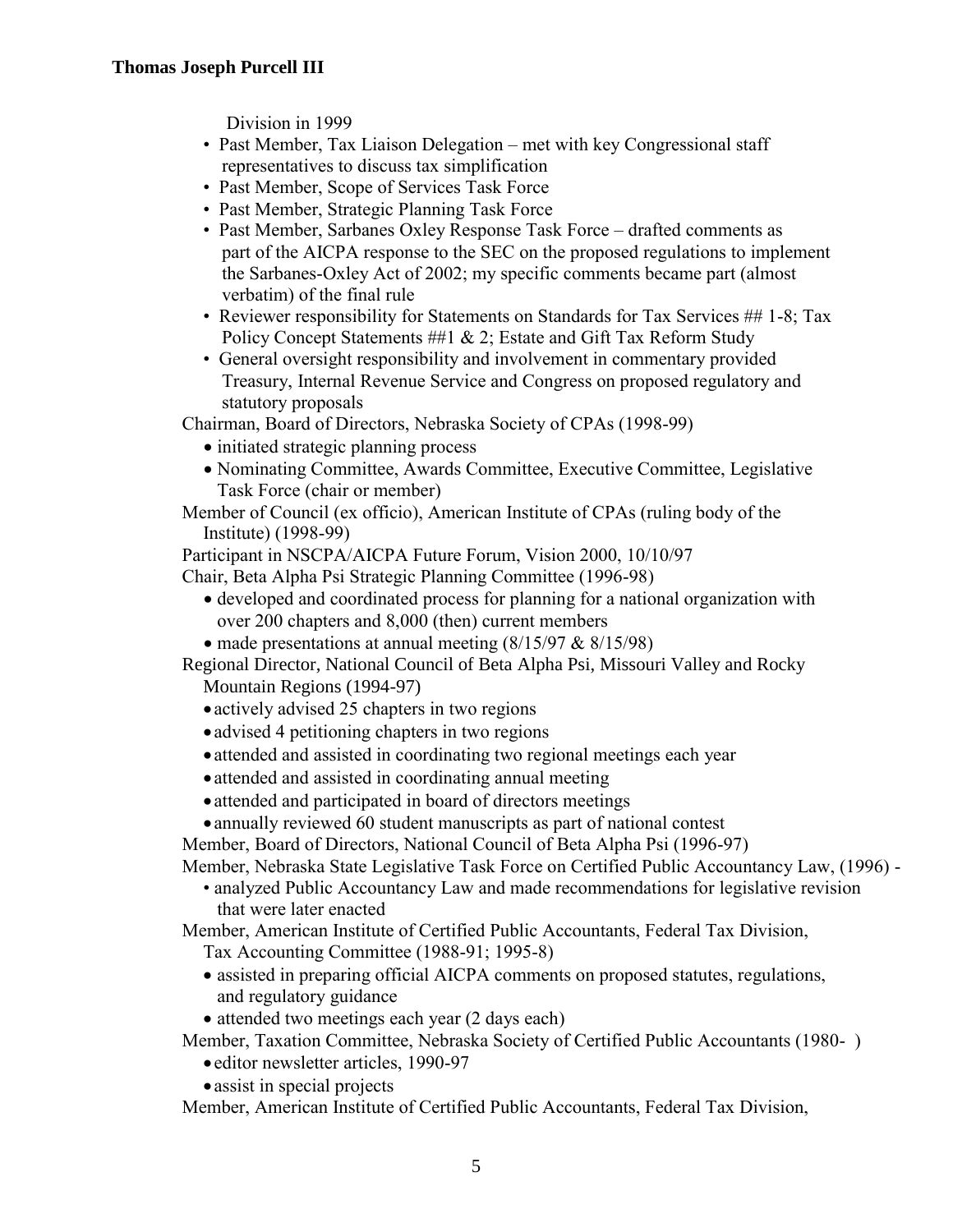Division in 1999

- Past Member, Tax Liaison Delegation met with key Congressional staff representatives to discuss tax simplification
- Past Member, Scope of Services Task Force
- Past Member, Strategic Planning Task Force
- Past Member, Sarbanes Oxley Response Task Force drafted comments as part of the AICPA response to the SEC on the proposed regulations to implement the Sarbanes-Oxley Act of 2002; my specific comments became part (almost verbatim) of the final rule
- Reviewer responsibility for Statements on Standards for Tax Services ## 1-8; Tax Policy Concept Statements ##1 & 2; Estate and Gift Tax Reform Study
- General oversight responsibility and involvement in commentary provided Treasury, Internal Revenue Service and Congress on proposed regulatory and statutory proposals

Chairman, Board of Directors, Nebraska Society of CPAs (1998-99)

- initiated strategic planning process
- Nominating Committee, Awards Committee, Executive Committee, Legislative Task Force (chair or member)
- Member of Council (ex officio), American Institute of CPAs (ruling body of the Institute) (1998-99)

Participant in NSCPA/AICPA Future Forum, Vision 2000, 10/10/97

Chair, Beta Alpha Psi Strategic Planning Committee (1996-98)

- developed and coordinated process for planning for a national organization with over 200 chapters and 8,000 (then) current members
- made presentations at annual meeting  $(8/15/97 \& 8/15/98)$

Regional Director, National Council of Beta Alpha Psi, Missouri Valley and Rocky Mountain Regions (1994-97)

- actively advised 25 chapters in two regions
- advised 4 petitioning chapters in two regions
- attended and assisted in coordinating two regional meetings each year
- attended and assisted in coordinating annual meeting
- attended and participated in board of directors meetings
- annually reviewed 60 student manuscripts as part of national contest

Member, Board of Directors, National Council of Beta Alpha Psi (1996-97)

Member, Nebraska State Legislative Task Force on Certified Public Accountancy Law, (1996) -

• analyzed Public Accountancy Law and made recommendations for legislative revision that were later enacted

Member, American Institute of Certified Public Accountants, Federal Tax Division, Tax Accounting Committee (1988-91; 1995-8)

- assisted in preparing official AICPA comments on proposed statutes, regulations, and regulatory guidance
- attended two meetings each year (2 days each)

Member, Taxation Committee, Nebraska Society of Certified Public Accountants (1980- )

- editor newsletter articles, 1990-97
- assist in special projects

Member, American Institute of Certified Public Accountants, Federal Tax Division,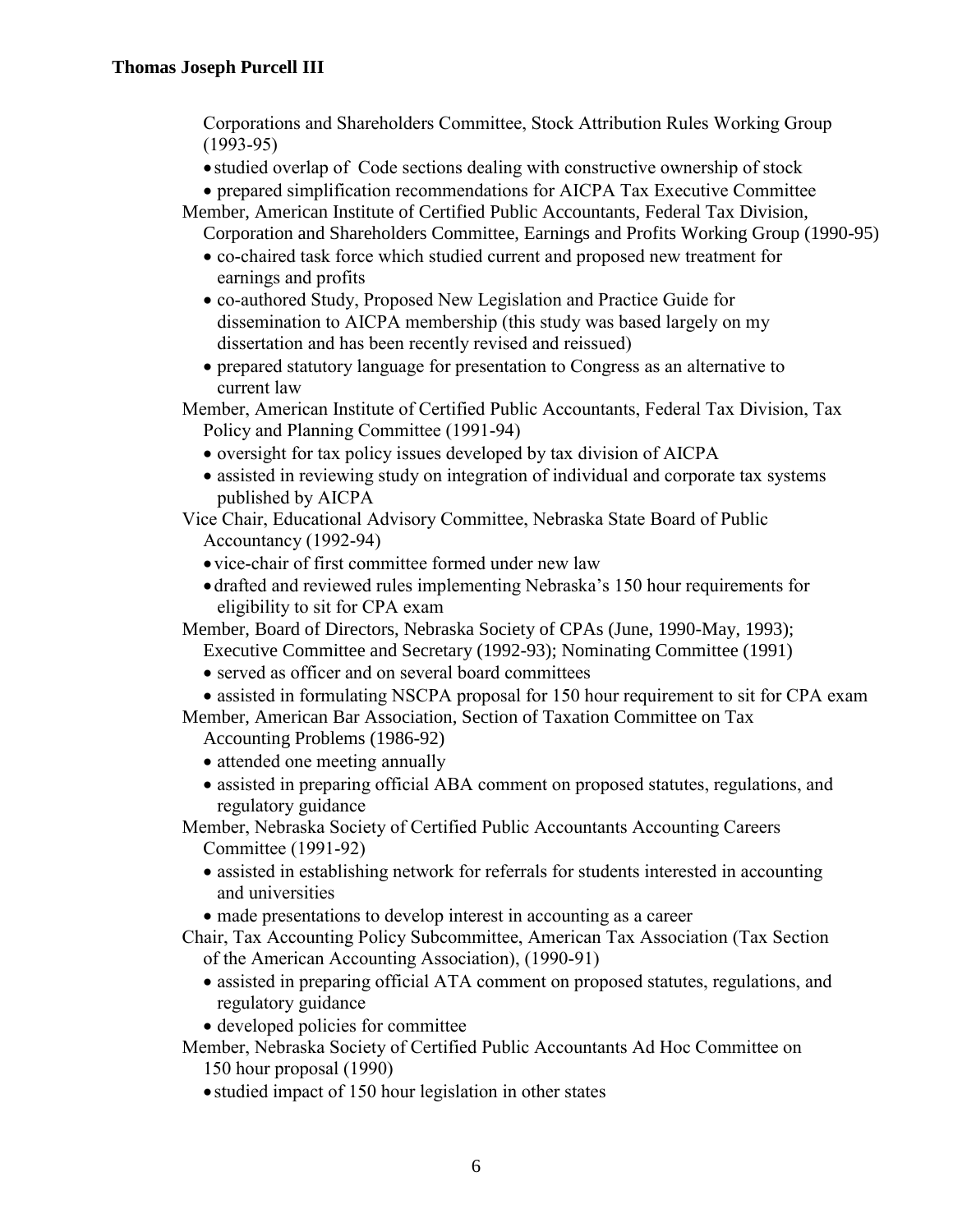Corporations and Shareholders Committee, Stock Attribution Rules Working Group (1993-95)

- studied overlap of Code sections dealing with constructive ownership of stock
- prepared simplification recommendations for AICPA Tax Executive Committee
- Member, American Institute of Certified Public Accountants, Federal Tax Division, Corporation and Shareholders Committee, Earnings and Profits Working Group (1990-95)
	- co-chaired task force which studied current and proposed new treatment for earnings and profits
	- co-authored Study, Proposed New Legislation and Practice Guide for dissemination to AICPA membership (this study was based largely on my dissertation and has been recently revised and reissued)
	- prepared statutory language for presentation to Congress as an alternative to current law
- Member, American Institute of Certified Public Accountants, Federal Tax Division, Tax Policy and Planning Committee (1991-94)
	- oversight for tax policy issues developed by tax division of AICPA
	- assisted in reviewing study on integration of individual and corporate tax systems published by AICPA
- Vice Chair, Educational Advisory Committee, Nebraska State Board of Public Accountancy (1992-94)
	- vice-chair of first committee formed under new law
	- drafted and reviewed rules implementing Nebraska's 150 hour requirements for eligibility to sit for CPA exam

Member, Board of Directors, Nebraska Society of CPAs (June, 1990-May, 1993); Executive Committee and Secretary (1992-93); Nominating Committee (1991)

- served as officer and on several board committees
- assisted in formulating NSCPA proposal for 150 hour requirement to sit for CPA exam
- Member, American Bar Association, Section of Taxation Committee on Tax Accounting Problems (1986-92)
	- attended one meeting annually
	- assisted in preparing official ABA comment on proposed statutes, regulations, and regulatory guidance
- Member, Nebraska Society of Certified Public Accountants Accounting Careers Committee (1991-92)
	- assisted in establishing network for referrals for students interested in accounting and universities
	- made presentations to develop interest in accounting as a career
- Chair, Tax Accounting Policy Subcommittee, American Tax Association (Tax Section of the American Accounting Association), (1990-91)
	- assisted in preparing official ATA comment on proposed statutes, regulations, and regulatory guidance
	- developed policies for committee
- Member, Nebraska Society of Certified Public Accountants Ad Hoc Committee on 150 hour proposal (1990)
	- studied impact of 150 hour legislation in other states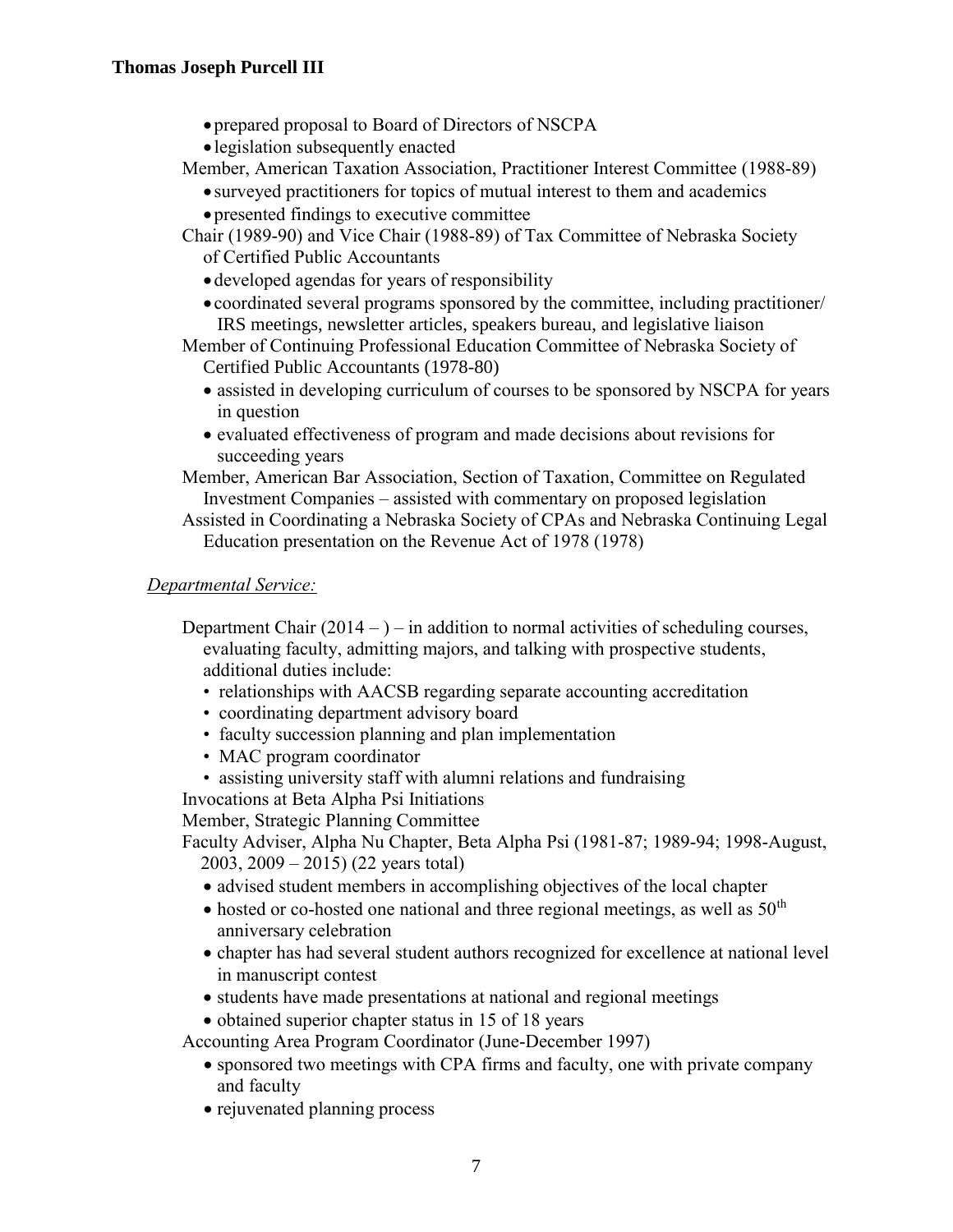- prepared proposal to Board of Directors of NSCPA
- legislation subsequently enacted
- Member, American Taxation Association, Practitioner Interest Committee (1988-89)
	- surveyed practitioners for topics of mutual interest to them and academics
	- presented findings to executive committee
- Chair (1989-90) and Vice Chair (1988-89) of Tax Committee of Nebraska Society of Certified Public Accountants
	- developed agendas for years of responsibility
	- coordinated several programs sponsored by the committee, including practitioner/ IRS meetings, newsletter articles, speakers bureau, and legislative liaison

Member of Continuing Professional Education Committee of Nebraska Society of Certified Public Accountants (1978-80)

- assisted in developing curriculum of courses to be sponsored by NSCPA for years in question
- evaluated effectiveness of program and made decisions about revisions for succeeding years

Member, American Bar Association, Section of Taxation, Committee on Regulated Investment Companies – assisted with commentary on proposed legislation

Assisted in Coordinating a Nebraska Society of CPAs and Nebraska Continuing Legal Education presentation on the Revenue Act of 1978 (1978)

## *Departmental Service:*

Department Chair  $(2014 - )$  – in addition to normal activities of scheduling courses, evaluating faculty, admitting majors, and talking with prospective students, additional duties include:

- relationships with AACSB regarding separate accounting accreditation
- coordinating department advisory board
- faculty succession planning and plan implementation
- MAC program coordinator
- assisting university staff with alumni relations and fundraising

Invocations at Beta Alpha Psi Initiations

Member, Strategic Planning Committee

Faculty Adviser, Alpha Nu Chapter, Beta Alpha Psi (1981-87; 1989-94; 1998-August, 2003, 2009 – 2015) (22 years total)

- advised student members in accomplishing objectives of the local chapter
- hosted or co-hosted one national and three regional meetings, as well as  $50<sup>th</sup>$ anniversary celebration
- chapter has had several student authors recognized for excellence at national level in manuscript contest
- students have made presentations at national and regional meetings
- obtained superior chapter status in 15 of 18 years

Accounting Area Program Coordinator (June-December 1997)

- sponsored two meetings with CPA firms and faculty, one with private company and faculty
- rejuvenated planning process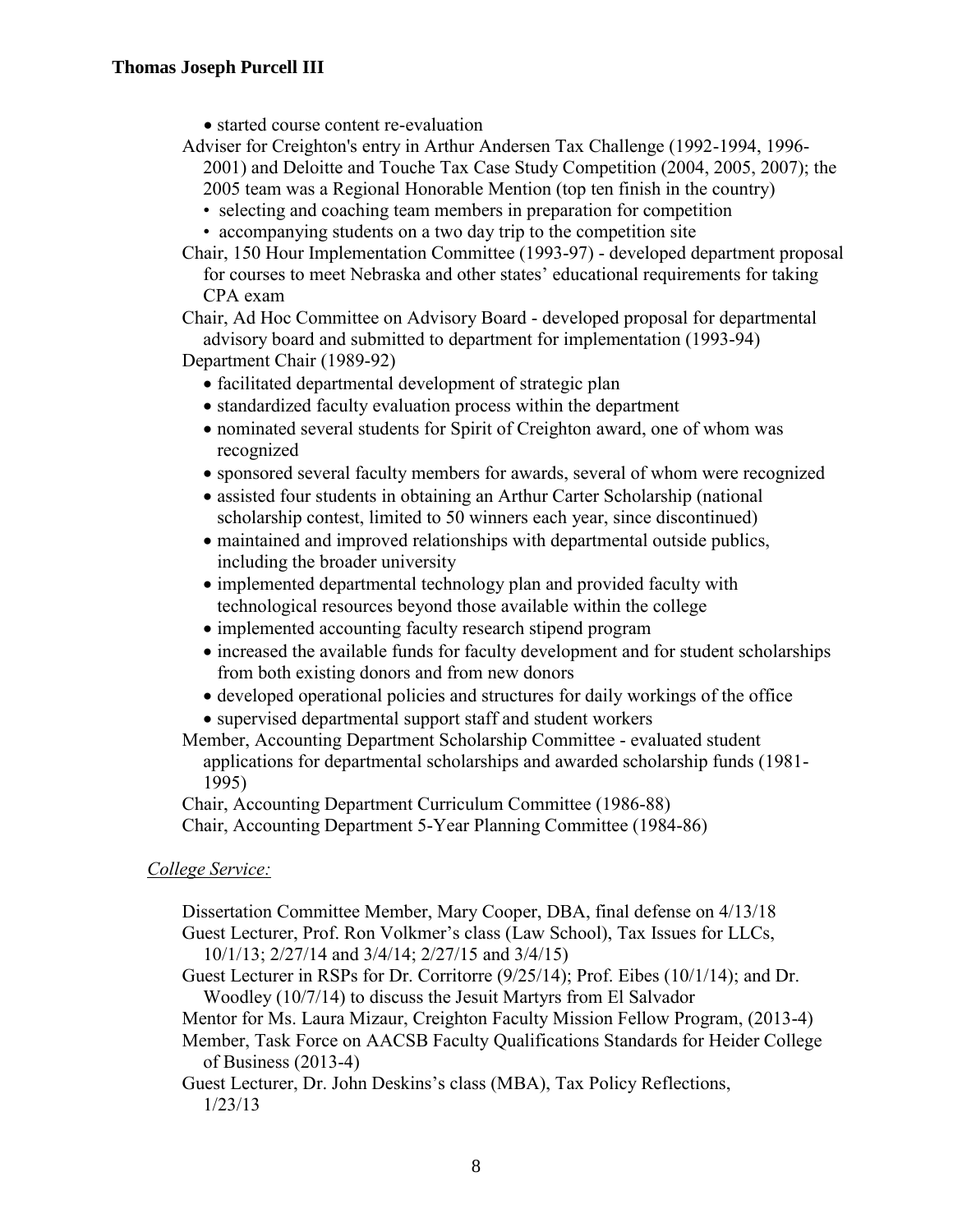- started course content re-evaluation
- Adviser for Creighton's entry in Arthur Andersen Tax Challenge (1992-1994, 1996- 2001) and Deloitte and Touche Tax Case Study Competition (2004, 2005, 2007); the
	- 2005 team was a Regional Honorable Mention (top ten finish in the country)
	- selecting and coaching team members in preparation for competition
	- accompanying students on a two day trip to the competition site
- Chair, 150 Hour Implementation Committee (1993-97) developed department proposal for courses to meet Nebraska and other states' educational requirements for taking CPA exam

Chair, Ad Hoc Committee on Advisory Board - developed proposal for departmental advisory board and submitted to department for implementation (1993-94)

Department Chair (1989-92)

- facilitated departmental development of strategic plan
- standardized faculty evaluation process within the department
- nominated several students for Spirit of Creighton award, one of whom was recognized
- sponsored several faculty members for awards, several of whom were recognized
- assisted four students in obtaining an Arthur Carter Scholarship (national scholarship contest, limited to 50 winners each year, since discontinued)
- maintained and improved relationships with departmental outside publics, including the broader university
- implemented departmental technology plan and provided faculty with technological resources beyond those available within the college
- implemented accounting faculty research stipend program
- increased the available funds for faculty development and for student scholarships from both existing donors and from new donors
- developed operational policies and structures for daily workings of the office
- supervised departmental support staff and student workers
- Member, Accounting Department Scholarship Committee evaluated student applications for departmental scholarships and awarded scholarship funds (1981- 1995)

Chair, Accounting Department Curriculum Committee (1986-88) Chair, Accounting Department 5-Year Planning Committee (1984-86)

### *College Service:*

Dissertation Committee Member, Mary Cooper, DBA, final defense on 4/13/18 Guest Lecturer, Prof. Ron Volkmer's class (Law School), Tax Issues for LLCs, 10/1/13; 2/27/14 and 3/4/14; 2/27/15 and 3/4/15)

Guest Lecturer in RSPs for Dr. Corritorre (9/25/14); Prof. Eibes (10/1/14); and Dr. Woodley (10/7/14) to discuss the Jesuit Martyrs from El Salvador

Mentor for Ms. Laura Mizaur, Creighton Faculty Mission Fellow Program, (2013-4)

Member, Task Force on AACSB Faculty Qualifications Standards for Heider College of Business (2013-4)

Guest Lecturer, Dr. John Deskins's class (MBA), Tax Policy Reflections, 1/23/13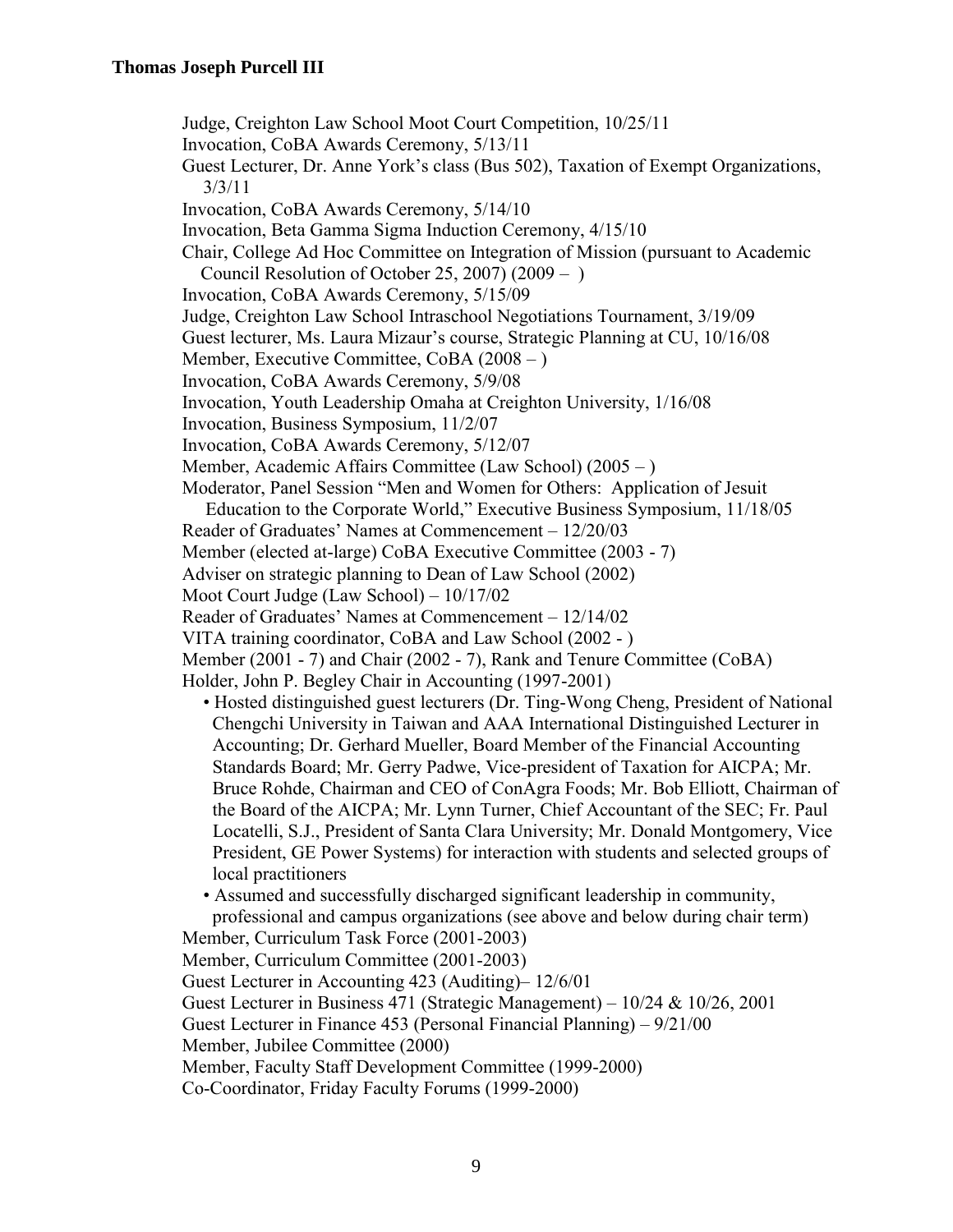Judge, Creighton Law School Moot Court Competition, 10/25/11 Invocation, CoBA Awards Ceremony, 5/13/11 Guest Lecturer, Dr. Anne York's class (Bus 502), Taxation of Exempt Organizations, 3/3/11 Invocation, CoBA Awards Ceremony, 5/14/10 Invocation, Beta Gamma Sigma Induction Ceremony, 4/15/10 Chair, College Ad Hoc Committee on Integration of Mission (pursuant to Academic Council Resolution of October 25, 2007) (2009 – ) Invocation, CoBA Awards Ceremony, 5/15/09 Judge, Creighton Law School Intraschool Negotiations Tournament, 3/19/09 Guest lecturer, Ms. Laura Mizaur's course, Strategic Planning at CU, 10/16/08 Member, Executive Committee, CoBA (2008 – ) Invocation, CoBA Awards Ceremony, 5/9/08 Invocation, Youth Leadership Omaha at Creighton University, 1/16/08 Invocation, Business Symposium, 11/2/07 Invocation, CoBA Awards Ceremony, 5/12/07 Member, Academic Affairs Committee (Law School) (2005 – ) Moderator, Panel Session "Men and Women for Others: Application of Jesuit Education to the Corporate World," Executive Business Symposium, 11/18/05 Reader of Graduates' Names at Commencement – 12/20/03 Member (elected at-large) CoBA Executive Committee (2003 - 7) Adviser on strategic planning to Dean of Law School (2002) Moot Court Judge (Law School) – 10/17/02 Reader of Graduates' Names at Commencement – 12/14/02 VITA training coordinator, CoBA and Law School (2002 - ) Member (2001 - 7) and Chair (2002 - 7), Rank and Tenure Committee (CoBA) Holder, John P. Begley Chair in Accounting (1997-2001) • Hosted distinguished guest lecturers (Dr. Ting-Wong Cheng, President of National Chengchi University in Taiwan and AAA International Distinguished Lecturer in Accounting; Dr. Gerhard Mueller, Board Member of the Financial Accounting Standards Board; Mr. Gerry Padwe, Vice-president of Taxation for AICPA; Mr. Bruce Rohde, Chairman and CEO of ConAgra Foods; Mr. Bob Elliott, Chairman of the Board of the AICPA; Mr. Lynn Turner, Chief Accountant of the SEC; Fr. Paul

 Locatelli, S.J., President of Santa Clara University; Mr. Donald Montgomery, Vice President, GE Power Systems) for interaction with students and selected groups of local practitioners

• Assumed and successfully discharged significant leadership in community, professional and campus organizations (see above and below during chair term)

Member, Curriculum Task Force (2001-2003)

Member, Curriculum Committee (2001-2003)

Guest Lecturer in Accounting 423 (Auditing)– 12/6/01

Guest Lecturer in Business 471 (Strategic Management) – 10/24 & 10/26, 2001

Guest Lecturer in Finance 453 (Personal Financial Planning) – 9/21/00

Member, Jubilee Committee (2000)

Member, Faculty Staff Development Committee (1999-2000)

Co-Coordinator, Friday Faculty Forums (1999-2000)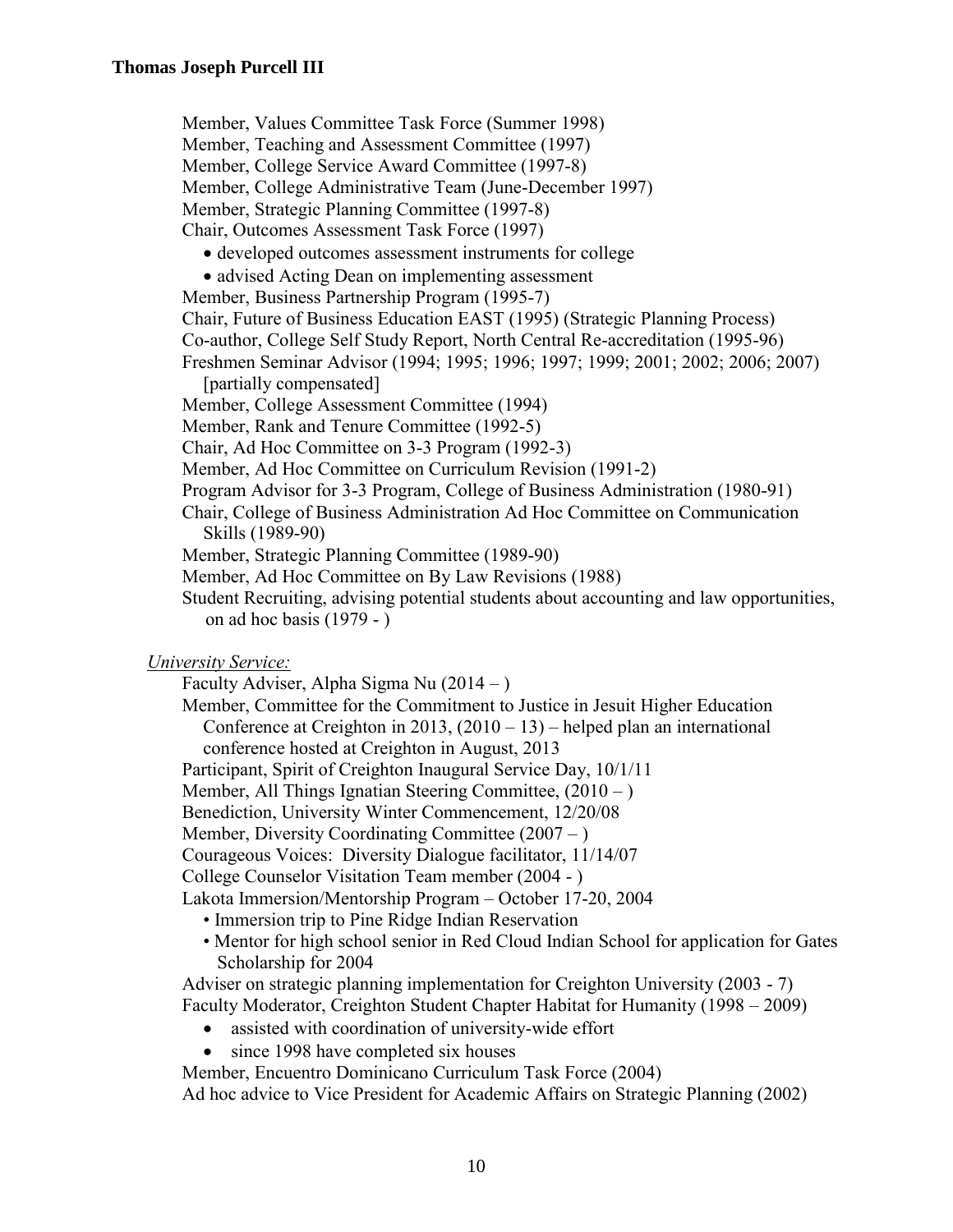Member, Values Committee Task Force (Summer 1998) Member, Teaching and Assessment Committee (1997) Member, College Service Award Committee (1997-8) Member, College Administrative Team (June-December 1997) Member, Strategic Planning Committee (1997-8) Chair, Outcomes Assessment Task Force (1997)

- developed outcomes assessment instruments for college
- advised Acting Dean on implementing assessment

Member, Business Partnership Program (1995-7)

Chair, Future of Business Education EAST (1995) (Strategic Planning Process) Co-author, College Self Study Report, North Central Re-accreditation (1995-96) Freshmen Seminar Advisor (1994; 1995; 1996; 1997; 1999; 2001; 2002; 2006; 2007)

[partially compensated]

Member, College Assessment Committee (1994)

Member, Rank and Tenure Committee (1992-5)

Chair, Ad Hoc Committee on 3-3 Program (1992-3)

Member, Ad Hoc Committee on Curriculum Revision (1991-2)

Program Advisor for 3-3 Program, College of Business Administration (1980-91)

Chair, College of Business Administration Ad Hoc Committee on Communication Skills (1989-90)

Member, Strategic Planning Committee (1989-90)

Member, Ad Hoc Committee on By Law Revisions (1988)

Student Recruiting, advising potential students about accounting and law opportunities, on ad hoc basis (1979 - )

*University Service:*

Faculty Adviser, Alpha Sigma Nu (2014 – )

Member, Committee for the Commitment to Justice in Jesuit Higher Education Conference at Creighton in 2013,  $(2010 - 13)$  – helped plan an international conference hosted at Creighton in August, 2013

Participant, Spirit of Creighton Inaugural Service Day, 10/1/11

Member, All Things Ignatian Steering Committee, (2010 – )

Benediction, University Winter Commencement, 12/20/08

Member, Diversity Coordinating Committee  $(2007 - )$ 

Courageous Voices: Diversity Dialogue facilitator, 11/14/07

College Counselor Visitation Team member (2004 - )

Lakota Immersion/Mentorship Program – October 17-20, 2004

- Immersion trip to Pine Ridge Indian Reservation
- Mentor for high school senior in Red Cloud Indian School for application for Gates Scholarship for 2004

Adviser on strategic planning implementation for Creighton University (2003 - 7) Faculty Moderator, Creighton Student Chapter Habitat for Humanity (1998 – 2009)

- assisted with coordination of university-wide effort
- since 1998 have completed six houses
- Member, Encuentro Dominicano Curriculum Task Force (2004)

Ad hoc advice to Vice President for Academic Affairs on Strategic Planning (2002)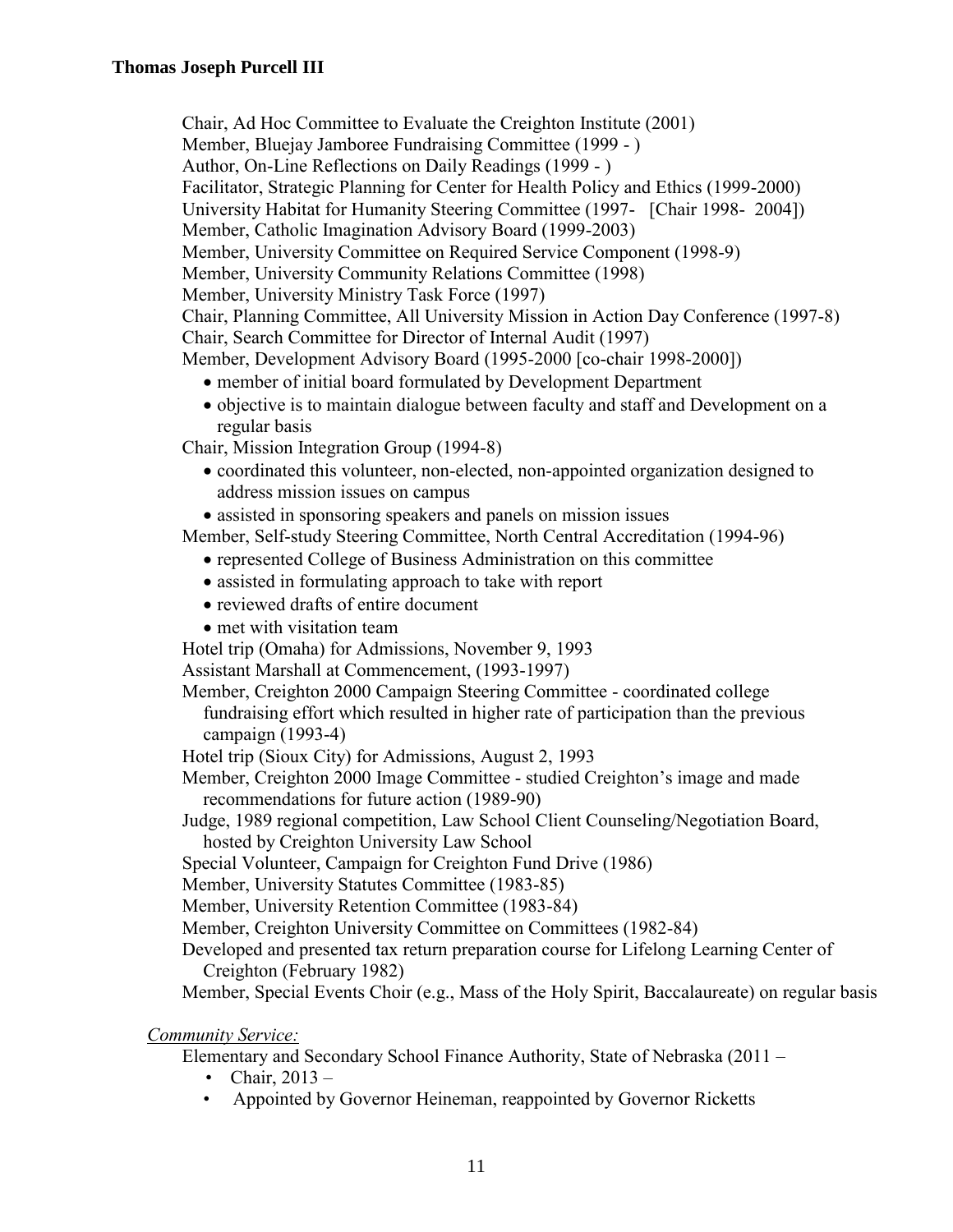Chair, Ad Hoc Committee to Evaluate the Creighton Institute (2001)

Member, Bluejay Jamboree Fundraising Committee (1999 - )

Author, On-Line Reflections on Daily Readings (1999 - )

Facilitator, Strategic Planning for Center for Health Policy and Ethics (1999-2000)

University Habitat for Humanity Steering Committee (1997- [Chair 1998- 2004])

Member, Catholic Imagination Advisory Board (1999-2003)

Member, University Committee on Required Service Component (1998-9)

Member, University Community Relations Committee (1998)

Member, University Ministry Task Force (1997)

Chair, Planning Committee, All University Mission in Action Day Conference (1997-8) Chair, Search Committee for Director of Internal Audit (1997)

Member, Development Advisory Board (1995-2000 [co-chair 1998-2000])

- member of initial board formulated by Development Department
- objective is to maintain dialogue between faculty and staff and Development on a regular basis

Chair, Mission Integration Group (1994-8)

- coordinated this volunteer, non-elected, non-appointed organization designed to address mission issues on campus
- assisted in sponsoring speakers and panels on mission issues

Member, Self-study Steering Committee, North Central Accreditation (1994-96)

- represented College of Business Administration on this committee
- assisted in formulating approach to take with report
- reviewed drafts of entire document
- met with visitation team

Hotel trip (Omaha) for Admissions, November 9, 1993

Assistant Marshall at Commencement, (1993-1997)

Member, Creighton 2000 Campaign Steering Committee - coordinated college fundraising effort which resulted in higher rate of participation than the previous campaign (1993-4)

Hotel trip (Sioux City) for Admissions, August 2, 1993

Member, Creighton 2000 Image Committee - studied Creighton's image and made recommendations for future action (1989-90)

Judge, 1989 regional competition, Law School Client Counseling/Negotiation Board, hosted by Creighton University Law School

Special Volunteer, Campaign for Creighton Fund Drive (1986)

Member, University Statutes Committee (1983-85)

Member, University Retention Committee (1983-84)

Member, Creighton University Committee on Committees (1982-84)

Developed and presented tax return preparation course for Lifelong Learning Center of Creighton (February 1982)

Member, Special Events Choir (e.g., Mass of the Holy Spirit, Baccalaureate) on regular basis

*Community Service:*

Elementary and Secondary School Finance Authority, State of Nebraska (2011 –

- Chair,  $2013 -$
- Appointed by Governor Heineman, reappointed by Governor Ricketts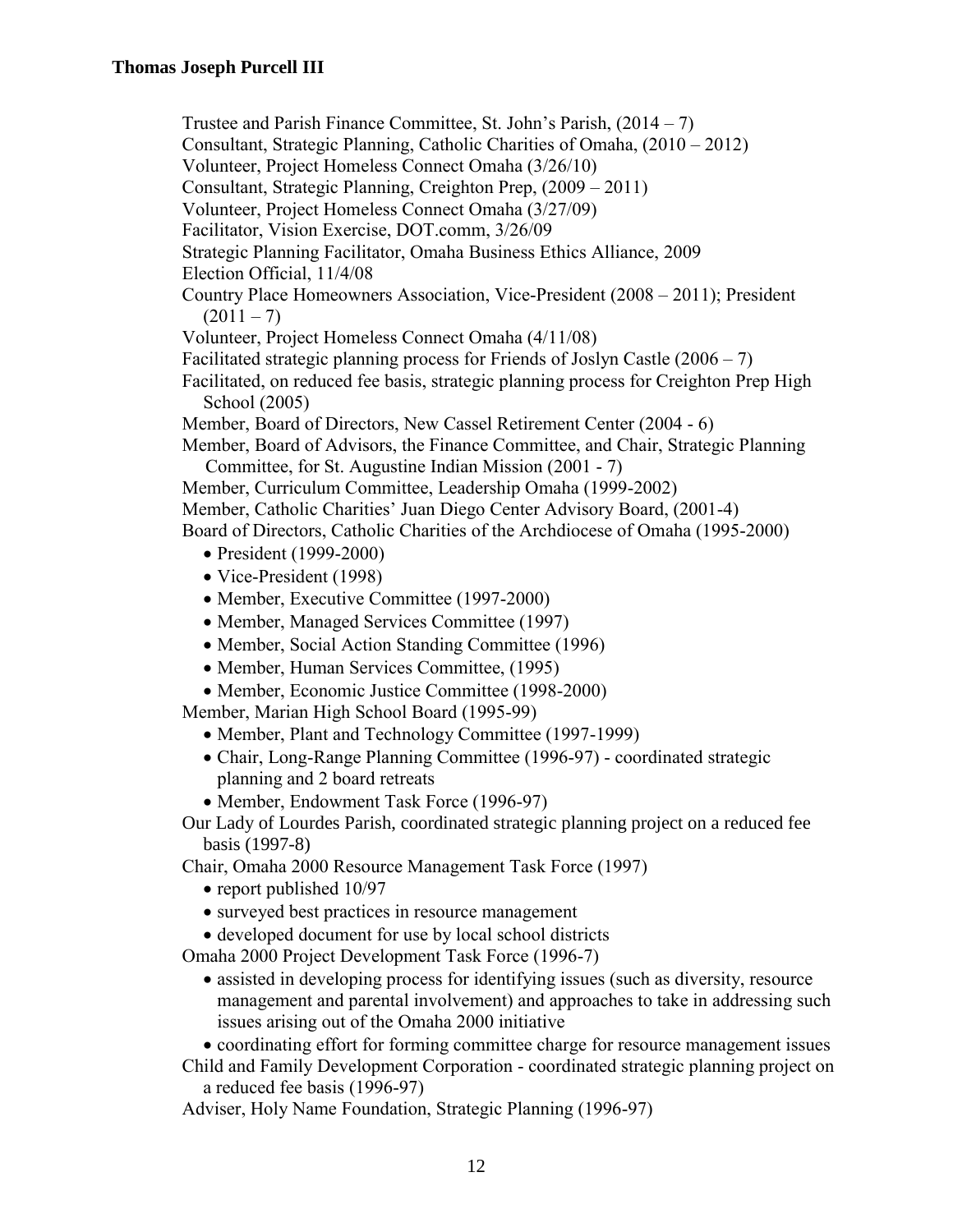- Trustee and Parish Finance Committee, St. John's Parish, (2014 7)
- Consultant, Strategic Planning, Catholic Charities of Omaha, (2010 2012)
- Volunteer, Project Homeless Connect Omaha (3/26/10)
- Consultant, Strategic Planning, Creighton Prep, (2009 2011)
- Volunteer, Project Homeless Connect Omaha (3/27/09)
- Facilitator, Vision Exercise, DOT.comm, 3/26/09
- Strategic Planning Facilitator, Omaha Business Ethics Alliance, 2009
- Election Official, 11/4/08
- Country Place Homeowners Association, Vice-President (2008 2011); President  $(2011 - 7)$
- Volunteer, Project Homeless Connect Omaha (4/11/08)
- Facilitated strategic planning process for Friends of Joslyn Castle  $(2006 7)$
- Facilitated, on reduced fee basis, strategic planning process for Creighton Prep High School (2005)
- Member, Board of Directors, New Cassel Retirement Center (2004 6)
- Member, Board of Advisors, the Finance Committee, and Chair, Strategic Planning Committee, for St. Augustine Indian Mission (2001 - 7)
- Member, Curriculum Committee, Leadership Omaha (1999-2002)
- Member, Catholic Charities' Juan Diego Center Advisory Board, (2001-4)

Board of Directors, Catholic Charities of the Archdiocese of Omaha (1995-2000)

- President (1999-2000)
- Vice-President (1998)
- Member, Executive Committee (1997-2000)
- Member, Managed Services Committee (1997)
- Member, Social Action Standing Committee (1996)
- Member, Human Services Committee, (1995)
- Member, Economic Justice Committee (1998-2000)

Member, Marian High School Board (1995-99)

- Member, Plant and Technology Committee (1997-1999)
- Chair, Long-Range Planning Committee (1996-97) coordinated strategic planning and 2 board retreats
- Member, Endowment Task Force (1996-97)
- Our Lady of Lourdes Parish, coordinated strategic planning project on a reduced fee basis (1997-8)

Chair, Omaha 2000 Resource Management Task Force (1997)

- report published 10/97
- surveyed best practices in resource management
- developed document for use by local school districts

Omaha 2000 Project Development Task Force (1996-7)

- assisted in developing process for identifying issues (such as diversity, resource management and parental involvement) and approaches to take in addressing such issues arising out of the Omaha 2000 initiative
- coordinating effort for forming committee charge for resource management issues
- Child and Family Development Corporation coordinated strategic planning project on a reduced fee basis (1996-97)
- Adviser, Holy Name Foundation, Strategic Planning (1996-97)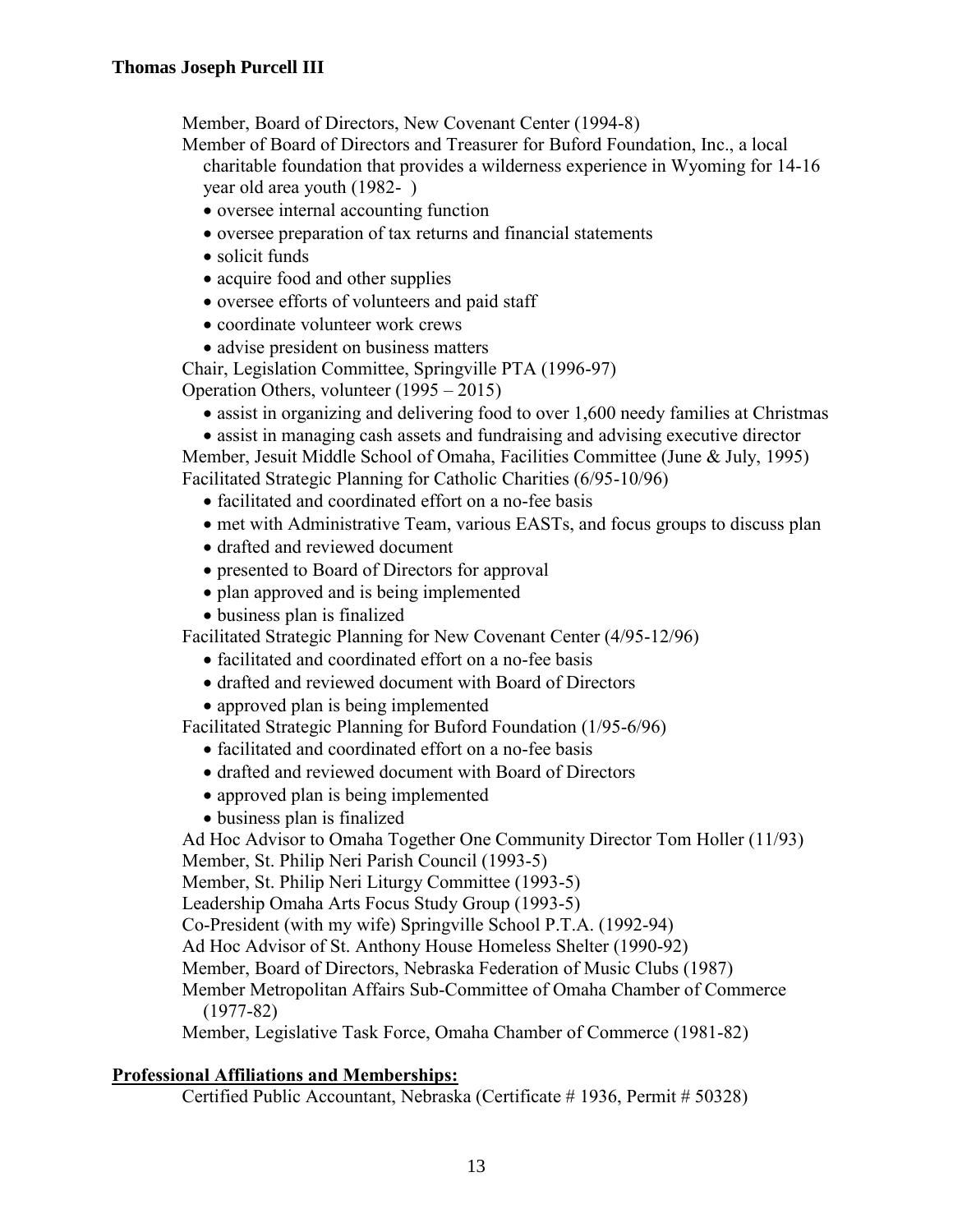Member, Board of Directors, New Covenant Center (1994-8)

Member of Board of Directors and Treasurer for Buford Foundation, Inc., a local charitable foundation that provides a wilderness experience in Wyoming for 14-16 year old area youth (1982- )

- oversee internal accounting function
- oversee preparation of tax returns and financial statements
- solicit funds
- acquire food and other supplies
- oversee efforts of volunteers and paid staff
- coordinate volunteer work crews
- advise president on business matters
- Chair, Legislation Committee, Springville PTA (1996-97)

Operation Others, volunteer (1995 – 2015)

• assist in organizing and delivering food to over 1,600 needy families at Christmas

• assist in managing cash assets and fundraising and advising executive director Member, Jesuit Middle School of Omaha, Facilities Committee (June & July, 1995)

Facilitated Strategic Planning for Catholic Charities (6/95-10/96)

- facilitated and coordinated effort on a no-fee basis
- met with Administrative Team, various EASTs, and focus groups to discuss plan
- drafted and reviewed document
- presented to Board of Directors for approval
- plan approved and is being implemented
- business plan is finalized

Facilitated Strategic Planning for New Covenant Center (4/95-12/96)

- facilitated and coordinated effort on a no-fee basis
- drafted and reviewed document with Board of Directors
- approved plan is being implemented

Facilitated Strategic Planning for Buford Foundation (1/95-6/96)

- facilitated and coordinated effort on a no-fee basis
- drafted and reviewed document with Board of Directors
- approved plan is being implemented
- business plan is finalized

Ad Hoc Advisor to Omaha Together One Community Director Tom Holler (11/93) Member, St. Philip Neri Parish Council (1993-5)

Member, St. Philip Neri Liturgy Committee (1993-5)

Leadership Omaha Arts Focus Study Group (1993-5)

Co-President (with my wife) Springville School P.T.A. (1992-94)

Ad Hoc Advisor of St. Anthony House Homeless Shelter (1990-92)

Member, Board of Directors, Nebraska Federation of Music Clubs (1987)

Member Metropolitan Affairs Sub-Committee of Omaha Chamber of Commerce (1977-82)

Member, Legislative Task Force, Omaha Chamber of Commerce (1981-82)

### **Professional Affiliations and Memberships:**

Certified Public Accountant, Nebraska (Certificate # 1936, Permit # 50328)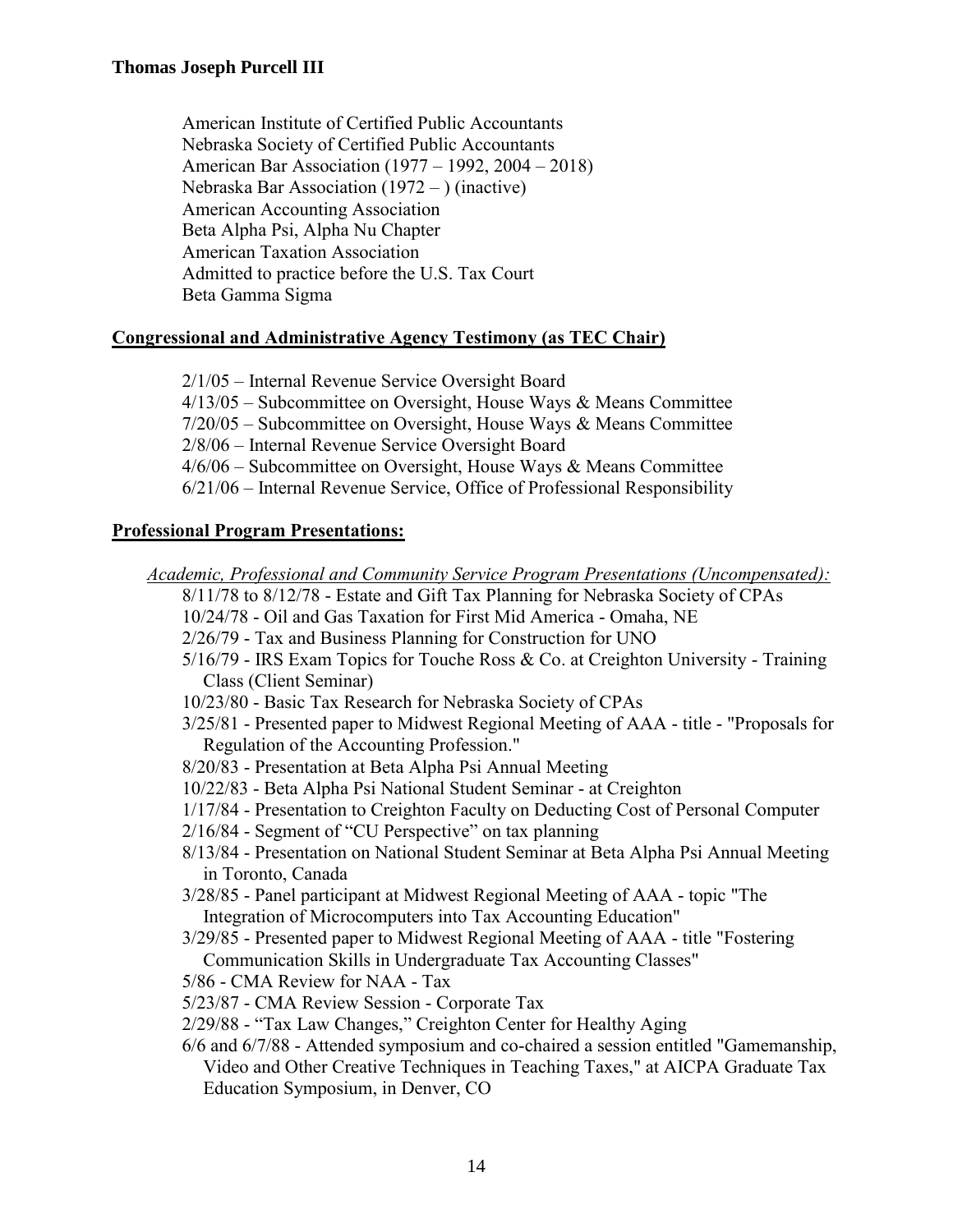American Institute of Certified Public Accountants Nebraska Society of Certified Public Accountants American Bar Association (1977 – 1992, 2004 – 2018) Nebraska Bar Association (1972 – ) (inactive) American Accounting Association Beta Alpha Psi, Alpha Nu Chapter American Taxation Association Admitted to practice before the U.S. Tax Court Beta Gamma Sigma

## **Congressional and Administrative Agency Testimony (as TEC Chair)**

2/1/05 – Internal Revenue Service Oversight Board 4/13/05 – Subcommittee on Oversight, House Ways & Means Committee 7/20/05 – Subcommittee on Oversight, House Ways & Means Committee 2/8/06 – Internal Revenue Service Oversight Board 4/6/06 – Subcommittee on Oversight, House Ways & Means Committee 6/21/06 – Internal Revenue Service, Office of Professional Responsibility

## **Professional Program Presentations:**

*Academic, Professional and Community Service Program Presentations (Uncompensated):* 8/11/78 to 8/12/78 - Estate and Gift Tax Planning for Nebraska Society of CPAs 10/24/78 - Oil and Gas Taxation for First Mid America - Omaha, NE 2/26/79 - Tax and Business Planning for Construction for UNO 5/16/79 - IRS Exam Topics for Touche Ross & Co. at Creighton University - Training Class (Client Seminar) 10/23/80 - Basic Tax Research for Nebraska Society of CPAs 3/25/81 - Presented paper to Midwest Regional Meeting of AAA - title - "Proposals for Regulation of the Accounting Profession." 8/20/83 - Presentation at Beta Alpha Psi Annual Meeting 10/22/83 - Beta Alpha Psi National Student Seminar - at Creighton 1/17/84 - Presentation to Creighton Faculty on Deducting Cost of Personal Computer 2/16/84 - Segment of "CU Perspective" on tax planning 8/13/84 - Presentation on National Student Seminar at Beta Alpha Psi Annual Meeting in Toronto, Canada 3/28/85 - Panel participant at Midwest Regional Meeting of AAA - topic "The Integration of Microcomputers into Tax Accounting Education" 3/29/85 - Presented paper to Midwest Regional Meeting of AAA - title "Fostering Communication Skills in Undergraduate Tax Accounting Classes" 5/86 - CMA Review for NAA - Tax 5/23/87 - CMA Review Session - Corporate Tax 2/29/88 - "Tax Law Changes," Creighton Center for Healthy Aging 6/6 and 6/7/88 - Attended symposium and co-chaired a session entitled "Gamemanship, Video and Other Creative Techniques in Teaching Taxes," at AICPA Graduate Tax Education Symposium, in Denver, CO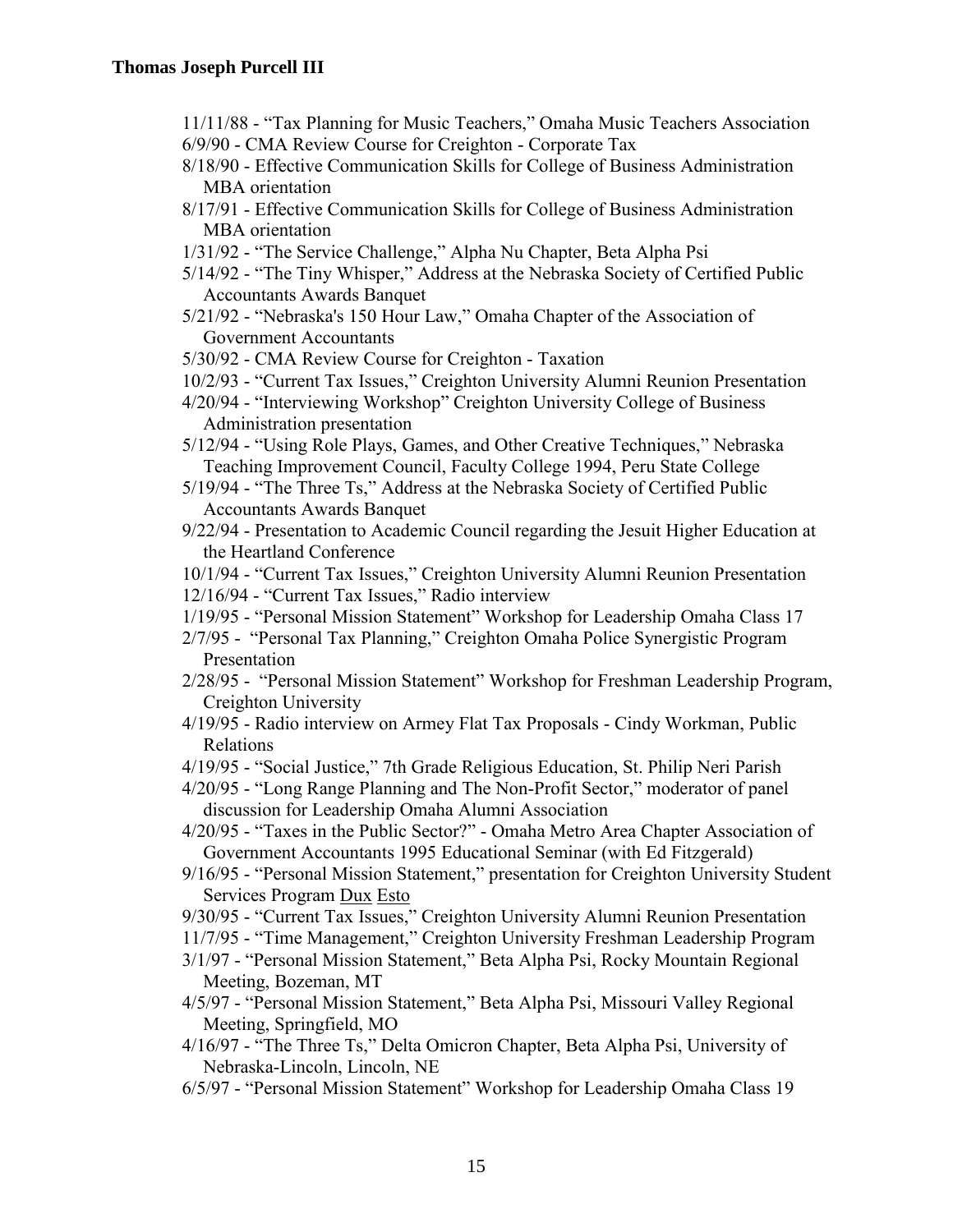- 11/11/88 "Tax Planning for Music Teachers," Omaha Music Teachers Association 6/9/90 - CMA Review Course for Creighton - Corporate Tax
- 8/18/90 Effective Communication Skills for College of Business Administration MBA orientation
- 8/17/91 Effective Communication Skills for College of Business Administration MBA orientation
- 1/31/92 "The Service Challenge," Alpha Nu Chapter, Beta Alpha Psi
- 5/14/92 "The Tiny Whisper," Address at the Nebraska Society of Certified Public Accountants Awards Banquet
- 5/21/92 "Nebraska's 150 Hour Law," Omaha Chapter of the Association of Government Accountants
- 5/30/92 CMA Review Course for Creighton Taxation
- 10/2/93 "Current Tax Issues," Creighton University Alumni Reunion Presentation
- 4/20/94 "Interviewing Workshop" Creighton University College of Business Administration presentation
- 5/12/94 "Using Role Plays, Games, and Other Creative Techniques," Nebraska Teaching Improvement Council, Faculty College 1994, Peru State College
- 5/19/94 "The Three Ts," Address at the Nebraska Society of Certified Public Accountants Awards Banquet
- 9/22/94 Presentation to Academic Council regarding the Jesuit Higher Education at the Heartland Conference
- 10/1/94 "Current Tax Issues," Creighton University Alumni Reunion Presentation
- 12/16/94 "Current Tax Issues," Radio interview
- 1/19/95 "Personal Mission Statement" Workshop for Leadership Omaha Class 17
- 2/7/95 "Personal Tax Planning," Creighton Omaha Police Synergistic Program Presentation
- 2/28/95 "Personal Mission Statement" Workshop for Freshman Leadership Program, Creighton University
- 4/19/95 Radio interview on Armey Flat Tax Proposals Cindy Workman, Public Relations
- 4/19/95 "Social Justice," 7th Grade Religious Education, St. Philip Neri Parish
- 4/20/95 "Long Range Planning and The Non-Profit Sector," moderator of panel discussion for Leadership Omaha Alumni Association
- 4/20/95 "Taxes in the Public Sector?" Omaha Metro Area Chapter Association of Government Accountants 1995 Educational Seminar (with Ed Fitzgerald)
- 9/16/95 "Personal Mission Statement," presentation for Creighton University Student Services Program Dux Esto
- 9/30/95 "Current Tax Issues," Creighton University Alumni Reunion Presentation
- 11/7/95 "Time Management," Creighton University Freshman Leadership Program
- 3/1/97 "Personal Mission Statement," Beta Alpha Psi, Rocky Mountain Regional Meeting, Bozeman, MT
- 4/5/97 "Personal Mission Statement," Beta Alpha Psi, Missouri Valley Regional Meeting, Springfield, MO
- 4/16/97 "The Three Ts," Delta Omicron Chapter, Beta Alpha Psi, University of Nebraska-Lincoln, Lincoln, NE
- 6/5/97 "Personal Mission Statement" Workshop for Leadership Omaha Class 19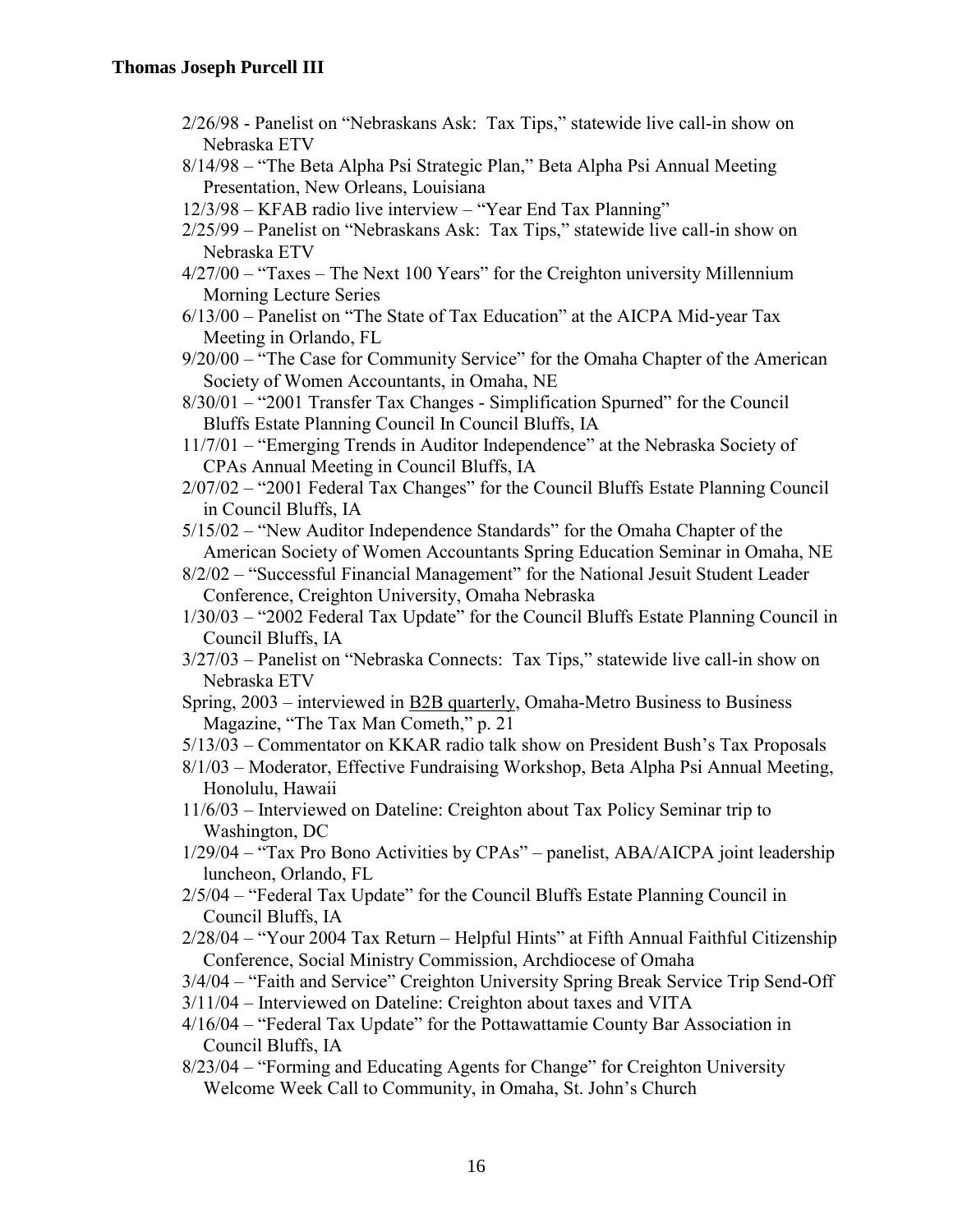- 2/26/98 Panelist on "Nebraskans Ask: Tax Tips," statewide live call-in show on Nebraska ETV
- 8/14/98 "The Beta Alpha Psi Strategic Plan," Beta Alpha Psi Annual Meeting Presentation, New Orleans, Louisiana
- 12/3/98 KFAB radio live interview "Year End Tax Planning"
- 2/25/99 Panelist on "Nebraskans Ask: Tax Tips," statewide live call-in show on Nebraska ETV
- 4/27/00 "Taxes The Next 100 Years" for the Creighton university Millennium Morning Lecture Series
- 6/13/00 Panelist on "The State of Tax Education" at the AICPA Mid-year Tax Meeting in Orlando, FL
- 9/20/00 "The Case for Community Service" for the Omaha Chapter of the American Society of Women Accountants, in Omaha, NE
- 8/30/01 "2001 Transfer Tax Changes Simplification Spurned" for the Council Bluffs Estate Planning Council In Council Bluffs, IA
- 11/7/01 "Emerging Trends in Auditor Independence" at the Nebraska Society of CPAs Annual Meeting in Council Bluffs, IA
- 2/07/02 "2001 Federal Tax Changes" for the Council Bluffs Estate Planning Council in Council Bluffs, IA
- 5/15/02 "New Auditor Independence Standards" for the Omaha Chapter of the American Society of Women Accountants Spring Education Seminar in Omaha, NE
- 8/2/02 "Successful Financial Management" for the National Jesuit Student Leader Conference, Creighton University, Omaha Nebraska
- 1/30/03 "2002 Federal Tax Update" for the Council Bluffs Estate Planning Council in Council Bluffs, IA
- 3/27/03 Panelist on "Nebraska Connects: Tax Tips," statewide live call-in show on Nebraska ETV
- Spring, 2003 interviewed in B2B quarterly, Omaha-Metro Business to Business Magazine, "The Tax Man Cometh," p. 21
- 5/13/03 Commentator on KKAR radio talk show on President Bush's Tax Proposals
- 8/1/03 Moderator, Effective Fundraising Workshop, Beta Alpha Psi Annual Meeting, Honolulu, Hawaii
- 11/6/03 Interviewed on Dateline: Creighton about Tax Policy Seminar trip to Washington, DC
- 1/29/04 "Tax Pro Bono Activities by CPAs" panelist, ABA/AICPA joint leadership luncheon, Orlando, FL
- 2/5/04 "Federal Tax Update" for the Council Bluffs Estate Planning Council in Council Bluffs, IA
- 2/28/04 "Your 2004 Tax Return Helpful Hints" at Fifth Annual Faithful Citizenship Conference, Social Ministry Commission, Archdiocese of Omaha
- 3/4/04 "Faith and Service" Creighton University Spring Break Service Trip Send-Off
- 3/11/04 Interviewed on Dateline: Creighton about taxes and VITA
- 4/16/04 "Federal Tax Update" for the Pottawattamie County Bar Association in Council Bluffs, IA
- 8/23/04 "Forming and Educating Agents for Change" for Creighton University Welcome Week Call to Community, in Omaha, St. John's Church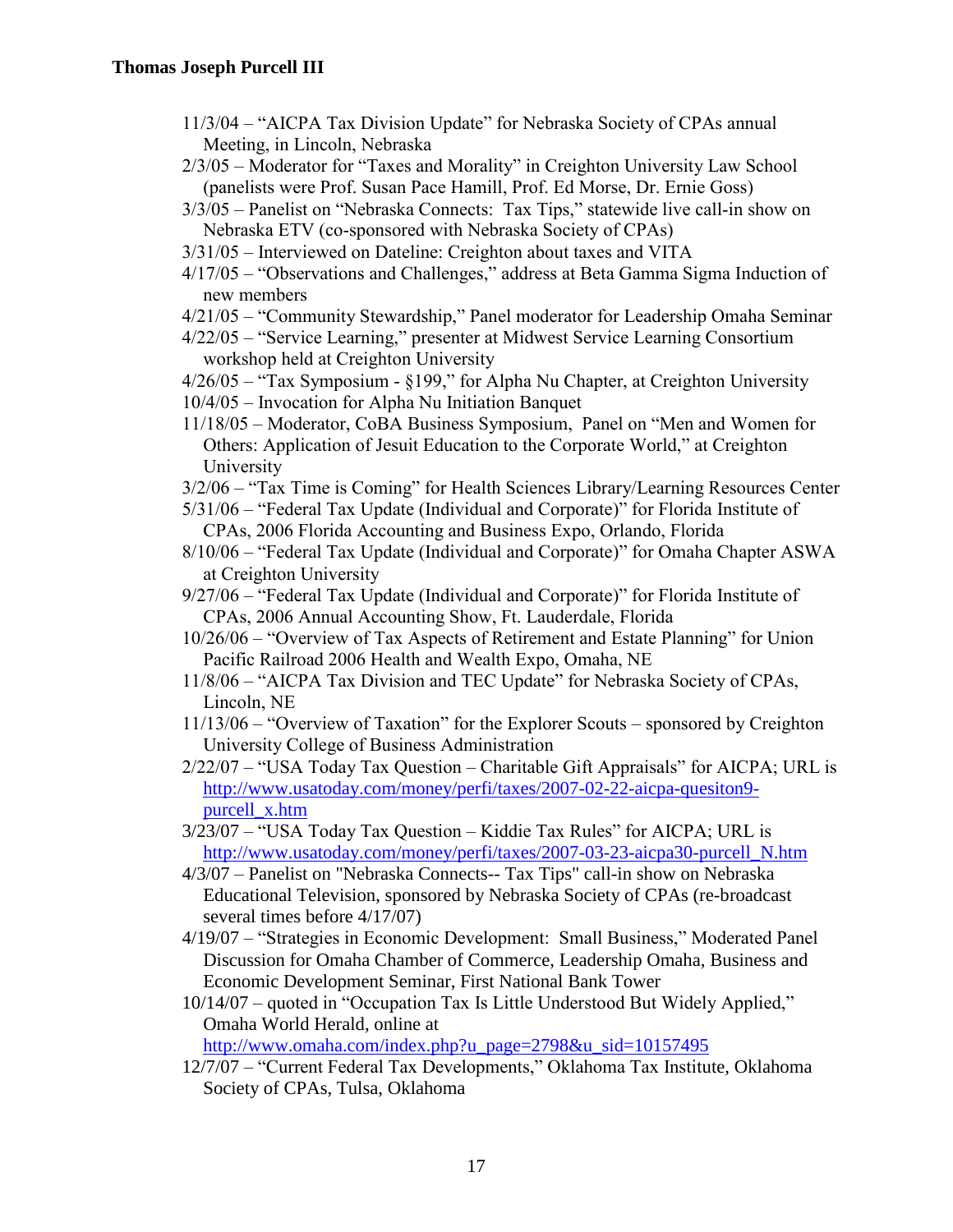- 11/3/04 "AICPA Tax Division Update" for Nebraska Society of CPAs annual Meeting, in Lincoln, Nebraska
- 2/3/05 Moderator for "Taxes and Morality" in Creighton University Law School (panelists were Prof. Susan Pace Hamill, Prof. Ed Morse, Dr. Ernie Goss)
- 3/3/05 Panelist on "Nebraska Connects: Tax Tips," statewide live call-in show on Nebraska ETV (co-sponsored with Nebraska Society of CPAs)
- 3/31/05 Interviewed on Dateline: Creighton about taxes and VITA
- 4/17/05 "Observations and Challenges," address at Beta Gamma Sigma Induction of new members
- 4/21/05 "Community Stewardship," Panel moderator for Leadership Omaha Seminar
- 4/22/05 "Service Learning," presenter at Midwest Service Learning Consortium workshop held at Creighton University
- 4/26/05 "Tax Symposium §199," for Alpha Nu Chapter, at Creighton University
- 10/4/05 Invocation for Alpha Nu Initiation Banquet
- 11/18/05 Moderator, CoBA Business Symposium, Panel on "Men and Women for Others: Application of Jesuit Education to the Corporate World," at Creighton University
- 3/2/06 "Tax Time is Coming" for Health Sciences Library/Learning Resources Center
- 5/31/06 "Federal Tax Update (Individual and Corporate)" for Florida Institute of CPAs, 2006 Florida Accounting and Business Expo, Orlando, Florida
- 8/10/06 "Federal Tax Update (Individual and Corporate)" for Omaha Chapter ASWA at Creighton University
- 9/27/06 "Federal Tax Update (Individual and Corporate)" for Florida Institute of CPAs, 2006 Annual Accounting Show, Ft. Lauderdale, Florida
- 10/26/06 "Overview of Tax Aspects of Retirement and Estate Planning" for Union Pacific Railroad 2006 Health and Wealth Expo, Omaha, NE
- 11/8/06 "AICPA Tax Division and TEC Update" for Nebraska Society of CPAs, Lincoln, NE
- 11/13/06 "Overview of Taxation" for the Explorer Scouts sponsored by Creighton University College of Business Administration
- 2/22/07 "USA Today Tax Question Charitable Gift Appraisals" for AICPA; URL is [http://www.usatoday.com/money/perfi/taxes/2007-02-22-aicpa-quesiton9](http://www.usatoday.com/money/perfi/taxes/2007-02-22-aicpa-quesiton9-purcell_x.htm) [purcell\\_x.htm](http://www.usatoday.com/money/perfi/taxes/2007-02-22-aicpa-quesiton9-purcell_x.htm)
- 3/23/07 "USA Today Tax Question Kiddie Tax Rules" for AICPA; URL is [http://www.usatoday.com/money/perfi/taxes/2007-03-23-aicpa30-purcell\\_N.htm](http://www.usatoday.com/money/perfi/taxes/2007-03-23-aicpa30-purcell_N.htm)
- 4/3/07 Panelist on "Nebraska Connects-- Tax Tips" call-in show on Nebraska Educational Television, sponsored by Nebraska Society of CPAs (re-broadcast several times before 4/17/07)
- 4/19/07 "Strategies in Economic Development: Small Business," Moderated Panel Discussion for Omaha Chamber of Commerce, Leadership Omaha, Business and Economic Development Seminar, First National Bank Tower
- 10/14/07 quoted in "Occupation Tax Is Little Understood But Widely Applied," Omaha World Herald, online at

[http://www.omaha.com/index.php?u\\_page=2798&u\\_sid=10157495](http://www.omaha.com/index.php?u_page=2798&u_sid=10157495)

12/7/07 – "Current Federal Tax Developments," Oklahoma Tax Institute, Oklahoma Society of CPAs, Tulsa, Oklahoma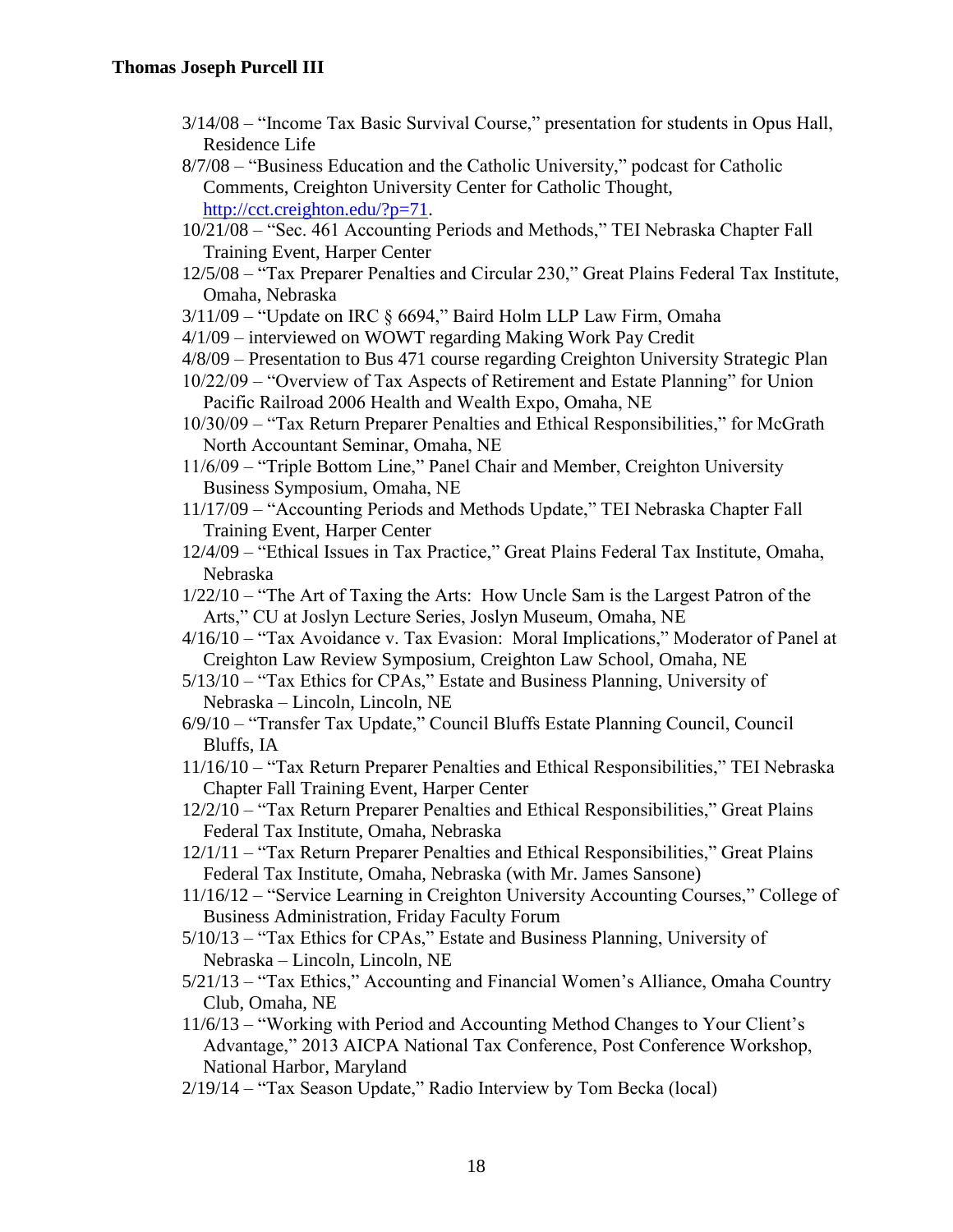- 3/14/08 "Income Tax Basic Survival Course," presentation for students in Opus Hall, Residence Life
- 8/7/08 "Business Education and the Catholic University," podcast for Catholic Comments, Creighton University Center for Catholic Thought, [http://cct.creighton.edu/?p=71.](http://cct.creighton.edu/?p=71)
- 10/21/08 "Sec. 461 Accounting Periods and Methods," TEI Nebraska Chapter Fall Training Event, Harper Center
- 12/5/08 "Tax Preparer Penalties and Circular 230," Great Plains Federal Tax Institute, Omaha, Nebraska
- 3/11/09 "Update on IRC § 6694," Baird Holm LLP Law Firm, Omaha
- 4/1/09 interviewed on WOWT regarding Making Work Pay Credit
- 4/8/09 Presentation to Bus 471 course regarding Creighton University Strategic Plan

10/22/09 – "Overview of Tax Aspects of Retirement and Estate Planning" for Union Pacific Railroad 2006 Health and Wealth Expo, Omaha, NE

- 10/30/09 "Tax Return Preparer Penalties and Ethical Responsibilities," for McGrath North Accountant Seminar, Omaha, NE
- 11/6/09 "Triple Bottom Line," Panel Chair and Member, Creighton University Business Symposium, Omaha, NE
- 11/17/09 "Accounting Periods and Methods Update," TEI Nebraska Chapter Fall Training Event, Harper Center
- 12/4/09 "Ethical Issues in Tax Practice," Great Plains Federal Tax Institute, Omaha, Nebraska
- 1/22/10 "The Art of Taxing the Arts: How Uncle Sam is the Largest Patron of the Arts," CU at Joslyn Lecture Series, Joslyn Museum, Omaha, NE
- 4/16/10 "Tax Avoidance v. Tax Evasion: Moral Implications," Moderator of Panel at Creighton Law Review Symposium, Creighton Law School, Omaha, NE
- 5/13/10 "Tax Ethics for CPAs," Estate and Business Planning, University of Nebraska – Lincoln, Lincoln, NE
- 6/9/10 "Transfer Tax Update," Council Bluffs Estate Planning Council, Council Bluffs, IA
- 11/16/10 "Tax Return Preparer Penalties and Ethical Responsibilities," TEI Nebraska Chapter Fall Training Event, Harper Center
- 12/2/10 "Tax Return Preparer Penalties and Ethical Responsibilities," Great Plains Federal Tax Institute, Omaha, Nebraska
- 12/1/11 "Tax Return Preparer Penalties and Ethical Responsibilities," Great Plains Federal Tax Institute, Omaha, Nebraska (with Mr. James Sansone)
- 11/16/12 "Service Learning in Creighton University Accounting Courses," College of Business Administration, Friday Faculty Forum
- 5/10/13 "Tax Ethics for CPAs," Estate and Business Planning, University of Nebraska – Lincoln, Lincoln, NE
- 5/21/13 "Tax Ethics," Accounting and Financial Women's Alliance, Omaha Country Club, Omaha, NE
- 11/6/13 "Working with Period and Accounting Method Changes to Your Client's Advantage," 2013 AICPA National Tax Conference, Post Conference Workshop, National Harbor, Maryland
- 2/19/14 "Tax Season Update," Radio Interview by Tom Becka (local)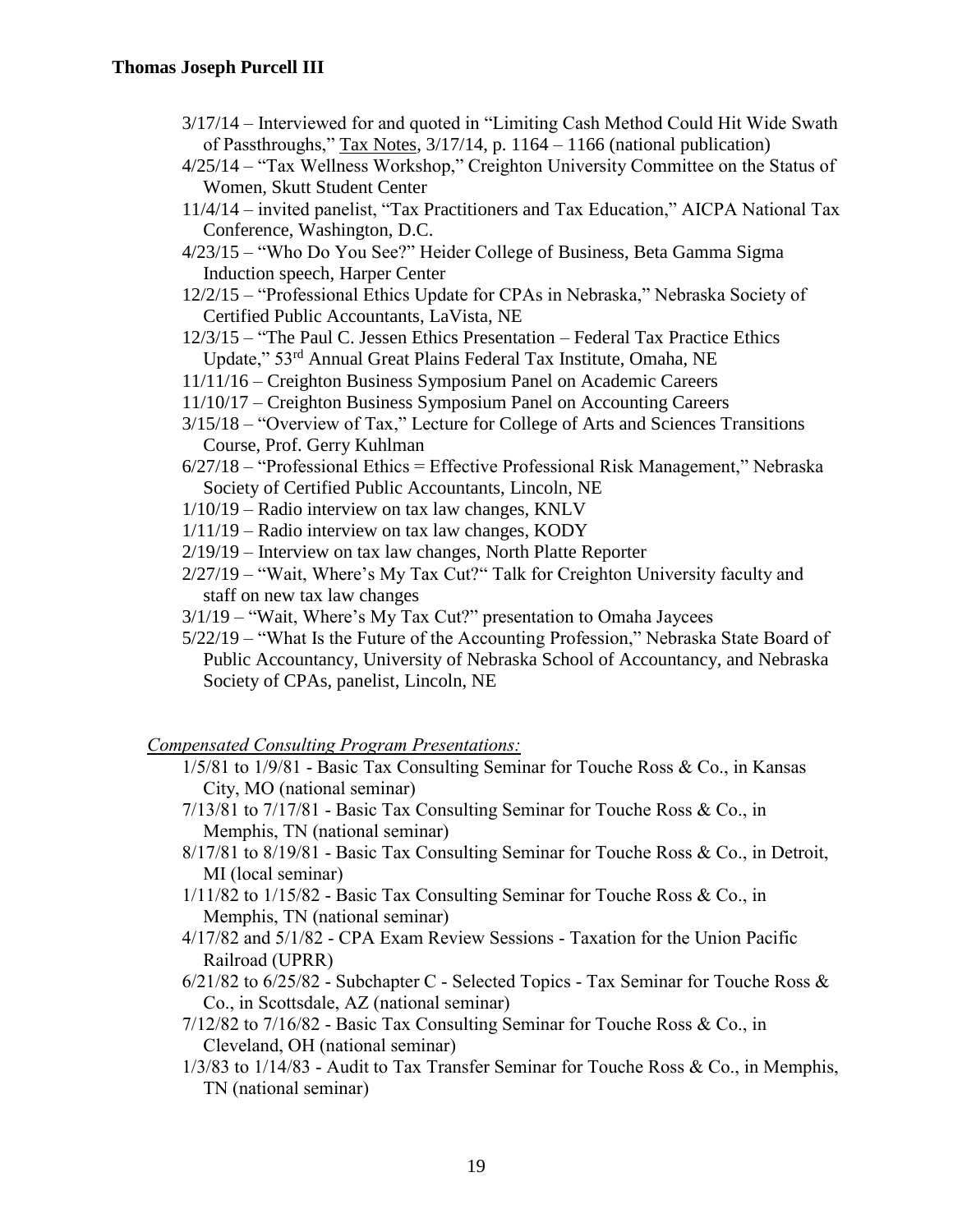- 3/17/14 Interviewed for and quoted in "Limiting Cash Method Could Hit Wide Swath of Passthroughs," Tax Notes, 3/17/14, p. 1164 – 1166 (national publication)
- 4/25/14 "Tax Wellness Workshop," Creighton University Committee on the Status of Women, Skutt Student Center
- 11/4/14 invited panelist, "Tax Practitioners and Tax Education," AICPA National Tax Conference, Washington, D.C.
- 4/23/15 "Who Do You See?" Heider College of Business, Beta Gamma Sigma Induction speech, Harper Center
- 12/2/15 "Professional Ethics Update for CPAs in Nebraska," Nebraska Society of Certified Public Accountants, LaVista, NE
- 12/3/15 "The Paul C. Jessen Ethics Presentation Federal Tax Practice Ethics Update," 53rd Annual Great Plains Federal Tax Institute, Omaha, NE
- 11/11/16 Creighton Business Symposium Panel on Academic Careers
- 11/10/17 Creighton Business Symposium Panel on Accounting Careers
- 3/15/18 "Overview of Tax," Lecture for College of Arts and Sciences Transitions Course, Prof. Gerry Kuhlman
- 6/27/18 "Professional Ethics = Effective Professional Risk Management," Nebraska Society of Certified Public Accountants, Lincoln, NE
- 1/10/19 Radio interview on tax law changes, KNLV
- 1/11/19 Radio interview on tax law changes, KODY
- 2/19/19 Interview on tax law changes, North Platte Reporter
- 2/27/19 "Wait, Where's My Tax Cut?" Talk for Creighton University faculty and staff on new tax law changes
- 3/1/19 "Wait, Where's My Tax Cut?" presentation to Omaha Jaycees
- 5/22/19 "What Is the Future of the Accounting Profession," Nebraska State Board of Public Accountancy, University of Nebraska School of Accountancy, and Nebraska Society of CPAs, panelist, Lincoln, NE

#### *Compensated Consulting Program Presentations:*

- 1/5/81 to 1/9/81 Basic Tax Consulting Seminar for Touche Ross & Co., in Kansas City, MO (national seminar)
- $7/13/81$  to  $7/17/81$  Basic Tax Consulting Seminar for Touche Ross & Co., in Memphis, TN (national seminar)
- 8/17/81 to 8/19/81 Basic Tax Consulting Seminar for Touche Ross & Co., in Detroit, MI (local seminar)
- 1/11/82 to 1/15/82 Basic Tax Consulting Seminar for Touche Ross & Co., in Memphis, TN (national seminar)
- 4/17/82 and 5/1/82 CPA Exam Review Sessions Taxation for the Union Pacific Railroad (UPRR)
- 6/21/82 to 6/25/82 Subchapter C Selected Topics Tax Seminar for Touche Ross & Co., in Scottsdale, AZ (national seminar)
- 7/12/82 to 7/16/82 Basic Tax Consulting Seminar for Touche Ross & Co., in Cleveland, OH (national seminar)
- 1/3/83 to 1/14/83 Audit to Tax Transfer Seminar for Touche Ross & Co., in Memphis, TN (national seminar)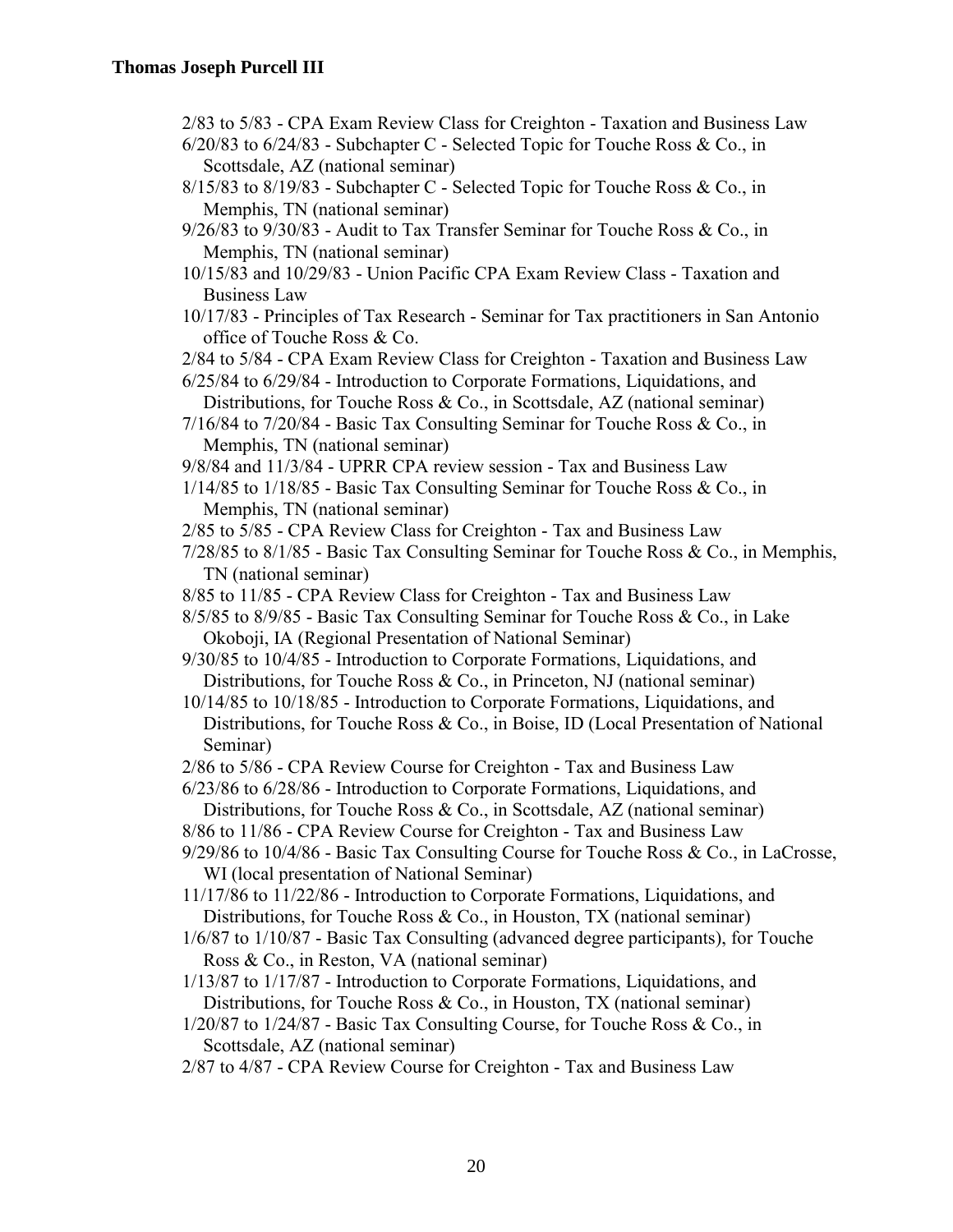- 2/83 to 5/83 CPA Exam Review Class for Creighton Taxation and Business Law
- 6/20/83 to 6/24/83 Subchapter C Selected Topic for Touche Ross & Co., in Scottsdale, AZ (national seminar)
- $8/15/83$  to  $8/19/83$  Subchapter C Selected Topic for Touche Ross & Co., in Memphis, TN (national seminar)
- 9/26/83 to 9/30/83 Audit to Tax Transfer Seminar for Touche Ross & Co., in Memphis, TN (national seminar)
- 10/15/83 and 10/29/83 Union Pacific CPA Exam Review Class Taxation and Business Law
- 10/17/83 Principles of Tax Research Seminar for Tax practitioners in San Antonio office of Touche Ross & Co.

2/84 to 5/84 - CPA Exam Review Class for Creighton - Taxation and Business Law

- 6/25/84 to 6/29/84 Introduction to Corporate Formations, Liquidations, and
- Distributions, for Touche Ross & Co., in Scottsdale, AZ (national seminar)  $7/16/84$  to  $7/20/84$  - Basic Tax Consulting Seminar for Touche Ross & Co., in

Memphis, TN (national seminar)

- 9/8/84 and 11/3/84 UPRR CPA review session Tax and Business Law
- 1/14/85 to 1/18/85 Basic Tax Consulting Seminar for Touche Ross & Co., in Memphis, TN (national seminar)
- 2/85 to 5/85 CPA Review Class for Creighton Tax and Business Law
- 7/28/85 to 8/1/85 Basic Tax Consulting Seminar for Touche Ross & Co., in Memphis, TN (national seminar)
- 8/85 to 11/85 CPA Review Class for Creighton Tax and Business Law
- 8/5/85 to 8/9/85 Basic Tax Consulting Seminar for Touche Ross & Co., in Lake Okoboji, IA (Regional Presentation of National Seminar)
- 9/30/85 to 10/4/85 Introduction to Corporate Formations, Liquidations, and Distributions, for Touche Ross & Co., in Princeton, NJ (national seminar)
- 10/14/85 to 10/18/85 Introduction to Corporate Formations, Liquidations, and Distributions, for Touche Ross & Co., in Boise, ID (Local Presentation of National Seminar)
- 2/86 to 5/86 CPA Review Course for Creighton Tax and Business Law
- 6/23/86 to 6/28/86 Introduction to Corporate Formations, Liquidations, and Distributions, for Touche Ross & Co., in Scottsdale, AZ (national seminar)
- 8/86 to 11/86 CPA Review Course for Creighton Tax and Business Law
- 9/29/86 to 10/4/86 Basic Tax Consulting Course for Touche Ross & Co., in LaCrosse, WI (local presentation of National Seminar)
- 11/17/86 to 11/22/86 Introduction to Corporate Formations, Liquidations, and Distributions, for Touche Ross & Co., in Houston, TX (national seminar)
- 1/6/87 to 1/10/87 Basic Tax Consulting (advanced degree participants), for Touche Ross & Co., in Reston, VA (national seminar)
- 1/13/87 to 1/17/87 Introduction to Corporate Formations, Liquidations, and Distributions, for Touche Ross & Co., in Houston, TX (national seminar)
- 1/20/87 to 1/24/87 Basic Tax Consulting Course, for Touche Ross & Co., in Scottsdale, AZ (national seminar)
- 2/87 to 4/87 CPA Review Course for Creighton Tax and Business Law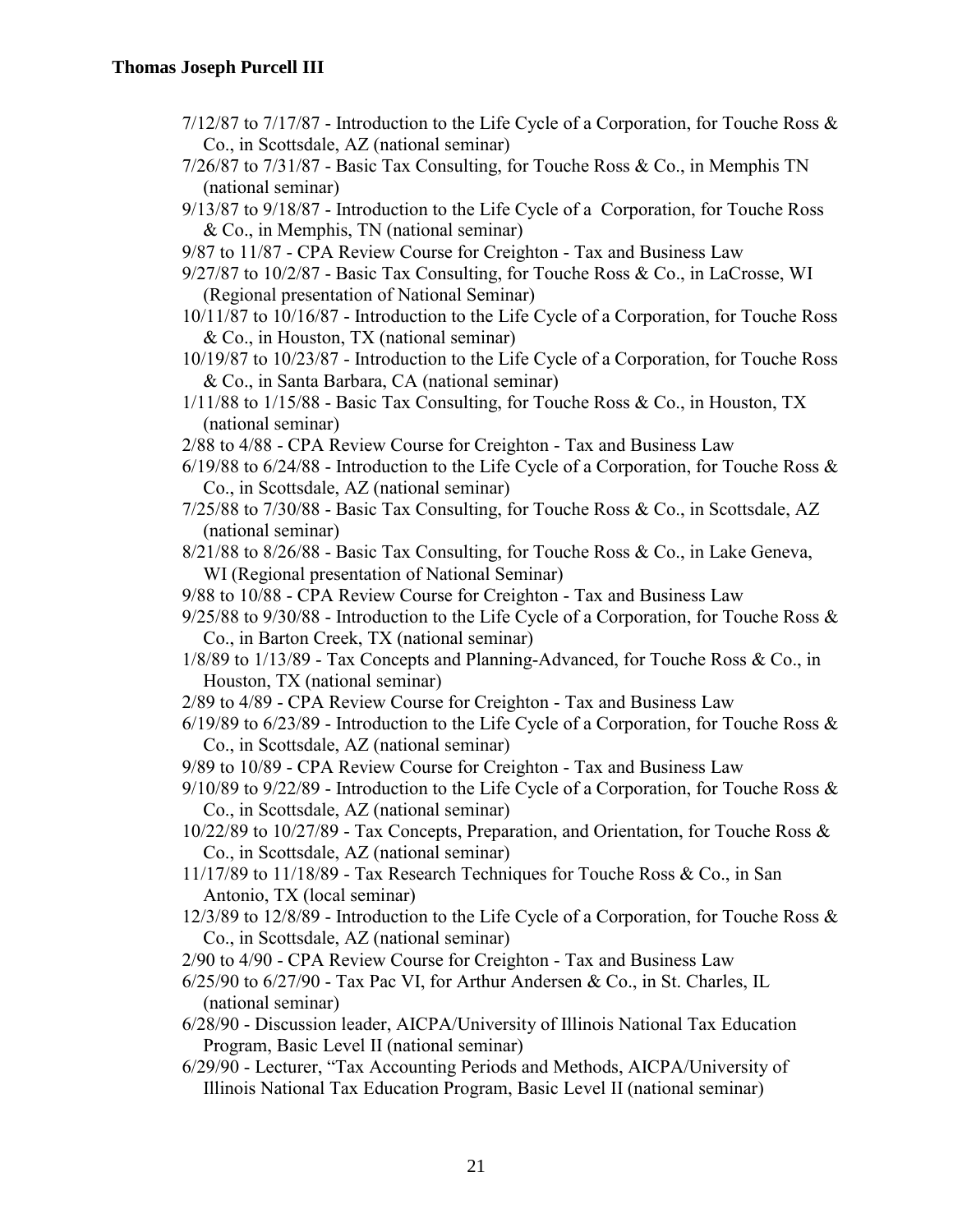- 7/12/87 to 7/17/87 Introduction to the Life Cycle of a Corporation, for Touche Ross & Co., in Scottsdale, AZ (national seminar)
- 7/26/87 to 7/31/87 Basic Tax Consulting, for Touche Ross & Co., in Memphis TN (national seminar)
- 9/13/87 to 9/18/87 Introduction to the Life Cycle of a Corporation, for Touche Ross & Co., in Memphis, TN (national seminar)
- 9/87 to 11/87 CPA Review Course for Creighton Tax and Business Law
- 9/27/87 to 10/2/87 Basic Tax Consulting, for Touche Ross & Co., in LaCrosse, WI (Regional presentation of National Seminar)
- 10/11/87 to 10/16/87 Introduction to the Life Cycle of a Corporation, for Touche Ross & Co., in Houston, TX (national seminar)

10/19/87 to 10/23/87 - Introduction to the Life Cycle of a Corporation, for Touche Ross & Co., in Santa Barbara, CA (national seminar)

- 1/11/88 to 1/15/88 Basic Tax Consulting, for Touche Ross & Co., in Houston, TX (national seminar)
- 2/88 to 4/88 CPA Review Course for Creighton Tax and Business Law
- $6/19/88$  to  $6/24/88$  Introduction to the Life Cycle of a Corporation, for Touche Ross & Co., in Scottsdale, AZ (national seminar)
- 7/25/88 to 7/30/88 Basic Tax Consulting, for Touche Ross & Co., in Scottsdale, AZ (national seminar)
- 8/21/88 to 8/26/88 Basic Tax Consulting, for Touche Ross & Co., in Lake Geneva, WI (Regional presentation of National Seminar)
- 9/88 to 10/88 CPA Review Course for Creighton Tax and Business Law
- 9/25/88 to 9/30/88 Introduction to the Life Cycle of a Corporation, for Touche Ross & Co., in Barton Creek, TX (national seminar)
- 1/8/89 to 1/13/89 Tax Concepts and Planning-Advanced, for Touche Ross & Co., in Houston, TX (national seminar)
- 2/89 to 4/89 CPA Review Course for Creighton Tax and Business Law
- $6/19/89$  to  $6/23/89$  Introduction to the Life Cycle of a Corporation, for Touche Ross & Co., in Scottsdale, AZ (national seminar)
- 9/89 to 10/89 CPA Review Course for Creighton Tax and Business Law
- 9/10/89 to 9/22/89 Introduction to the Life Cycle of a Corporation, for Touche Ross & Co., in Scottsdale, AZ (national seminar)
- 10/22/89 to 10/27/89 Tax Concepts, Preparation, and Orientation, for Touche Ross & Co., in Scottsdale, AZ (national seminar)
- 11/17/89 to 11/18/89 Tax Research Techniques for Touche Ross & Co., in San Antonio, TX (local seminar)
- 12/3/89 to 12/8/89 Introduction to the Life Cycle of a Corporation, for Touche Ross & Co., in Scottsdale, AZ (national seminar)
- 2/90 to 4/90 CPA Review Course for Creighton Tax and Business Law
- 6/25/90 to 6/27/90 Tax Pac VI, for Arthur Andersen & Co., in St. Charles, IL (national seminar)
- 6/28/90 Discussion leader, AICPA/University of Illinois National Tax Education Program, Basic Level II (national seminar)
- 6/29/90 Lecturer, "Tax Accounting Periods and Methods, AICPA/University of Illinois National Tax Education Program, Basic Level II (national seminar)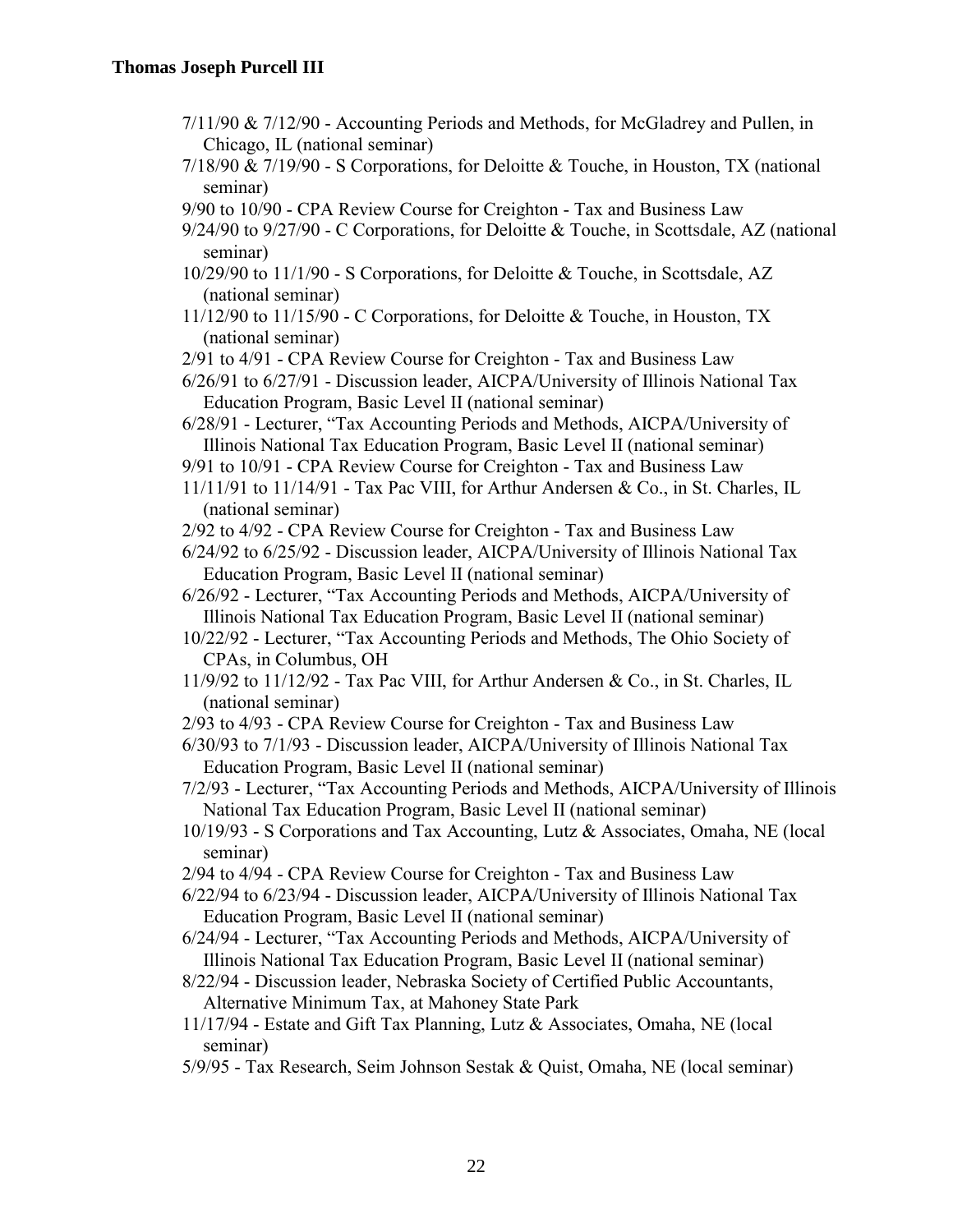- 7/11/90 & 7/12/90 Accounting Periods and Methods, for McGladrey and Pullen, in Chicago, IL (national seminar)
- 7/18/90 & 7/19/90 S Corporations, for Deloitte & Touche, in Houston, TX (national seminar)
- 9/90 to 10/90 CPA Review Course for Creighton Tax and Business Law

9/24/90 to 9/27/90 - C Corporations, for Deloitte & Touche, in Scottsdale, AZ (national seminar)

- 10/29/90 to 11/1/90 S Corporations, for Deloitte & Touche, in Scottsdale, AZ (national seminar)
- 11/12/90 to 11/15/90 C Corporations, for Deloitte & Touche, in Houston, TX (national seminar)
- 2/91 to 4/91 CPA Review Course for Creighton Tax and Business Law

6/26/91 to 6/27/91 - Discussion leader, AICPA/University of Illinois National Tax Education Program, Basic Level II (national seminar)

- 6/28/91 Lecturer, "Tax Accounting Periods and Methods, AICPA/University of Illinois National Tax Education Program, Basic Level II (national seminar)
- 9/91 to 10/91 CPA Review Course for Creighton Tax and Business Law
- 11/11/91 to 11/14/91 Tax Pac VIII, for Arthur Andersen & Co., in St. Charles, IL (national seminar)
- 2/92 to 4/92 CPA Review Course for Creighton Tax and Business Law

6/24/92 to 6/25/92 - Discussion leader, AICPA/University of Illinois National Tax Education Program, Basic Level II (national seminar)

6/26/92 - Lecturer, "Tax Accounting Periods and Methods, AICPA/University of Illinois National Tax Education Program, Basic Level II (national seminar)

10/22/92 - Lecturer, "Tax Accounting Periods and Methods, The Ohio Society of CPAs, in Columbus, OH

- 11/9/92 to 11/12/92 Tax Pac VIII, for Arthur Andersen & Co., in St. Charles, IL (national seminar)
- 2/93 to 4/93 CPA Review Course for Creighton Tax and Business Law
- 6/30/93 to 7/1/93 Discussion leader, AICPA/University of Illinois National Tax Education Program, Basic Level II (national seminar)
- 7/2/93 Lecturer, "Tax Accounting Periods and Methods, AICPA/University of Illinois National Tax Education Program, Basic Level II (national seminar)
- 10/19/93 S Corporations and Tax Accounting, Lutz & Associates, Omaha, NE (local seminar)
- 2/94 to 4/94 CPA Review Course for Creighton Tax and Business Law
- 6/22/94 to 6/23/94 Discussion leader, AICPA/University of Illinois National Tax Education Program, Basic Level II (national seminar)
- 6/24/94 Lecturer, "Tax Accounting Periods and Methods, AICPA/University of Illinois National Tax Education Program, Basic Level II (national seminar)
- 8/22/94 Discussion leader, Nebraska Society of Certified Public Accountants, Alternative Minimum Tax, at Mahoney State Park
- 11/17/94 Estate and Gift Tax Planning, Lutz & Associates, Omaha, NE (local seminar)
- 5/9/95 Tax Research, Seim Johnson Sestak & Quist, Omaha, NE (local seminar)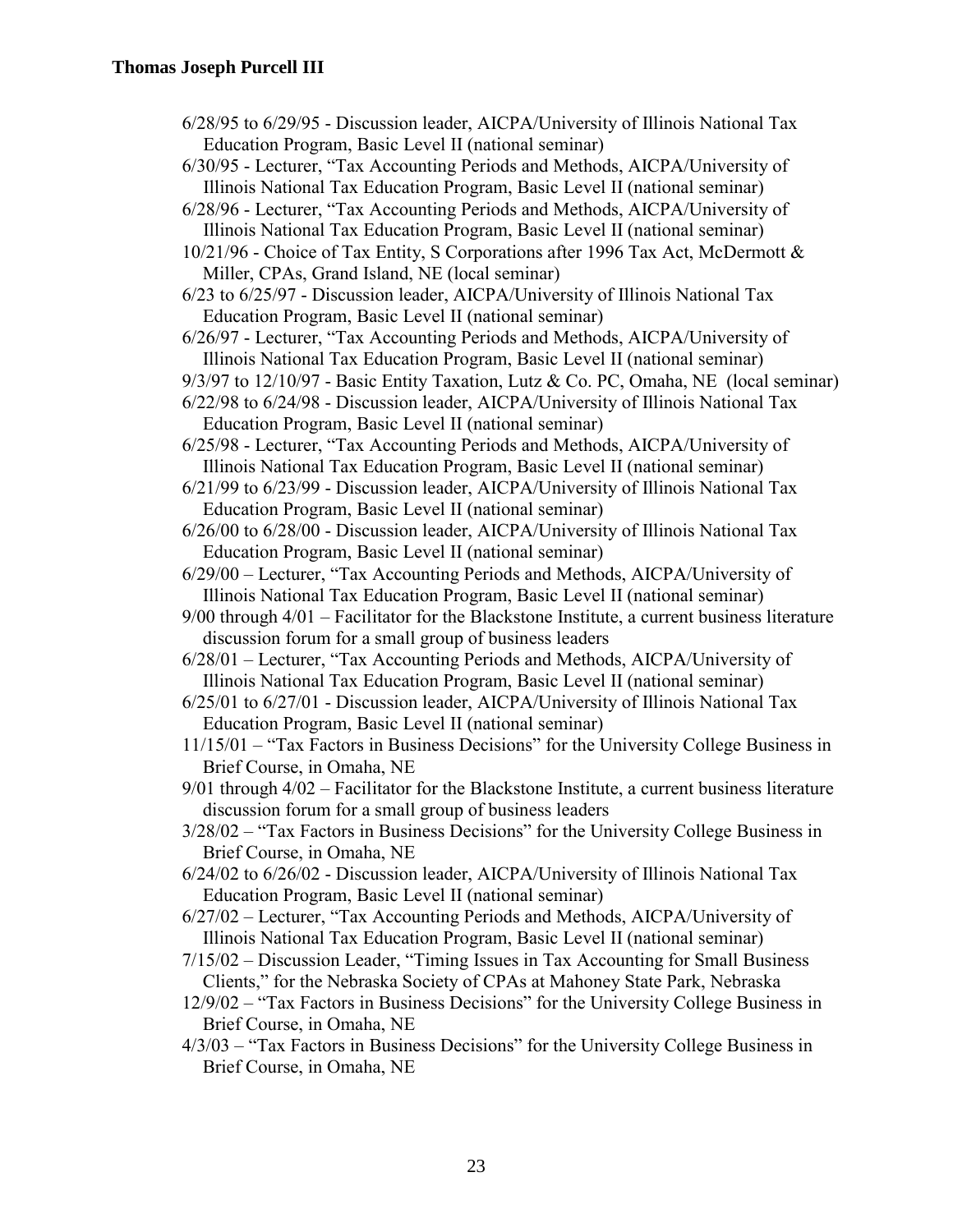- 6/28/95 to 6/29/95 Discussion leader, AICPA/University of Illinois National Tax Education Program, Basic Level II (national seminar)
- 6/30/95 Lecturer, "Tax Accounting Periods and Methods, AICPA/University of Illinois National Tax Education Program, Basic Level II (national seminar)
- 6/28/96 Lecturer, "Tax Accounting Periods and Methods, AICPA/University of Illinois National Tax Education Program, Basic Level II (national seminar)
- 10/21/96 Choice of Tax Entity, S Corporations after 1996 Tax Act, McDermott & Miller, CPAs, Grand Island, NE (local seminar)
- 6/23 to 6/25/97 Discussion leader, AICPA/University of Illinois National Tax Education Program, Basic Level II (national seminar)
- 6/26/97 Lecturer, "Tax Accounting Periods and Methods, AICPA/University of Illinois National Tax Education Program, Basic Level II (national seminar)
- 9/3/97 to 12/10/97 Basic Entity Taxation, Lutz & Co. PC, Omaha, NE (local seminar)
- 6/22/98 to 6/24/98 Discussion leader, AICPA/University of Illinois National Tax Education Program, Basic Level II (national seminar)
- 6/25/98 Lecturer, "Tax Accounting Periods and Methods, AICPA/University of Illinois National Tax Education Program, Basic Level II (national seminar)
- 6/21/99 to 6/23/99 Discussion leader, AICPA/University of Illinois National Tax Education Program, Basic Level II (national seminar)
- 6/26/00 to 6/28/00 Discussion leader, AICPA/University of Illinois National Tax Education Program, Basic Level II (national seminar)
- 6/29/00 Lecturer, "Tax Accounting Periods and Methods, AICPA/University of Illinois National Tax Education Program, Basic Level II (national seminar)
- 9/00 through 4/01 Facilitator for the Blackstone Institute, a current business literature discussion forum for a small group of business leaders
- 6/28/01 Lecturer, "Tax Accounting Periods and Methods, AICPA/University of Illinois National Tax Education Program, Basic Level II (national seminar)
- 6/25/01 to 6/27/01 Discussion leader, AICPA/University of Illinois National Tax Education Program, Basic Level II (national seminar)
- 11/15/01 "Tax Factors in Business Decisions" for the University College Business in Brief Course, in Omaha, NE
- 9/01 through 4/02 Facilitator for the Blackstone Institute, a current business literature discussion forum for a small group of business leaders
- 3/28/02 "Tax Factors in Business Decisions" for the University College Business in Brief Course, in Omaha, NE
- 6/24/02 to 6/26/02 Discussion leader, AICPA/University of Illinois National Tax Education Program, Basic Level II (national seminar)
- 6/27/02 Lecturer, "Tax Accounting Periods and Methods, AICPA/University of Illinois National Tax Education Program, Basic Level II (national seminar)
- 7/15/02 Discussion Leader, "Timing Issues in Tax Accounting for Small Business Clients," for the Nebraska Society of CPAs at Mahoney State Park, Nebraska
- 12/9/02 "Tax Factors in Business Decisions" for the University College Business in Brief Course, in Omaha, NE
- 4/3/03 "Tax Factors in Business Decisions" for the University College Business in Brief Course, in Omaha, NE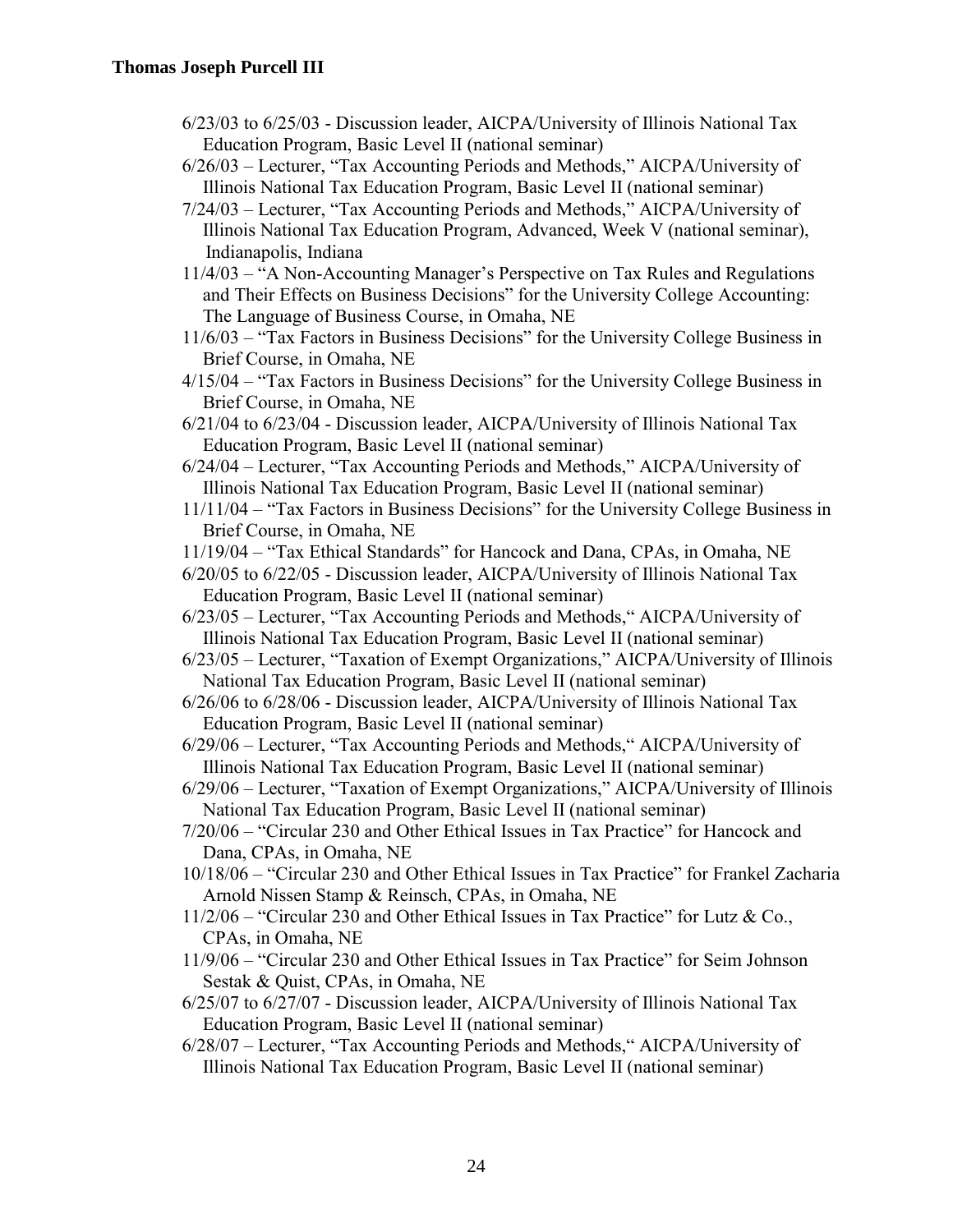- 6/23/03 to 6/25/03 Discussion leader, AICPA/University of Illinois National Tax Education Program, Basic Level II (national seminar)
- 6/26/03 Lecturer, "Tax Accounting Periods and Methods," AICPA/University of Illinois National Tax Education Program, Basic Level II (national seminar)
- 7/24/03 Lecturer, "Tax Accounting Periods and Methods," AICPA/University of Illinois National Tax Education Program, Advanced, Week V (national seminar), Indianapolis, Indiana
- 11/4/03 "A Non-Accounting Manager's Perspective on Tax Rules and Regulations and Their Effects on Business Decisions" for the University College Accounting: The Language of Business Course, in Omaha, NE
- 11/6/03 "Tax Factors in Business Decisions" for the University College Business in Brief Course, in Omaha, NE
- 4/15/04 "Tax Factors in Business Decisions" for the University College Business in Brief Course, in Omaha, NE
- 6/21/04 to 6/23/04 Discussion leader, AICPA/University of Illinois National Tax Education Program, Basic Level II (national seminar)
- 6/24/04 Lecturer, "Tax Accounting Periods and Methods," AICPA/University of Illinois National Tax Education Program, Basic Level II (national seminar)
- 11/11/04 "Tax Factors in Business Decisions" for the University College Business in Brief Course, in Omaha, NE
- 11/19/04 "Tax Ethical Standards" for Hancock and Dana, CPAs, in Omaha, NE
- 6/20/05 to 6/22/05 Discussion leader, AICPA/University of Illinois National Tax Education Program, Basic Level II (national seminar)
- 6/23/05 Lecturer, "Tax Accounting Periods and Methods," AICPA/University of Illinois National Tax Education Program, Basic Level II (national seminar)
- 6/23/05 Lecturer, "Taxation of Exempt Organizations," AICPA/University of Illinois National Tax Education Program, Basic Level II (national seminar)
- 6/26/06 to 6/28/06 Discussion leader, AICPA/University of Illinois National Tax Education Program, Basic Level II (national seminar)
- 6/29/06 Lecturer, "Tax Accounting Periods and Methods," AICPA/University of Illinois National Tax Education Program, Basic Level II (national seminar)
- 6/29/06 Lecturer, "Taxation of Exempt Organizations," AICPA/University of Illinois National Tax Education Program, Basic Level II (national seminar)
- 7/20/06 "Circular 230 and Other Ethical Issues in Tax Practice" for Hancock and Dana, CPAs, in Omaha, NE
- 10/18/06 "Circular 230 and Other Ethical Issues in Tax Practice" for Frankel Zacharia Arnold Nissen Stamp & Reinsch, CPAs, in Omaha, NE
- 11/2/06 "Circular 230 and Other Ethical Issues in Tax Practice" for Lutz & Co., CPAs, in Omaha, NE
- 11/9/06 "Circular 230 and Other Ethical Issues in Tax Practice" for Seim Johnson Sestak & Quist, CPAs, in Omaha, NE
- 6/25/07 to 6/27/07 Discussion leader, AICPA/University of Illinois National Tax Education Program, Basic Level II (national seminar)
- 6/28/07 Lecturer, "Tax Accounting Periods and Methods," AICPA/University of Illinois National Tax Education Program, Basic Level II (national seminar)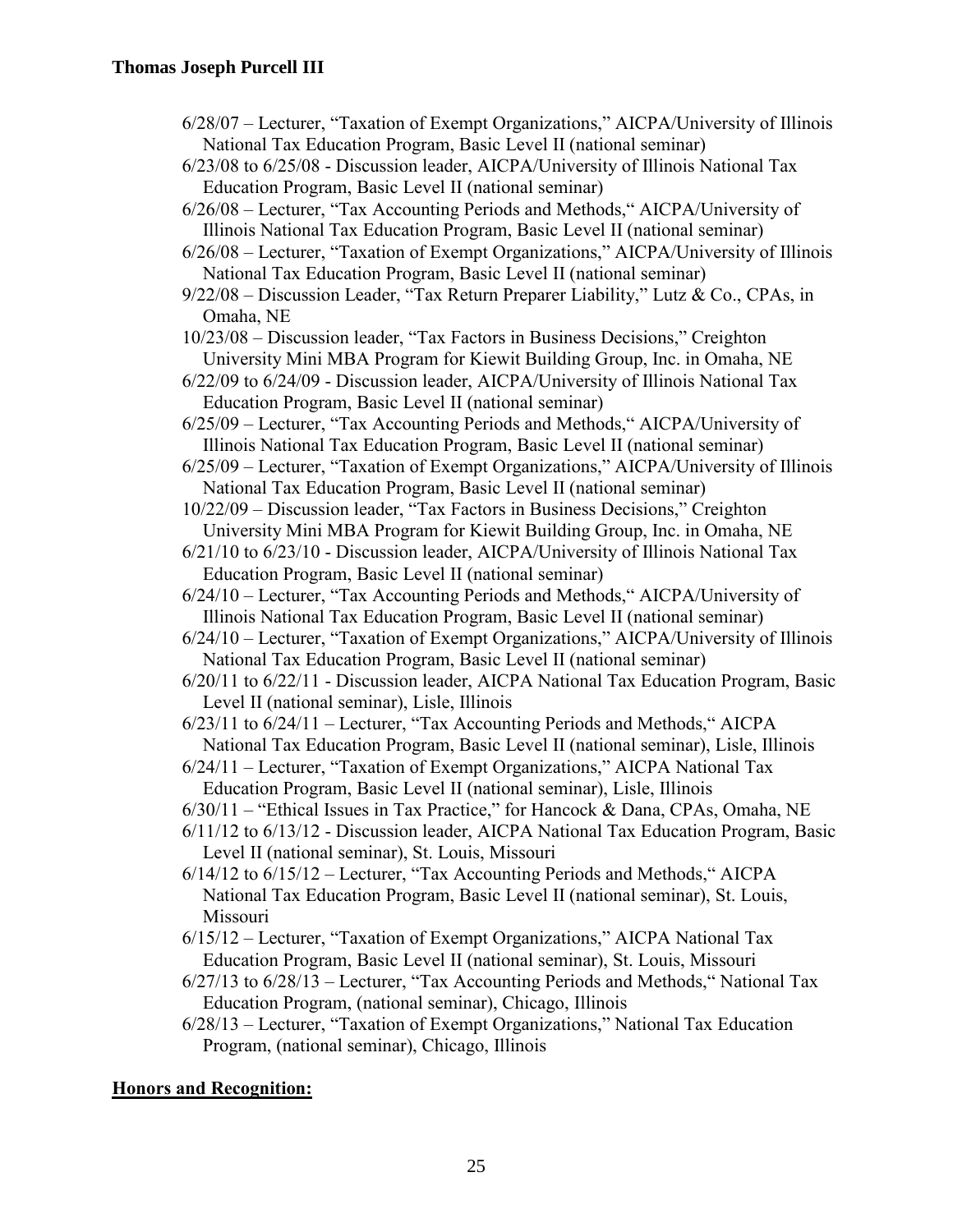| 6/28/07 – Lecturer, "Taxation of Exempt Organizations," AICPA/University of Illinois |
|--------------------------------------------------------------------------------------|
| National Tax Education Program, Basic Level II (national seminar)                    |

- 6/23/08 to 6/25/08 Discussion leader, AICPA/University of Illinois National Tax Education Program, Basic Level II (national seminar)
- 6/26/08 Lecturer, "Tax Accounting Periods and Methods," AICPA/University of Illinois National Tax Education Program, Basic Level II (national seminar)

6/26/08 – Lecturer, "Taxation of Exempt Organizations," AICPA/University of Illinois National Tax Education Program, Basic Level II (national seminar)

9/22/08 – Discussion Leader, "Tax Return Preparer Liability," Lutz & Co., CPAs, in Omaha, NE

- 10/23/08 Discussion leader, "Tax Factors in Business Decisions," Creighton University Mini MBA Program for Kiewit Building Group, Inc. in Omaha, NE
- 6/22/09 to 6/24/09 Discussion leader, AICPA/University of Illinois National Tax Education Program, Basic Level II (national seminar)
- 6/25/09 Lecturer, "Tax Accounting Periods and Methods," AICPA/University of Illinois National Tax Education Program, Basic Level II (national seminar)
- 6/25/09 Lecturer, "Taxation of Exempt Organizations," AICPA/University of Illinois National Tax Education Program, Basic Level II (national seminar)
- 10/22/09 Discussion leader, "Tax Factors in Business Decisions," Creighton University Mini MBA Program for Kiewit Building Group, Inc. in Omaha, NE
- 6/21/10 to 6/23/10 Discussion leader, AICPA/University of Illinois National Tax Education Program, Basic Level II (national seminar)
- 6/24/10 Lecturer, "Tax Accounting Periods and Methods," AICPA/University of Illinois National Tax Education Program, Basic Level II (national seminar)
- 6/24/10 Lecturer, "Taxation of Exempt Organizations," AICPA/University of Illinois National Tax Education Program, Basic Level II (national seminar)
- 6/20/11 to 6/22/11 Discussion leader, AICPA National Tax Education Program, Basic Level II (national seminar), Lisle, Illinois
- 6/23/11 to 6/24/11 Lecturer, "Tax Accounting Periods and Methods," AICPA National Tax Education Program, Basic Level II (national seminar), Lisle, Illinois
- 6/24/11 Lecturer, "Taxation of Exempt Organizations," AICPA National Tax Education Program, Basic Level II (national seminar), Lisle, Illinois
- 6/30/11 "Ethical Issues in Tax Practice," for Hancock & Dana, CPAs, Omaha, NE
- 6/11/12 to 6/13/12 Discussion leader, AICPA National Tax Education Program, Basic Level II (national seminar), St. Louis, Missouri
- 6/14/12 to 6/15/12 Lecturer, "Tax Accounting Periods and Methods," AICPA National Tax Education Program, Basic Level II (national seminar), St. Louis, Missouri
- 6/15/12 Lecturer, "Taxation of Exempt Organizations," AICPA National Tax Education Program, Basic Level II (national seminar), St. Louis, Missouri
- 6/27/13 to 6/28/13 Lecturer, "Tax Accounting Periods and Methods," National Tax Education Program, (national seminar), Chicago, Illinois
- 6/28/13 Lecturer, "Taxation of Exempt Organizations," National Tax Education Program, (national seminar), Chicago, Illinois

# **Honors and Recognition:**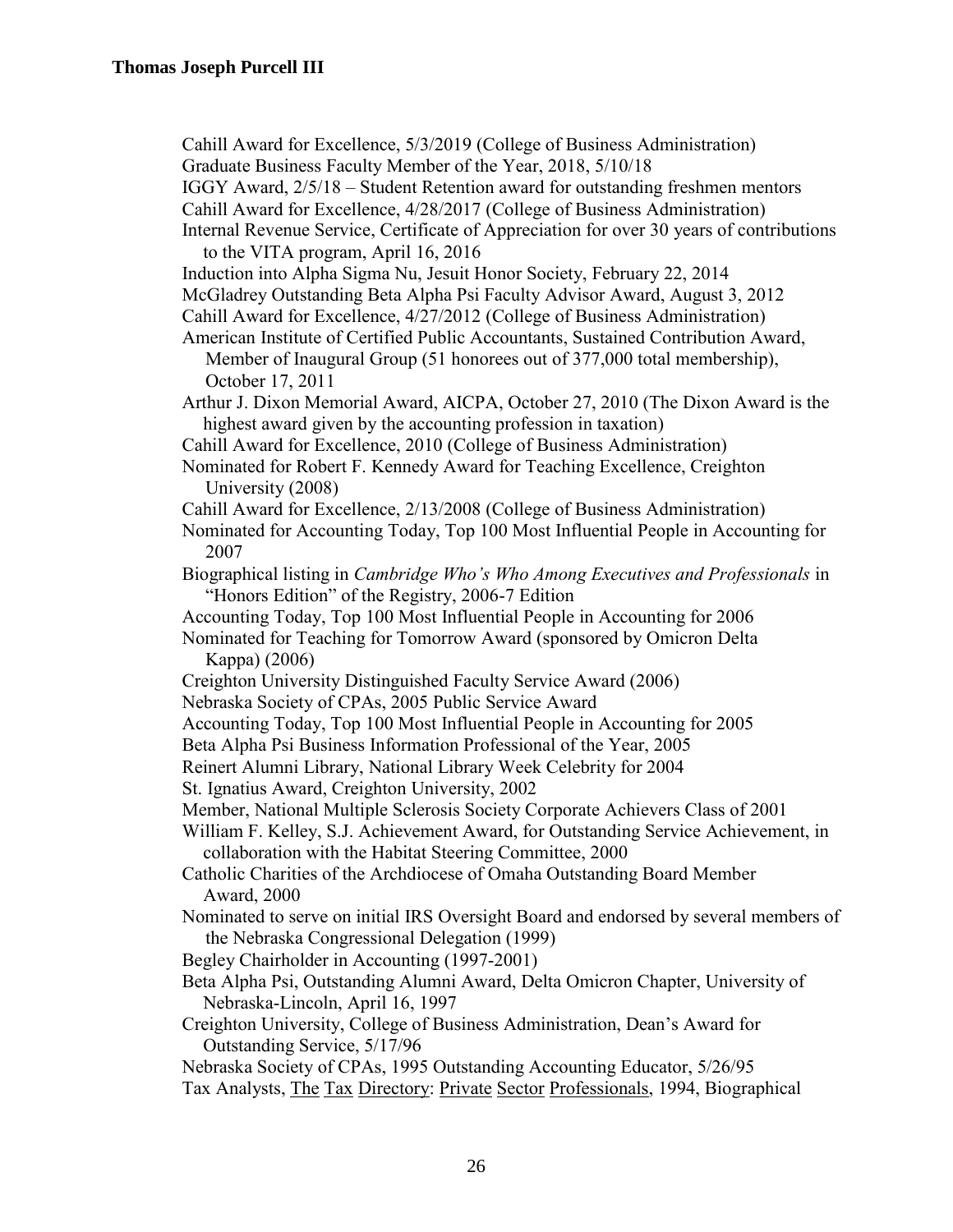Cahill Award for Excellence, 5/3/2019 (College of Business Administration)

Graduate Business Faculty Member of the Year, 2018, 5/10/18

IGGY Award, 2/5/18 – Student Retention award for outstanding freshmen mentors

Cahill Award for Excellence, 4/28/2017 (College of Business Administration)

Internal Revenue Service, Certificate of Appreciation for over 30 years of contributions to the VITA program, April 16, 2016

Induction into Alpha Sigma Nu, Jesuit Honor Society, February 22, 2014

McGladrey Outstanding Beta Alpha Psi Faculty Advisor Award, August 3, 2012 Cahill Award for Excellence, 4/27/2012 (College of Business Administration)

American Institute of Certified Public Accountants, Sustained Contribution Award, Member of Inaugural Group (51 honorees out of 377,000 total membership), October 17, 2011

Arthur J. Dixon Memorial Award, AICPA, October 27, 2010 (The Dixon Award is the highest award given by the accounting profession in taxation)

Cahill Award for Excellence, 2010 (College of Business Administration)

Nominated for Robert F. Kennedy Award for Teaching Excellence, Creighton University (2008)

Cahill Award for Excellence, 2/13/2008 (College of Business Administration)

Nominated for Accounting Today, Top 100 Most Influential People in Accounting for 2007

Biographical listing in *Cambridge Who's Who Among Executives and Professionals* in "Honors Edition" of the Registry, 2006-7 Edition

Accounting Today, Top 100 Most Influential People in Accounting for 2006

Nominated for Teaching for Tomorrow Award (sponsored by Omicron Delta Kappa) (2006)

Creighton University Distinguished Faculty Service Award (2006)

Nebraska Society of CPAs, 2005 Public Service Award

Accounting Today, Top 100 Most Influential People in Accounting for 2005

Beta Alpha Psi Business Information Professional of the Year, 2005

Reinert Alumni Library, National Library Week Celebrity for 2004

St. Ignatius Award, Creighton University, 2002

Member, National Multiple Sclerosis Society Corporate Achievers Class of 2001

William F. Kelley, S.J. Achievement Award, for Outstanding Service Achievement, in collaboration with the Habitat Steering Committee, 2000

Catholic Charities of the Archdiocese of Omaha Outstanding Board Member Award, 2000

Nominated to serve on initial IRS Oversight Board and endorsed by several members of the Nebraska Congressional Delegation (1999)

Begley Chairholder in Accounting (1997-2001)

Beta Alpha Psi, Outstanding Alumni Award, Delta Omicron Chapter, University of Nebraska-Lincoln, April 16, 1997

Creighton University, College of Business Administration, Dean's Award for Outstanding Service, 5/17/96

Nebraska Society of CPAs, 1995 Outstanding Accounting Educator, 5/26/95

Tax Analysts, The Tax Directory: Private Sector Professionals, 1994, Biographical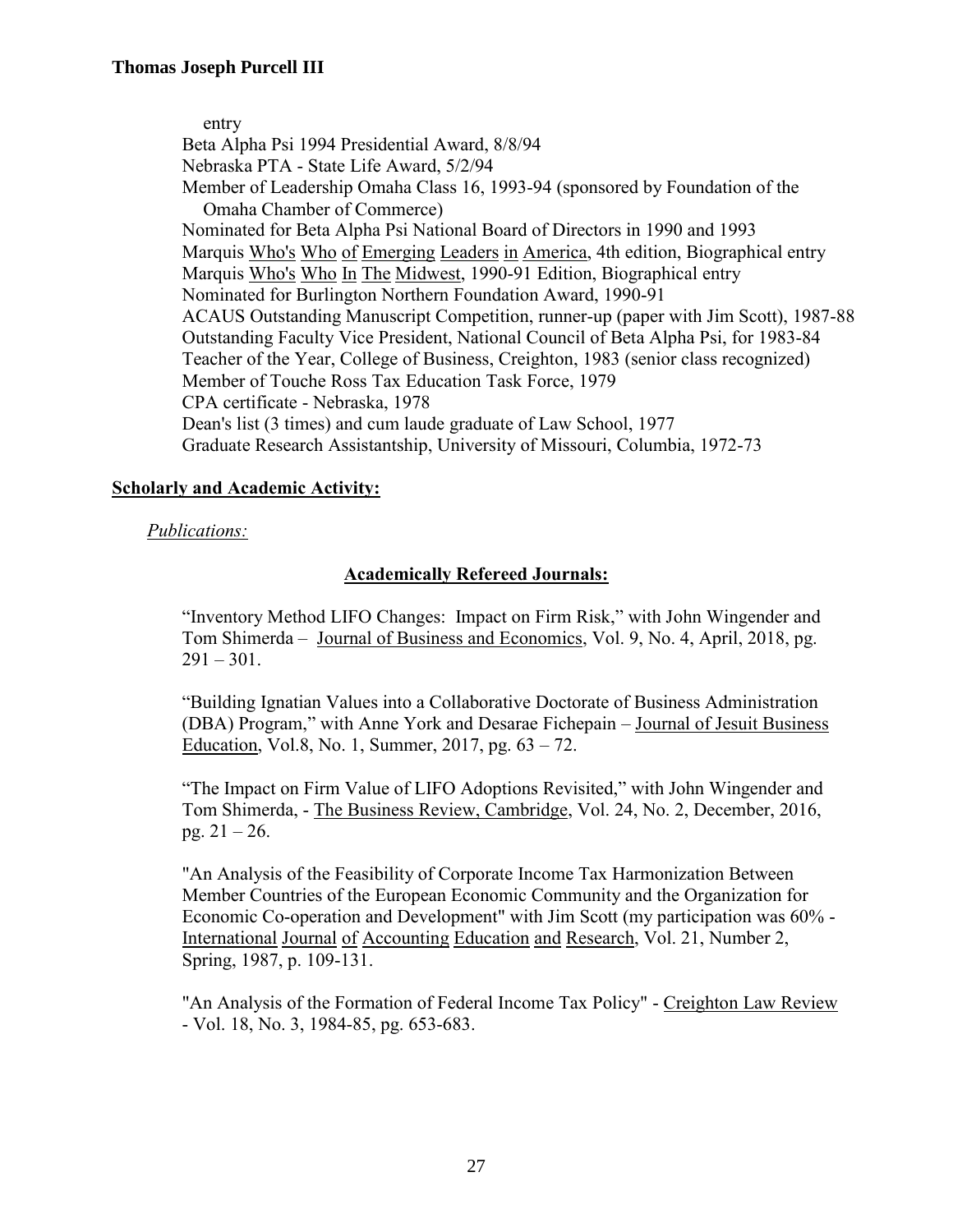entry Beta Alpha Psi 1994 Presidential Award, 8/8/94 Nebraska PTA - State Life Award, 5/2/94 Member of Leadership Omaha Class 16, 1993-94 (sponsored by Foundation of the Omaha Chamber of Commerce) Nominated for Beta Alpha Psi National Board of Directors in 1990 and 1993 Marquis Who's Who of Emerging Leaders in America, 4th edition, Biographical entry Marquis Who's Who In The Midwest, 1990-91 Edition, Biographical entry Nominated for Burlington Northern Foundation Award, 1990-91 ACAUS Outstanding Manuscript Competition, runner-up (paper with Jim Scott), 1987-88 Outstanding Faculty Vice President, National Council of Beta Alpha Psi, for 1983-84 Teacher of the Year, College of Business, Creighton, 1983 (senior class recognized) Member of Touche Ross Tax Education Task Force, 1979 CPA certificate - Nebraska, 1978 Dean's list (3 times) and cum laude graduate of Law School, 1977 Graduate Research Assistantship, University of Missouri, Columbia, 1972-73

## **Scholarly and Academic Activity:**

## *Publications:*

# **Academically Refereed Journals:**

"Inventory Method LIFO Changes: Impact on Firm Risk," with John Wingender and Tom Shimerda – Journal of Business and Economics, Vol. 9, No. 4, April, 2018, pg.  $291 - 301$ .

"Building Ignatian Values into a Collaborative Doctorate of Business Administration (DBA) Program," with Anne York and Desarae Fichepain – Journal of Jesuit Business Education, Vol.8, No. 1, Summer, 2017, pg. 63 – 72.

"The Impact on Firm Value of LIFO Adoptions Revisited," with John Wingender and Tom Shimerda, - The Business Review, Cambridge, Vol. 24, No. 2, December, 2016, pg. 21 – 26.

"An Analysis of the Feasibility of Corporate Income Tax Harmonization Between Member Countries of the European Economic Community and the Organization for Economic Co-operation and Development" with Jim Scott (my participation was 60% - International Journal of Accounting Education and Research, Vol. 21, Number 2, Spring, 1987, p. 109-131.

"An Analysis of the Formation of Federal Income Tax Policy" - Creighton Law Review - Vol. 18, No. 3, 1984-85, pg. 653-683.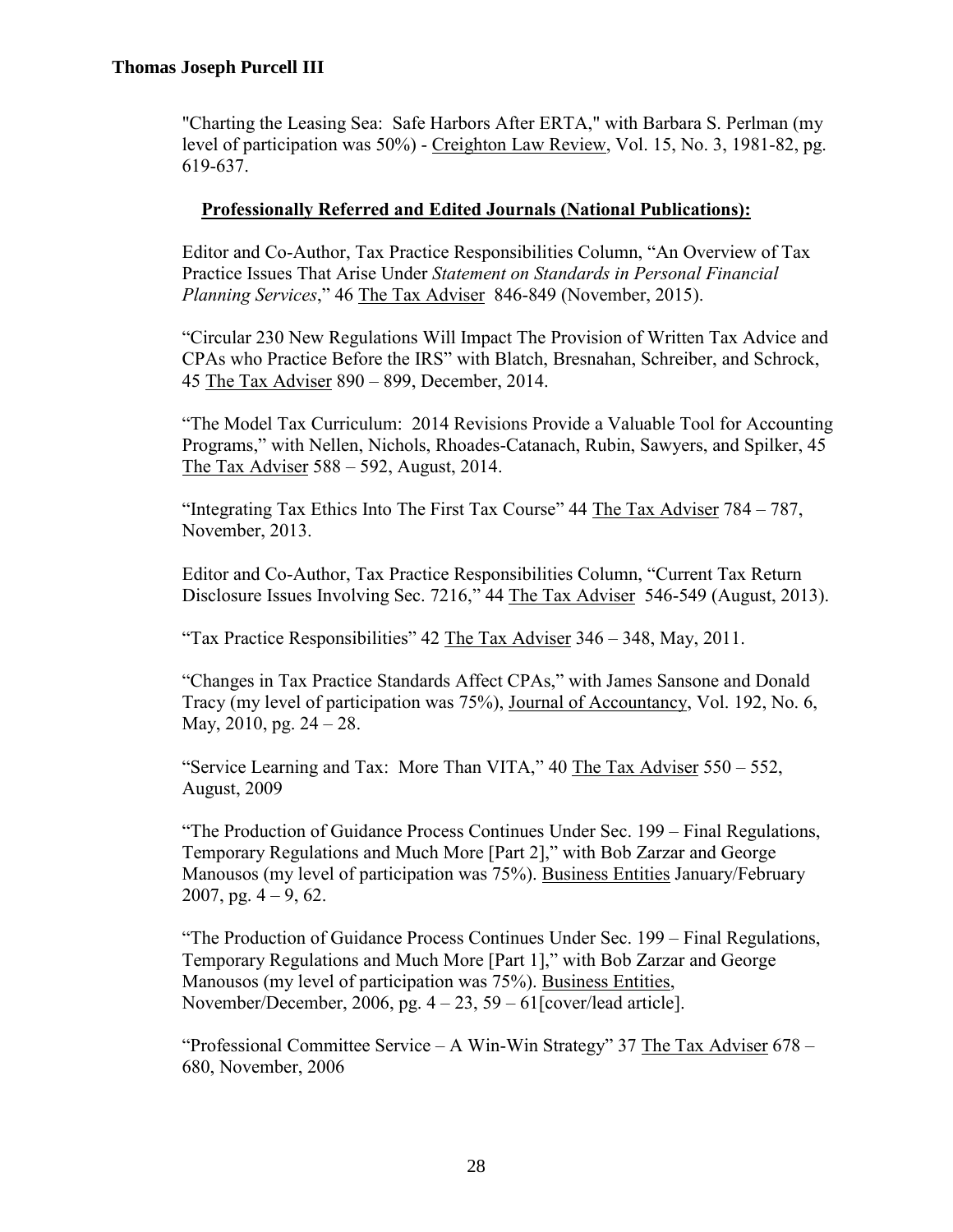"Charting the Leasing Sea: Safe Harbors After ERTA," with Barbara S. Perlman (my level of participation was 50%) - Creighton Law Review, Vol. 15, No. 3, 1981-82, pg. 619-637.

# **Professionally Referred and Edited Journals (National Publications):**

Editor and Co-Author, Tax Practice Responsibilities Column, "An Overview of Tax Practice Issues That Arise Under *Statement on Standards in Personal Financial Planning Services*," 46 The Tax Adviser 846-849 (November, 2015).

"Circular 230 New Regulations Will Impact The Provision of Written Tax Advice and CPAs who Practice Before the IRS" with Blatch, Bresnahan, Schreiber, and Schrock, 45 The Tax Adviser 890 – 899, December, 2014.

"The Model Tax Curriculum: 2014 Revisions Provide a Valuable Tool for Accounting Programs," with Nellen, Nichols, Rhoades-Catanach, Rubin, Sawyers, and Spilker, 45 The Tax Adviser 588 – 592, August, 2014.

"Integrating Tax Ethics Into The First Tax Course" 44 The Tax Adviser 784 – 787, November, 2013.

Editor and Co-Author, Tax Practice Responsibilities Column, "Current Tax Return Disclosure Issues Involving Sec. 7216," 44 The Tax Adviser 546-549 (August, 2013).

"Tax Practice Responsibilities" 42 The Tax Adviser 346 – 348, May, 2011.

"Changes in Tax Practice Standards Affect CPAs," with James Sansone and Donald Tracy (my level of participation was 75%), Journal of Accountancy, Vol. 192, No. 6, May, 2010, pg. 24 – 28.

"Service Learning and Tax: More Than VITA," 40 The Tax Adviser 550 – 552, August, 2009

"The Production of Guidance Process Continues Under Sec. 199 – Final Regulations, Temporary Regulations and Much More [Part 2]," with Bob Zarzar and George Manousos (my level of participation was 75%). Business Entities January/February 2007, pg.  $4 - 9$ , 62.

"The Production of Guidance Process Continues Under Sec. 199 – Final Regulations, Temporary Regulations and Much More [Part 1]," with Bob Zarzar and George Manousos (my level of participation was 75%). Business Entities, November/December, 2006, pg.  $4 - 23$ ,  $59 - 61$ [cover/lead article].

"Professional Committee Service – A Win-Win Strategy" 37 The Tax Adviser 678 – 680, November, 2006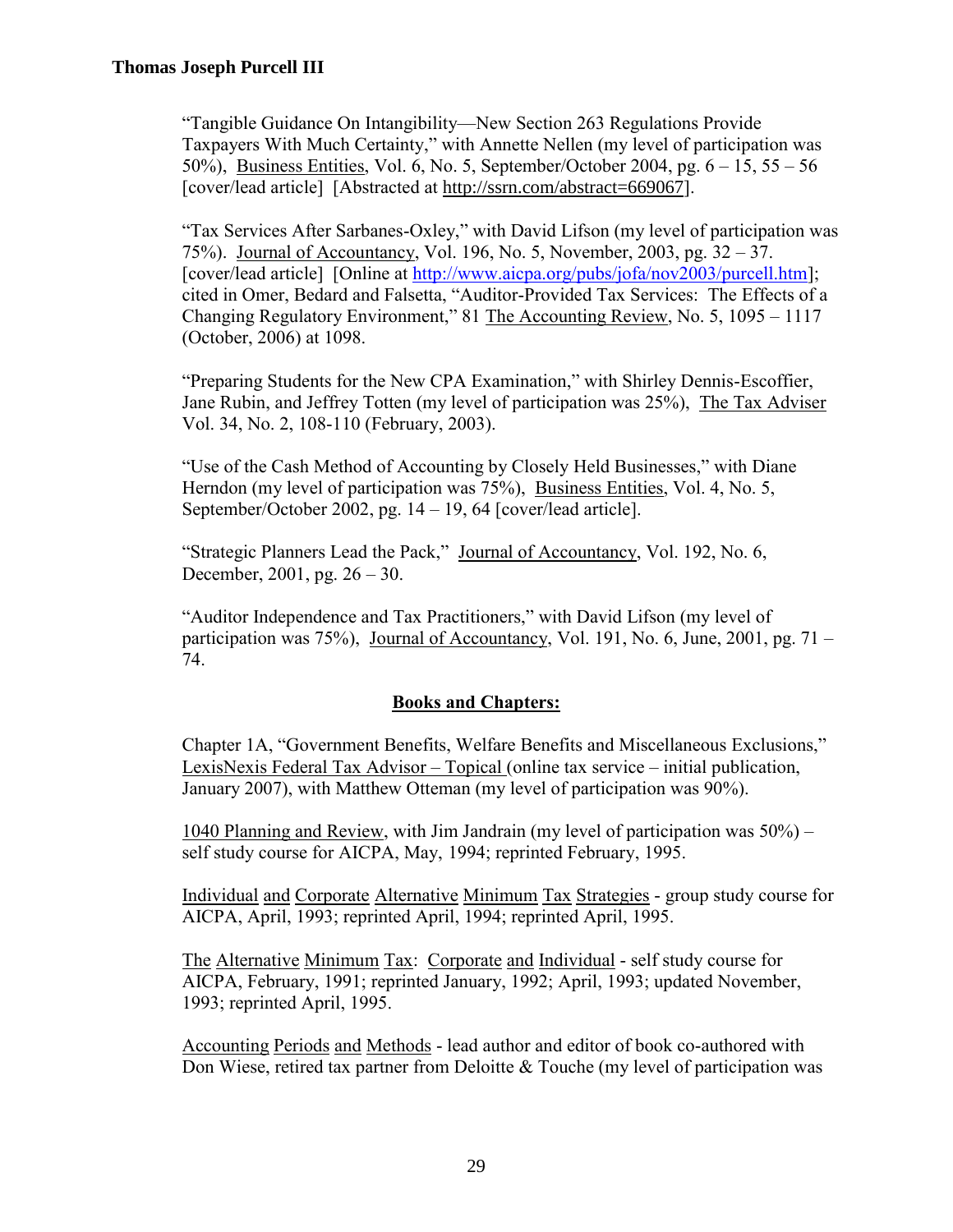"Tangible Guidance On Intangibility—New Section 263 Regulations Provide Taxpayers With Much Certainty," with Annette Nellen (my level of participation was 50%), Business Entities, Vol. 6, No. 5, September/October 2004, pg. 6 – 15, 55 – 56 [cover/lead article] [Abstracted at http://ssrn.com/abstract=669067].

"Tax Services After Sarbanes-Oxley," with David Lifson (my level of participation was 75%). Journal of Accountancy, Vol. 196, No. 5, November, 2003, pg. 32 – 37. [cover/lead article] [Online at [http://www.aicpa.org/pubs/jofa/nov2003/purcell.htm\]](http://www.aicpa.org/pubs/jofa/nov2003/purcell.htm); cited in Omer, Bedard and Falsetta, "Auditor-Provided Tax Services: The Effects of a Changing Regulatory Environment," 81 The Accounting Review, No. 5, 1095 – 1117 (October, 2006) at 1098.

"Preparing Students for the New CPA Examination," with Shirley Dennis-Escoffier, Jane Rubin, and Jeffrey Totten (my level of participation was 25%), The Tax Adviser Vol. 34, No. 2, 108-110 (February, 2003).

"Use of the Cash Method of Accounting by Closely Held Businesses," with Diane Herndon (my level of participation was 75%), Business Entities, Vol. 4, No. 5, September/October 2002, pg. 14 – 19, 64 [cover/lead article].

"Strategic Planners Lead the Pack," Journal of Accountancy, Vol. 192, No. 6, December, 2001, pg. 26 – 30.

"Auditor Independence and Tax Practitioners," with David Lifson (my level of participation was  $75\%$ ), Journal of Accountancy, Vol. 191, No. 6, June, 2001, pg.  $71 -$ 74.

# **Books and Chapters:**

Chapter 1A, "Government Benefits, Welfare Benefits and Miscellaneous Exclusions," LexisNexis Federal Tax Advisor – Topical (online tax service – initial publication, January 2007), with Matthew Otteman (my level of participation was 90%).

1040 Planning and Review, with Jim Jandrain (my level of participation was 50%) – self study course for AICPA, May, 1994; reprinted February, 1995.

Individual and Corporate Alternative Minimum Tax Strategies - group study course for AICPA, April, 1993; reprinted April, 1994; reprinted April, 1995.

The Alternative Minimum Tax: Corporate and Individual - self study course for AICPA, February, 1991; reprinted January, 1992; April, 1993; updated November, 1993; reprinted April, 1995.

Accounting Periods and Methods - lead author and editor of book co-authored with Don Wiese, retired tax partner from Deloitte & Touche (my level of participation was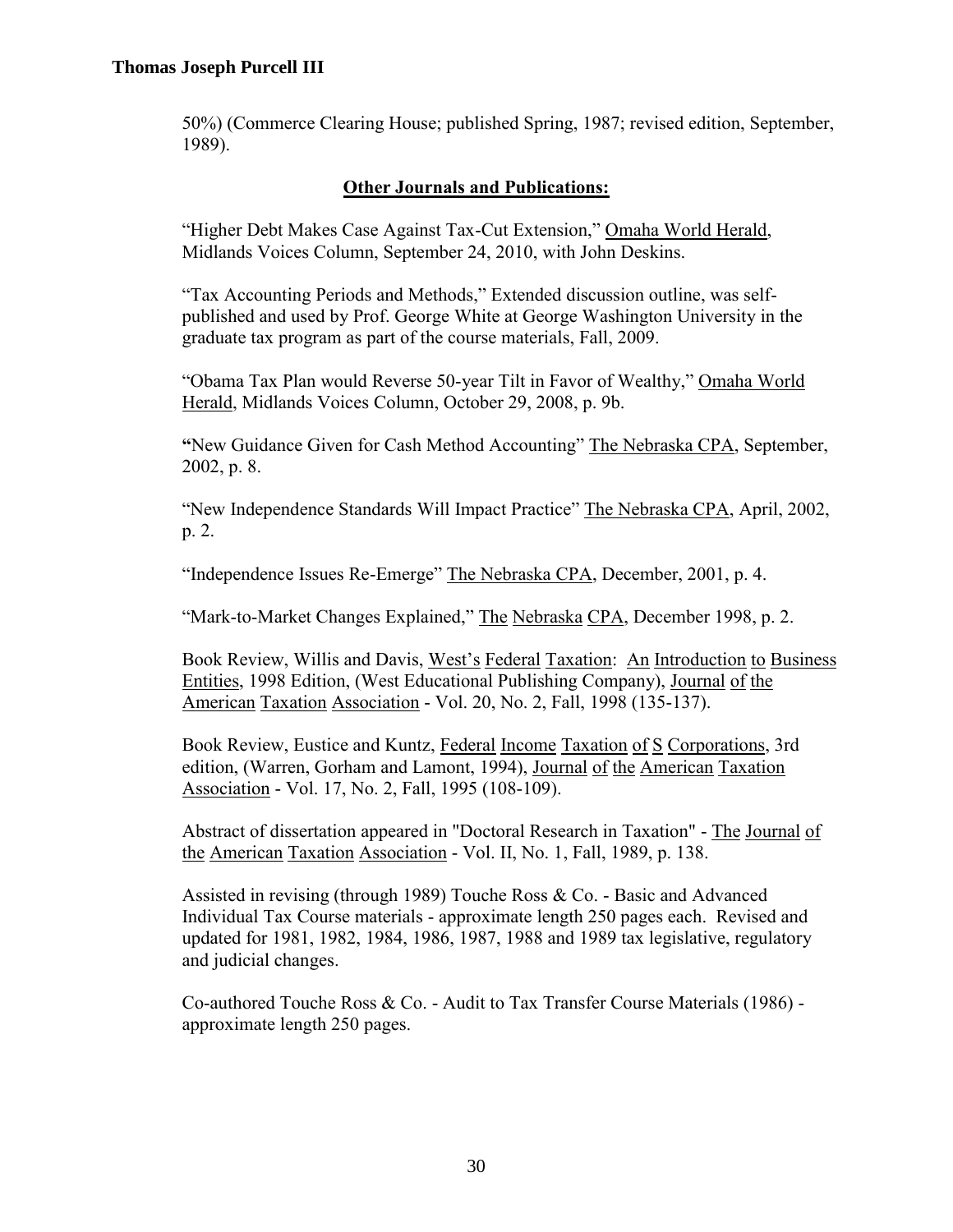50%) (Commerce Clearing House; published Spring, 1987; revised edition, September, 1989).

# **Other Journals and Publications:**

"Higher Debt Makes Case Against Tax-Cut Extension," Omaha World Herald, Midlands Voices Column, September 24, 2010, with John Deskins.

"Tax Accounting Periods and Methods," Extended discussion outline, was selfpublished and used by Prof. George White at George Washington University in the graduate tax program as part of the course materials, Fall, 2009.

"Obama Tax Plan would Reverse 50-year Tilt in Favor of Wealthy," Omaha World Herald, Midlands Voices Column, October 29, 2008, p. 9b.

**"**New Guidance Given for Cash Method Accounting" The Nebraska CPA, September, 2002, p. 8.

"New Independence Standards Will Impact Practice" The Nebraska CPA, April, 2002, p. 2.

"Independence Issues Re-Emerge" The Nebraska CPA, December, 2001, p. 4.

"Mark-to-Market Changes Explained," The Nebraska CPA, December 1998, p. 2.

Book Review, Willis and Davis, West's Federal Taxation: An Introduction to Business Entities, 1998 Edition, (West Educational Publishing Company), Journal of the American Taxation Association - Vol. 20, No. 2, Fall, 1998 (135-137).

Book Review, Eustice and Kuntz, Federal Income Taxation of S Corporations, 3rd edition, (Warren, Gorham and Lamont, 1994), Journal of the American Taxation Association - Vol. 17, No. 2, Fall, 1995 (108-109).

Abstract of dissertation appeared in "Doctoral Research in Taxation" - The Journal of the American Taxation Association - Vol. II, No. 1, Fall, 1989, p. 138.

Assisted in revising (through 1989) Touche Ross & Co. - Basic and Advanced Individual Tax Course materials - approximate length 250 pages each. Revised and updated for 1981, 1982, 1984, 1986, 1987, 1988 and 1989 tax legislative, regulatory and judicial changes.

Co-authored Touche Ross & Co. - Audit to Tax Transfer Course Materials (1986) approximate length 250 pages.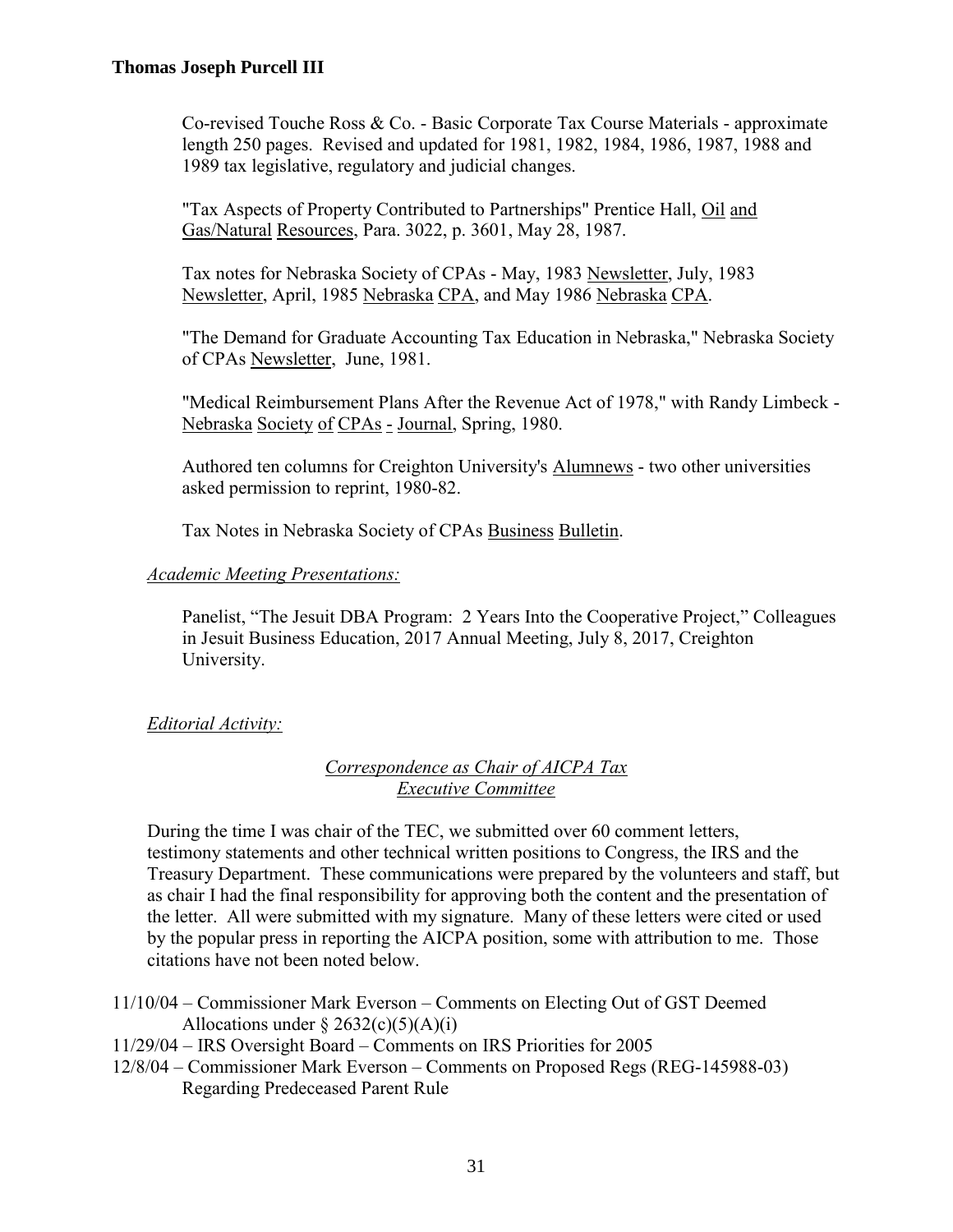Co-revised Touche Ross & Co. - Basic Corporate Tax Course Materials - approximate length 250 pages. Revised and updated for 1981, 1982, 1984, 1986, 1987, 1988 and 1989 tax legislative, regulatory and judicial changes.

"Tax Aspects of Property Contributed to Partnerships" Prentice Hall, Oil and Gas/Natural Resources, Para. 3022, p. 3601, May 28, 1987.

Tax notes for Nebraska Society of CPAs - May, 1983 Newsletter, July, 1983 Newsletter, April, 1985 Nebraska CPA, and May 1986 Nebraska CPA.

"The Demand for Graduate Accounting Tax Education in Nebraska," Nebraska Society of CPAs Newsletter, June, 1981.

"Medical Reimbursement Plans After the Revenue Act of 1978," with Randy Limbeck - Nebraska Society of CPAs - Journal, Spring, 1980.

Authored ten columns for Creighton University's Alumnews - two other universities asked permission to reprint, 1980-82.

Tax Notes in Nebraska Society of CPAs Business Bulletin.

#### *Academic Meeting Presentations:*

Panelist, "The Jesuit DBA Program: 2 Years Into the Cooperative Project," Colleagues in Jesuit Business Education, 2017 Annual Meeting, July 8, 2017, Creighton University.

### *Editorial Activity:*

### *Correspondence as Chair of AICPA Tax Executive Committee*

During the time I was chair of the TEC, we submitted over 60 comment letters, testimony statements and other technical written positions to Congress, the IRS and the Treasury Department. These communications were prepared by the volunteers and staff, but as chair I had the final responsibility for approving both the content and the presentation of the letter. All were submitted with my signature. Many of these letters were cited or used by the popular press in reporting the AICPA position, some with attribution to me. Those citations have not been noted below.

- 11/10/04 Commissioner Mark Everson Comments on Electing Out of GST Deemed Allocations under  $\S 2632(c)(5)(A)(i)$
- 11/29/04 IRS Oversight Board Comments on IRS Priorities for 2005
- 12/8/04 Commissioner Mark Everson Comments on Proposed Regs (REG-145988-03) Regarding Predeceased Parent Rule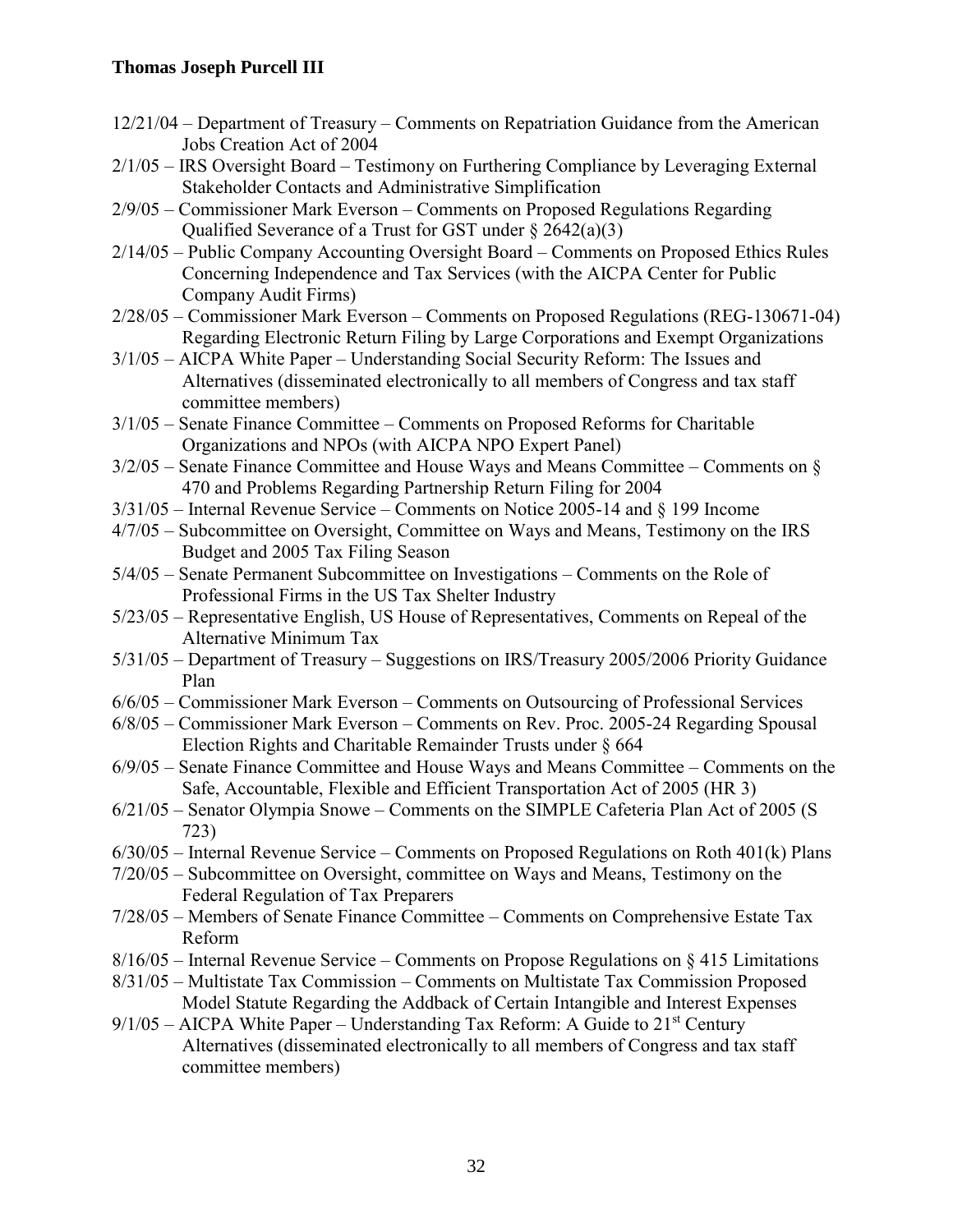- 12/21/04 Department of Treasury Comments on Repatriation Guidance from the American Jobs Creation Act of 2004
- 2/1/05 IRS Oversight Board Testimony on Furthering Compliance by Leveraging External Stakeholder Contacts and Administrative Simplification
- 2/9/05 Commissioner Mark Everson Comments on Proposed Regulations Regarding Qualified Severance of a Trust for GST under § 2642(a)(3)
- 2/14/05 Public Company Accounting Oversight Board Comments on Proposed Ethics Rules Concerning Independence and Tax Services (with the AICPA Center for Public Company Audit Firms)
- 2/28/05 Commissioner Mark Everson Comments on Proposed Regulations (REG-130671-04) Regarding Electronic Return Filing by Large Corporations and Exempt Organizations
- 3/1/05 AICPA White Paper Understanding Social Security Reform: The Issues and Alternatives (disseminated electronically to all members of Congress and tax staff committee members)
- 3/1/05 Senate Finance Committee Comments on Proposed Reforms for Charitable Organizations and NPOs (with AICPA NPO Expert Panel)
- 3/2/05 Senate Finance Committee and House Ways and Means Committee Comments on § 470 and Problems Regarding Partnership Return Filing for 2004
- 3/31/05 Internal Revenue Service Comments on Notice 2005-14 and § 199 Income
- 4/7/05 Subcommittee on Oversight, Committee on Ways and Means, Testimony on the IRS Budget and 2005 Tax Filing Season
- 5/4/05 Senate Permanent Subcommittee on Investigations Comments on the Role of Professional Firms in the US Tax Shelter Industry
- 5/23/05 Representative English, US House of Representatives, Comments on Repeal of the Alternative Minimum Tax
- 5/31/05 Department of Treasury Suggestions on IRS/Treasury 2005/2006 Priority Guidance Plan
- 6/6/05 Commissioner Mark Everson Comments on Outsourcing of Professional Services
- 6/8/05 Commissioner Mark Everson Comments on Rev. Proc. 2005-24 Regarding Spousal Election Rights and Charitable Remainder Trusts under § 664
- 6/9/05 Senate Finance Committee and House Ways and Means Committee Comments on the Safe, Accountable, Flexible and Efficient Transportation Act of 2005 (HR 3)
- 6/21/05 Senator Olympia Snowe Comments on the SIMPLE Cafeteria Plan Act of 2005 (S 723)
- $6/30/05$  Internal Revenue Service Comments on Proposed Regulations on Roth 401(k) Plans
- 7/20/05 Subcommittee on Oversight, committee on Ways and Means, Testimony on the Federal Regulation of Tax Preparers
- 7/28/05 Members of Senate Finance Committee Comments on Comprehensive Estate Tax Reform
- 8/16/05 Internal Revenue Service Comments on Propose Regulations on § 415 Limitations
- 8/31/05 Multistate Tax Commission Comments on Multistate Tax Commission Proposed Model Statute Regarding the Addback of Certain Intangible and Interest Expenses
- $9/1/05$  AICPA White Paper Understanding Tax Reform: A Guide to 21<sup>st</sup> Century Alternatives (disseminated electronically to all members of Congress and tax staff committee members)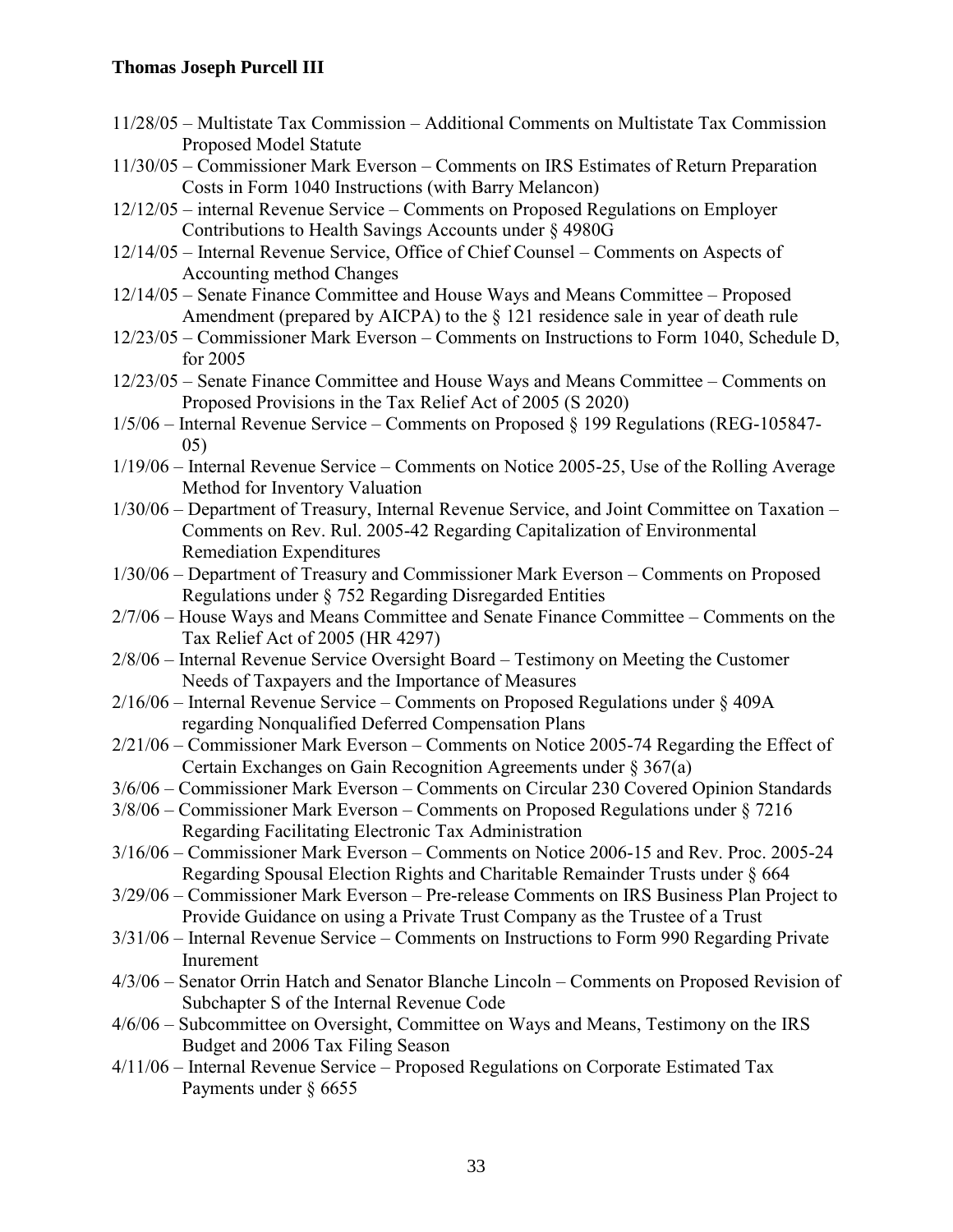- 11/28/05 Multistate Tax Commission Additional Comments on Multistate Tax Commission Proposed Model Statute
- 11/30/05 Commissioner Mark Everson Comments on IRS Estimates of Return Preparation Costs in Form 1040 Instructions (with Barry Melancon)
- 12/12/05 internal Revenue Service Comments on Proposed Regulations on Employer Contributions to Health Savings Accounts under § 4980G
- 12/14/05 Internal Revenue Service, Office of Chief Counsel Comments on Aspects of Accounting method Changes
- 12/14/05 Senate Finance Committee and House Ways and Means Committee Proposed Amendment (prepared by AICPA) to the § 121 residence sale in year of death rule
- 12/23/05 Commissioner Mark Everson Comments on Instructions to Form 1040, Schedule D, for 2005
- 12/23/05 Senate Finance Committee and House Ways and Means Committee Comments on Proposed Provisions in the Tax Relief Act of 2005 (S 2020)
- 1/5/06 Internal Revenue Service Comments on Proposed § 199 Regulations (REG-105847- 05)
- 1/19/06 Internal Revenue Service Comments on Notice 2005-25, Use of the Rolling Average Method for Inventory Valuation
- 1/30/06 Department of Treasury, Internal Revenue Service, and Joint Committee on Taxation Comments on Rev. Rul. 2005-42 Regarding Capitalization of Environmental Remediation Expenditures
- 1/30/06 Department of Treasury and Commissioner Mark Everson Comments on Proposed Regulations under § 752 Regarding Disregarded Entities
- 2/7/06 House Ways and Means Committee and Senate Finance Committee Comments on the Tax Relief Act of 2005 (HR 4297)
- 2/8/06 Internal Revenue Service Oversight Board Testimony on Meeting the Customer Needs of Taxpayers and the Importance of Measures
- 2/16/06 Internal Revenue Service Comments on Proposed Regulations under § 409A regarding Nonqualified Deferred Compensation Plans
- 2/21/06 Commissioner Mark Everson Comments on Notice 2005-74 Regarding the Effect of Certain Exchanges on Gain Recognition Agreements under § 367(a)
- 3/6/06 Commissioner Mark Everson Comments on Circular 230 Covered Opinion Standards
- 3/8/06 Commissioner Mark Everson Comments on Proposed Regulations under § 7216 Regarding Facilitating Electronic Tax Administration
- 3/16/06 Commissioner Mark Everson Comments on Notice 2006-15 and Rev. Proc. 2005-24 Regarding Spousal Election Rights and Charitable Remainder Trusts under § 664
- 3/29/06 Commissioner Mark Everson Pre-release Comments on IRS Business Plan Project to Provide Guidance on using a Private Trust Company as the Trustee of a Trust
- 3/31/06 Internal Revenue Service Comments on Instructions to Form 990 Regarding Private Inurement
- 4/3/06 Senator Orrin Hatch and Senator Blanche Lincoln Comments on Proposed Revision of Subchapter S of the Internal Revenue Code
- 4/6/06 Subcommittee on Oversight, Committee on Ways and Means, Testimony on the IRS Budget and 2006 Tax Filing Season
- 4/11/06 Internal Revenue Service Proposed Regulations on Corporate Estimated Tax Payments under § 6655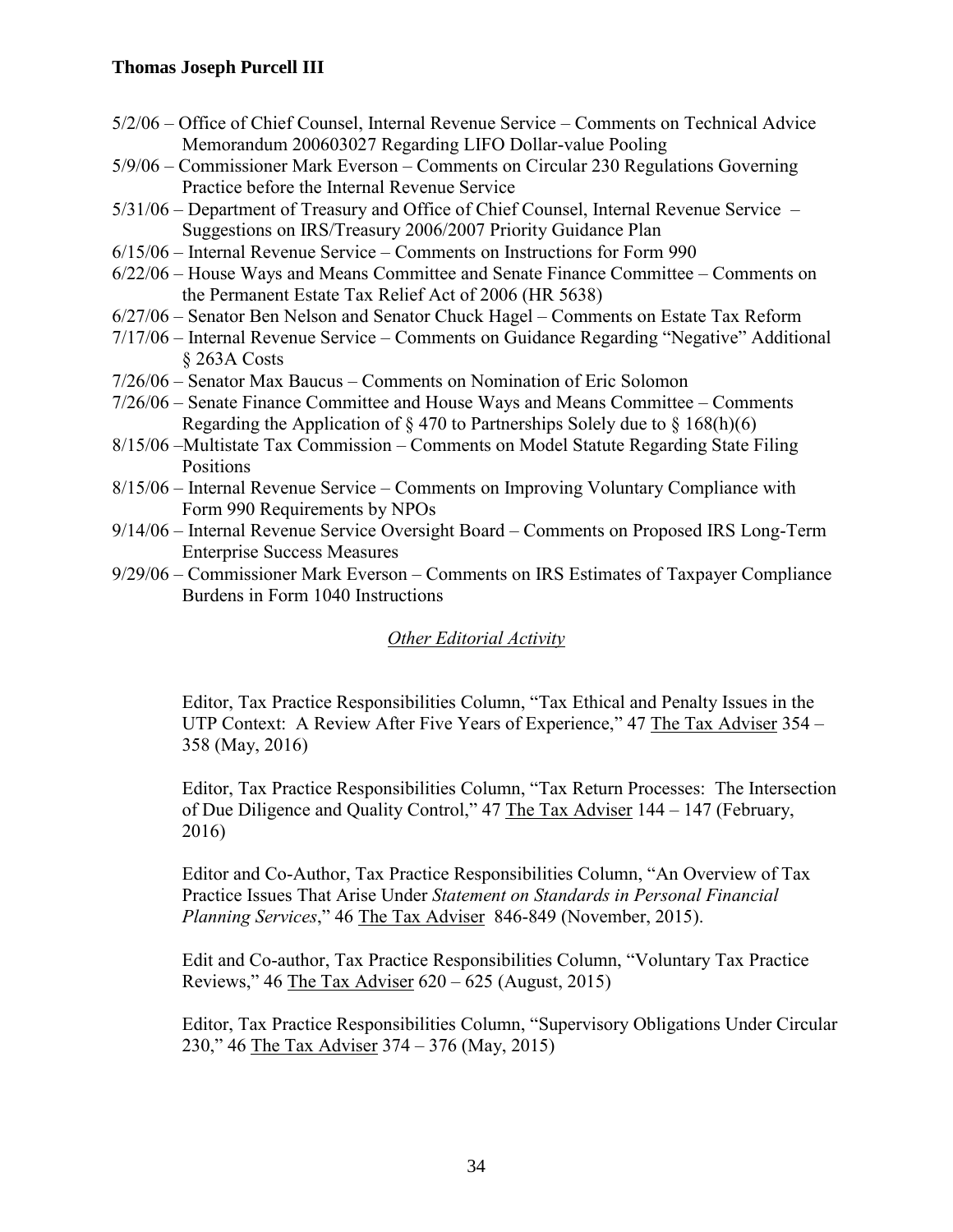- 5/2/06 Office of Chief Counsel, Internal Revenue Service Comments on Technical Advice Memorandum 200603027 Regarding LIFO Dollar-value Pooling
- 5/9/06 Commissioner Mark Everson Comments on Circular 230 Regulations Governing Practice before the Internal Revenue Service
- 5/31/06 Department of Treasury and Office of Chief Counsel, Internal Revenue Service Suggestions on IRS/Treasury 2006/2007 Priority Guidance Plan
- 6/15/06 Internal Revenue Service Comments on Instructions for Form 990
- 6/22/06 House Ways and Means Committee and Senate Finance Committee Comments on the Permanent Estate Tax Relief Act of 2006 (HR 5638)
- 6/27/06 Senator Ben Nelson and Senator Chuck Hagel Comments on Estate Tax Reform
- 7/17/06 Internal Revenue Service Comments on Guidance Regarding "Negative" Additional § 263A Costs
- 7/26/06 Senator Max Baucus Comments on Nomination of Eric Solomon
- 7/26/06 Senate Finance Committee and House Ways and Means Committee Comments Regarding the Application of  $\S 470$  to Partnerships Solely due to  $\S 168(h)(6)$
- 8/15/06 –Multistate Tax Commission Comments on Model Statute Regarding State Filing Positions
- 8/15/06 Internal Revenue Service Comments on Improving Voluntary Compliance with Form 990 Requirements by NPOs
- 9/14/06 Internal Revenue Service Oversight Board Comments on Proposed IRS Long-Term Enterprise Success Measures
- 9/29/06 Commissioner Mark Everson Comments on IRS Estimates of Taxpayer Compliance Burdens in Form 1040 Instructions

# *Other Editorial Activity*

Editor, Tax Practice Responsibilities Column, "Tax Ethical and Penalty Issues in the UTP Context: A Review After Five Years of Experience," 47 The Tax Adviser 354 – 358 (May, 2016)

Editor, Tax Practice Responsibilities Column, "Tax Return Processes: The Intersection of Due Diligence and Quality Control," 47 The Tax Adviser 144 – 147 (February, 2016)

Editor and Co-Author, Tax Practice Responsibilities Column, "An Overview of Tax Practice Issues That Arise Under *Statement on Standards in Personal Financial Planning Services*," 46 The Tax Adviser 846-849 (November, 2015).

Edit and Co-author, Tax Practice Responsibilities Column, "Voluntary Tax Practice Reviews," 46 The Tax Adviser  $620 - 625$  (August, 2015)

Editor, Tax Practice Responsibilities Column, "Supervisory Obligations Under Circular 230," 46 The Tax Adviser 374 – 376 (May, 2015)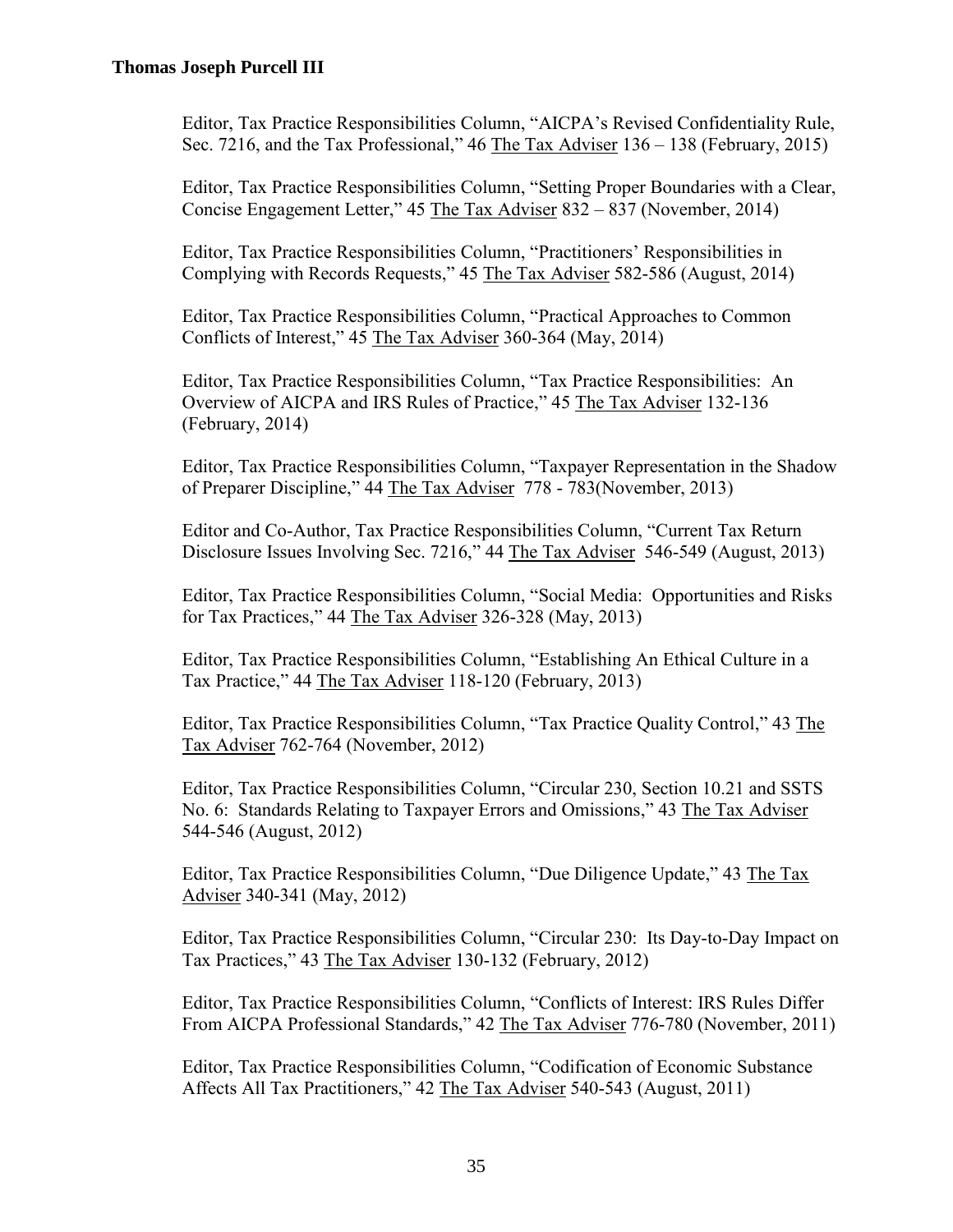Editor, Tax Practice Responsibilities Column, "AICPA's Revised Confidentiality Rule, Sec. 7216, and the Tax Professional," 46 The Tax Adviser 136 – 138 (February, 2015)

Editor, Tax Practice Responsibilities Column, "Setting Proper Boundaries with a Clear, Concise Engagement Letter," 45 The Tax Adviser 832 – 837 (November, 2014)

Editor, Tax Practice Responsibilities Column, "Practitioners' Responsibilities in Complying with Records Requests," 45 The Tax Adviser 582-586 (August, 2014)

Editor, Tax Practice Responsibilities Column, "Practical Approaches to Common Conflicts of Interest," 45 The Tax Adviser 360-364 (May, 2014)

Editor, Tax Practice Responsibilities Column, "Tax Practice Responsibilities: An Overview of AICPA and IRS Rules of Practice," 45 The Tax Adviser 132-136 (February, 2014)

Editor, Tax Practice Responsibilities Column, "Taxpayer Representation in the Shadow of Preparer Discipline," 44 The Tax Adviser 778 - 783(November, 2013)

Editor and Co-Author, Tax Practice Responsibilities Column, "Current Tax Return Disclosure Issues Involving Sec. 7216," 44 The Tax Adviser 546-549 (August, 2013)

Editor, Tax Practice Responsibilities Column, "Social Media: Opportunities and Risks for Tax Practices," 44 The Tax Adviser 326-328 (May, 2013)

Editor, Tax Practice Responsibilities Column, "Establishing An Ethical Culture in a Tax Practice," 44 The Tax Adviser 118-120 (February, 2013)

Editor, Tax Practice Responsibilities Column, "Tax Practice Quality Control," 43 The Tax Adviser 762-764 (November, 2012)

Editor, Tax Practice Responsibilities Column, "Circular 230, Section 10.21 and SSTS No. 6: Standards Relating to Taxpayer Errors and Omissions," 43 The Tax Adviser 544-546 (August, 2012)

Editor, Tax Practice Responsibilities Column, "Due Diligence Update," 43 The Tax Adviser 340-341 (May, 2012)

Editor, Tax Practice Responsibilities Column, "Circular 230: Its Day-to-Day Impact on Tax Practices," 43 The Tax Adviser 130-132 (February, 2012)

Editor, Tax Practice Responsibilities Column, "Conflicts of Interest: IRS Rules Differ From AICPA Professional Standards," 42 The Tax Adviser 776-780 (November, 2011)

Editor, Tax Practice Responsibilities Column, "Codification of Economic Substance Affects All Tax Practitioners," 42 The Tax Adviser 540-543 (August, 2011)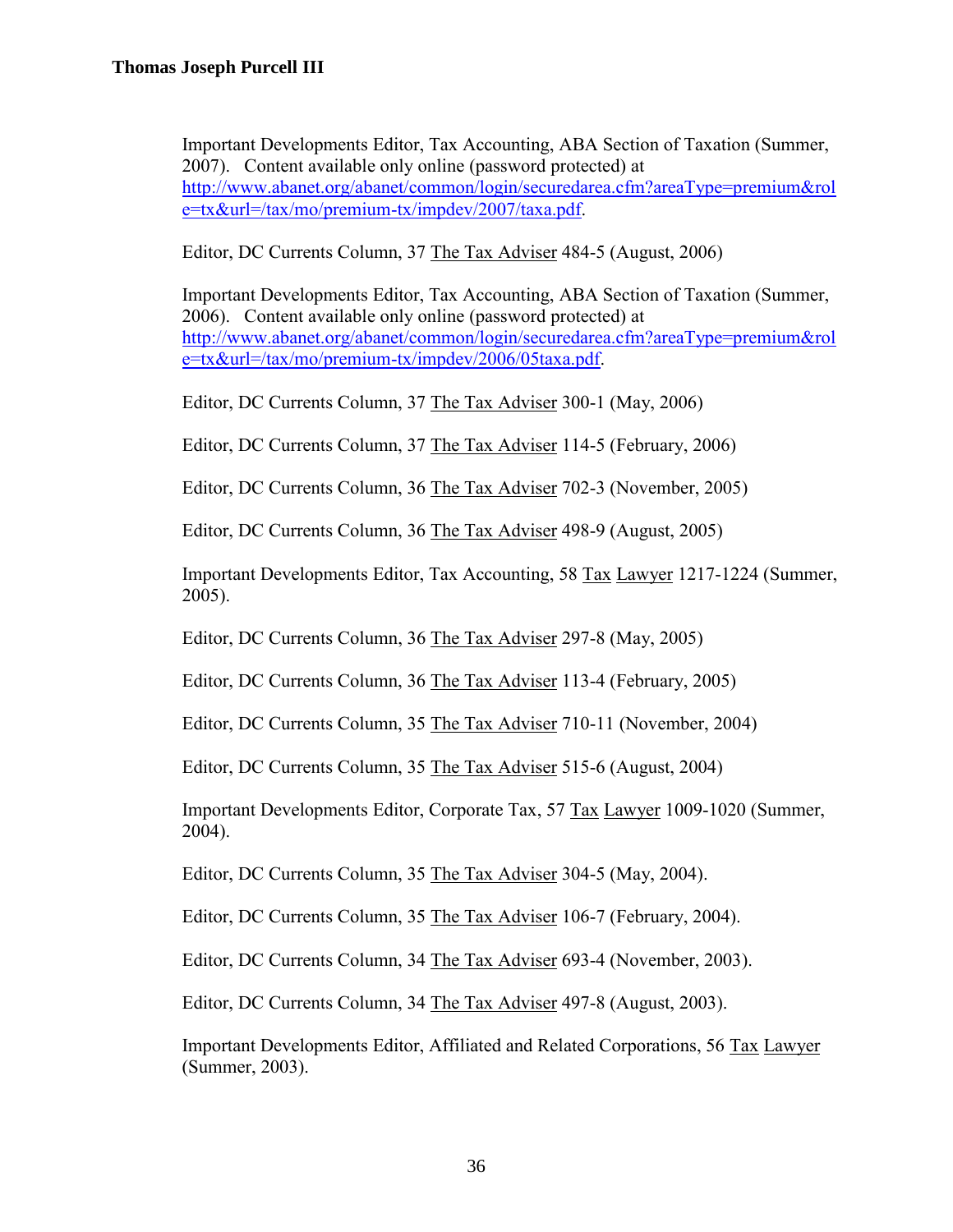Important Developments Editor, Tax Accounting, ABA Section of Taxation (Summer, 2007). Content available only online (password protected) at [http://www.abanet.org/abanet/common/login/securedarea.cfm?areaType=premium&rol](http://www.abanet.org/abanet/common/login/securedarea.cfm?areaType=premium&role=tx&url=/tax/mo/premium-tx/impdev/2007/taxa.pdf) [e=tx&url=/tax/mo/premium-tx/impdev/2007/taxa.pdf.](http://www.abanet.org/abanet/common/login/securedarea.cfm?areaType=premium&role=tx&url=/tax/mo/premium-tx/impdev/2007/taxa.pdf)

Editor, DC Currents Column, 37 The Tax Adviser 484-5 (August, 2006)

Important Developments Editor, Tax Accounting, ABA Section of Taxation (Summer, 2006). Content available only online (password protected) at [http://www.abanet.org/abanet/common/login/securedarea.cfm?areaType=premium&rol](http://www.abanet.org/abanet/common/login/securedarea.cfm?areaType=premium&role=tx&url=/tax/mo/premium-tx/impdev/2006/05taxa.pdf) [e=tx&url=/tax/mo/premium-tx/impdev/2006/05taxa.pdf.](http://www.abanet.org/abanet/common/login/securedarea.cfm?areaType=premium&role=tx&url=/tax/mo/premium-tx/impdev/2006/05taxa.pdf)

Editor, DC Currents Column, 37 The Tax Adviser 300-1 (May, 2006)

Editor, DC Currents Column, 37 The Tax Adviser 114-5 (February, 2006)

Editor, DC Currents Column, 36 The Tax Adviser 702-3 (November, 2005)

Editor, DC Currents Column, 36 The Tax Adviser 498-9 (August, 2005)

Important Developments Editor, Tax Accounting, 58 Tax Lawyer 1217-1224 (Summer, 2005).

Editor, DC Currents Column, 36 The Tax Adviser 297-8 (May, 2005)

Editor, DC Currents Column, 36 The Tax Adviser 113-4 (February, 2005)

Editor, DC Currents Column, 35 The Tax Adviser 710-11 (November, 2004)

Editor, DC Currents Column, 35 The Tax Adviser 515-6 (August, 2004)

Important Developments Editor, Corporate Tax, 57 Tax Lawyer 1009-1020 (Summer, 2004).

Editor, DC Currents Column, 35 The Tax Adviser 304-5 (May, 2004).

Editor, DC Currents Column, 35 The Tax Adviser 106-7 (February, 2004).

Editor, DC Currents Column, 34 The Tax Adviser 693-4 (November, 2003).

Editor, DC Currents Column, 34 The Tax Adviser 497-8 (August, 2003).

Important Developments Editor, Affiliated and Related Corporations, 56 Tax Lawyer (Summer, 2003).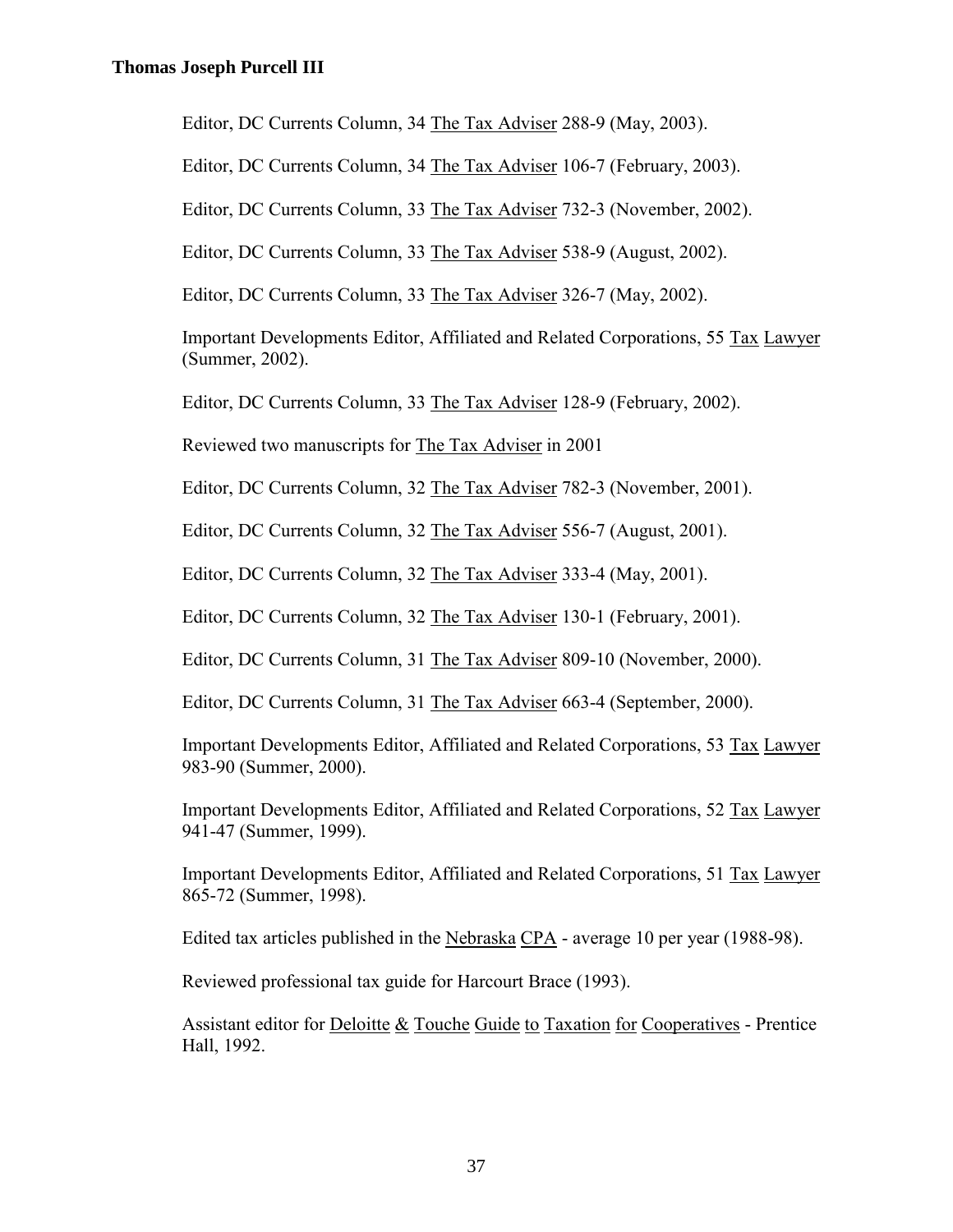Editor, DC Currents Column, 34 The Tax Adviser 288-9 (May, 2003).

Editor, DC Currents Column, 34 The Tax Adviser 106-7 (February, 2003).

Editor, DC Currents Column, 33 The Tax Adviser 732-3 (November, 2002).

Editor, DC Currents Column, 33 The Tax Adviser 538-9 (August, 2002).

Editor, DC Currents Column, 33 The Tax Adviser 326-7 (May, 2002).

Important Developments Editor, Affiliated and Related Corporations, 55 Tax Lawyer (Summer, 2002).

Editor, DC Currents Column, 33 The Tax Adviser 128-9 (February, 2002).

Reviewed two manuscripts for The Tax Adviser in 2001

Editor, DC Currents Column, 32 The Tax Adviser 782-3 (November, 2001).

Editor, DC Currents Column, 32 The Tax Adviser 556-7 (August, 2001).

Editor, DC Currents Column, 32 The Tax Adviser 333-4 (May, 2001).

Editor, DC Currents Column, 32 The Tax Adviser 130-1 (February, 2001).

Editor, DC Currents Column, 31 The Tax Adviser 809-10 (November, 2000).

Editor, DC Currents Column, 31 The Tax Adviser 663-4 (September, 2000).

Important Developments Editor, Affiliated and Related Corporations, 53 Tax Lawyer 983-90 (Summer, 2000).

Important Developments Editor, Affiliated and Related Corporations, 52 Tax Lawyer 941-47 (Summer, 1999).

Important Developments Editor, Affiliated and Related Corporations, 51 Tax Lawyer 865-72 (Summer, 1998).

Edited tax articles published in the Nebraska CPA - average 10 per year (1988-98).

Reviewed professional tax guide for Harcourt Brace (1993).

Assistant editor for Deloitte & Touche Guide to Taxation for Cooperatives - Prentice Hall, 1992.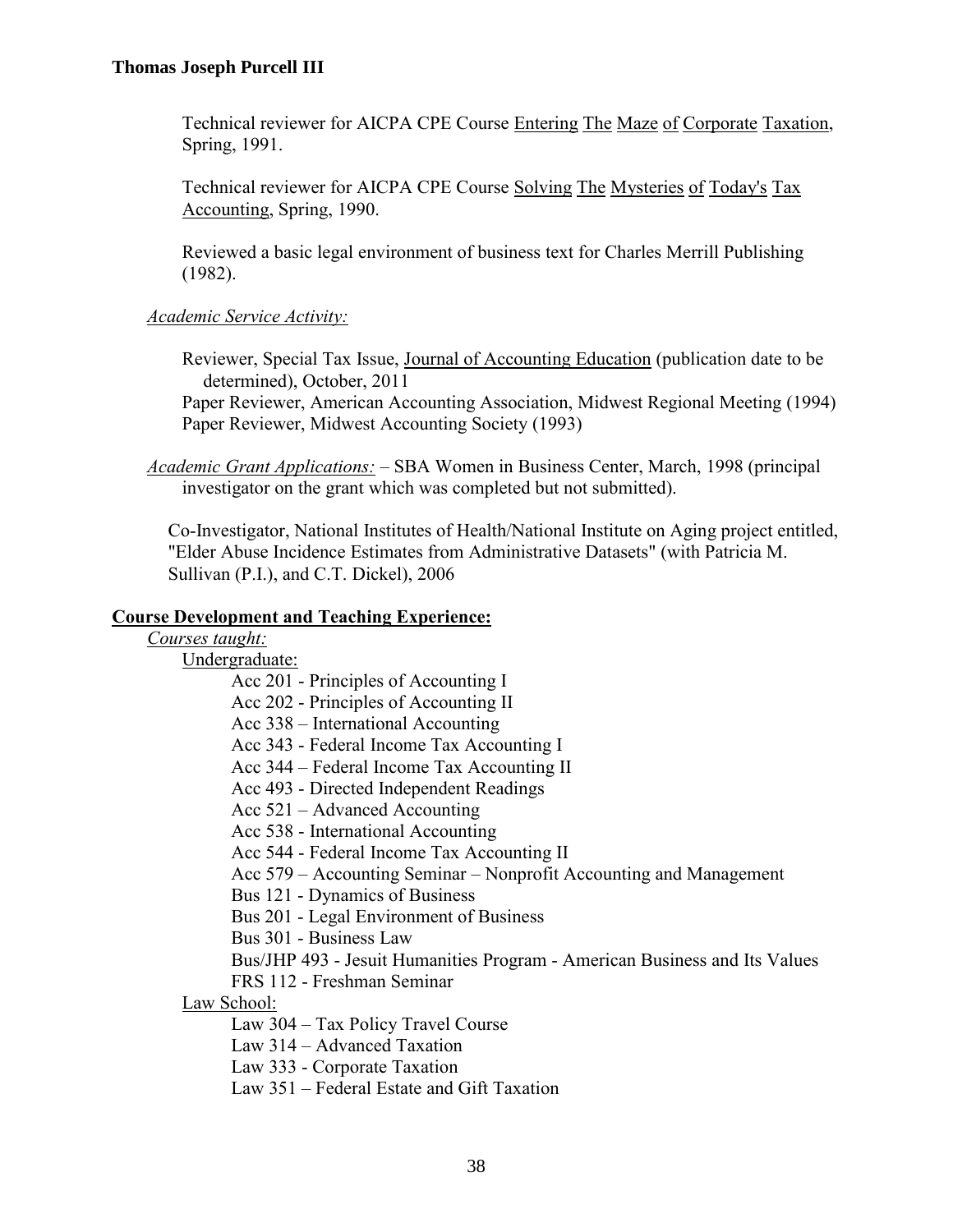Technical reviewer for AICPA CPE Course Entering The Maze of Corporate Taxation, Spring, 1991.

Technical reviewer for AICPA CPE Course Solving The Mysteries of Today's Tax Accounting, Spring, 1990.

Reviewed a basic legal environment of business text for Charles Merrill Publishing (1982).

## *Academic Service Activity:*

Reviewer, Special Tax Issue, Journal of Accounting Education (publication date to be determined), October, 2011

Paper Reviewer, American Accounting Association, Midwest Regional Meeting (1994) Paper Reviewer, Midwest Accounting Society (1993)

*Academic Grant Applications:* – SBA Women in Business Center, March, 1998 (principal investigator on the grant which was completed but not submitted).

Co-Investigator, National Institutes of Health/National Institute on Aging project entitled, "Elder Abuse Incidence Estimates from Administrative Datasets" (with Patricia M. Sullivan (P.I.), and C.T. Dickel), 2006

### **Course Development and Teaching Experience:**

| Courses taught: |  |
|-----------------|--|
|                 |  |

Undergraduate:

- Acc 201 Principles of Accounting I
- Acc 202 Principles of Accounting II
- Acc 338 International Accounting
- Acc 343 Federal Income Tax Accounting I
- Acc 344 Federal Income Tax Accounting II
- Acc 493 Directed Independent Readings
- Acc 521 Advanced Accounting
- Acc 538 International Accounting
- Acc 544 Federal Income Tax Accounting II
- Acc 579 Accounting Seminar Nonprofit Accounting and Management
- Bus 121 Dynamics of Business
- Bus 201 Legal Environment of Business
- Bus 301 Business Law
- Bus/JHP 493 Jesuit Humanities Program American Business and Its Values
- FRS 112 Freshman Seminar
- Law School:
	- Law 304 Tax Policy Travel Course
	- Law 314 Advanced Taxation
	- Law 333 Corporate Taxation
	- Law 351 Federal Estate and Gift Taxation